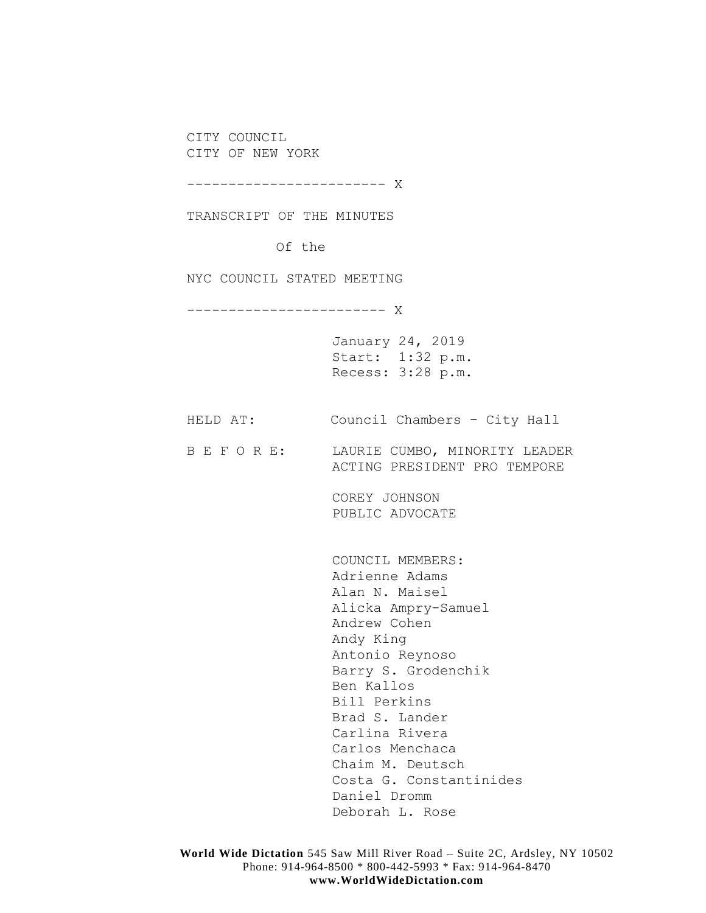CITY COUNCIL CITY OF NEW YORK

------------------------ X

TRANSCRIPT OF THE MINUTES

Of the

NYC COUNCIL STATED MEETING

------------------------ X

January 24, 2019 Start: 1:32 p.m. Recess: 3:28 p.m.

HELD AT: Council Chambers – City Hall

B E F O R E: LAURIE CUMBO, MINORITY LEADER ACTING PRESIDENT PRO TEMPORE

> COREY JOHNSON PUBLIC ADVOCATE

COUNCIL MEMBERS: Adrienne Adams Alan N. Maisel Alicka Ampry-Samuel Andrew Cohen Andy King Antonio Reynoso Barry S. Grodenchik Ben Kallos Bill Perkins Brad S. Lander Carlina Rivera Carlos Menchaca Chaim M. Deutsch Costa G. Constantinides Daniel Dromm Deborah L. Rose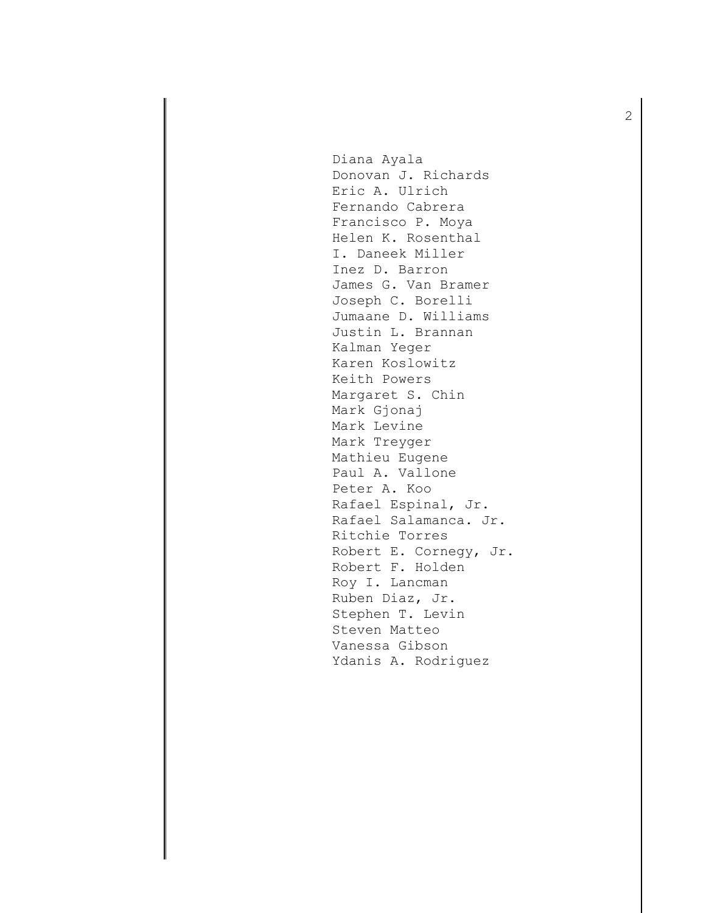Diana Ayala Donovan J. Richards Eric A. Ulrich Fernando Cabrera Francisco P. Moya Helen K. Rosenthal I. Daneek Miller Inez D. Barron James G. Van Bramer Joseph C. Borelli Jumaane D. Williams Justin L. Brannan Kalman Yeger Karen Koslowitz Keith Powers Margaret S. Chin Mark Gjonaj Mark Levine Mark Treyger Mathieu Eugene Paul A. Vallone Peter A. Koo Rafael Espinal, Jr. Rafael Salamanca. Jr. Ritchie Torres Robert E. Cornegy, Jr. Robert F. Holden Roy I. Lancman Ruben Diaz, Jr. Stephen T. Levin Steven Matteo Vanessa Gibson Ydanis A. Rodriguez

2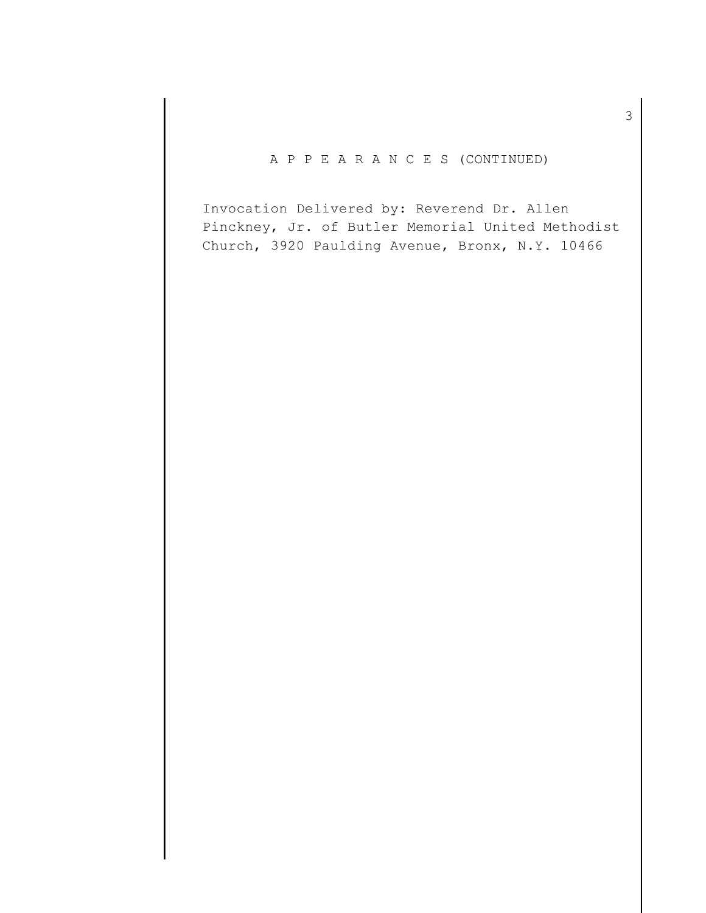A P P E A R A N C E S (CONTINUED)

Invocation Delivered by: Reverend Dr. Allen Pinckney, Jr. of Butler Memorial United Methodist Church, 3920 Paulding Avenue, Bronx, N.Y. 10466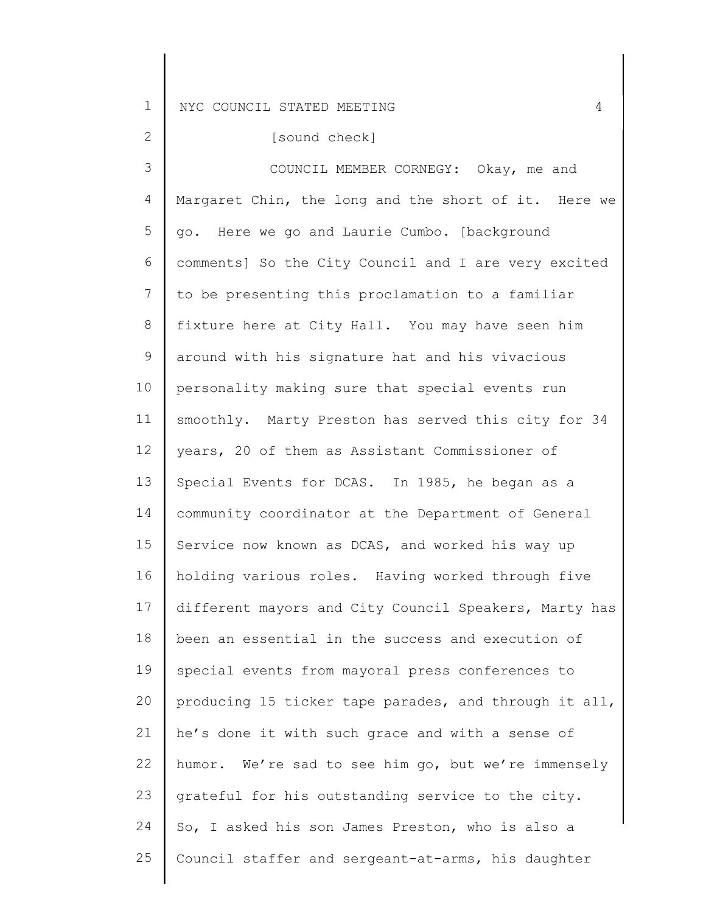2 3 4 5 6 7 8 9 10 11 12 13 14 15 16 17 18 19 20 21 22 23 24 25 Margaret Chin, the long and the short of it. Here we  $\vert$ [sound check] COUNCIL MEMBER CORNEGY: Okay, me and go. Here we go and Laurie Cumbo. [background comments] So the City Council and I are very excited to be presenting this proclamation to a familiar fixture here at City Hall. You may have seen him around with his signature hat and his vivacious personality making sure that special events run smoothly. Marty Preston has served this city for 34 years, 20 of them as Assistant Commissioner of Special Events for DCAS. In 1985, he began as a community coordinator at the Department of General Service now known as DCAS, and worked his way up holding various roles. Having worked through five different mayors and City Council Speakers, Marty has been an essential in the success and execution of special events from mayoral press conferences to producing 15 ticker tape parades, and through it all, he's done it with such grace and with a sense of humor. We're sad to see him go, but we're immensely grateful for his outstanding service to the city. So, I asked his son James Preston, who is also a Council staffer and sergeant-at-arms, his daughter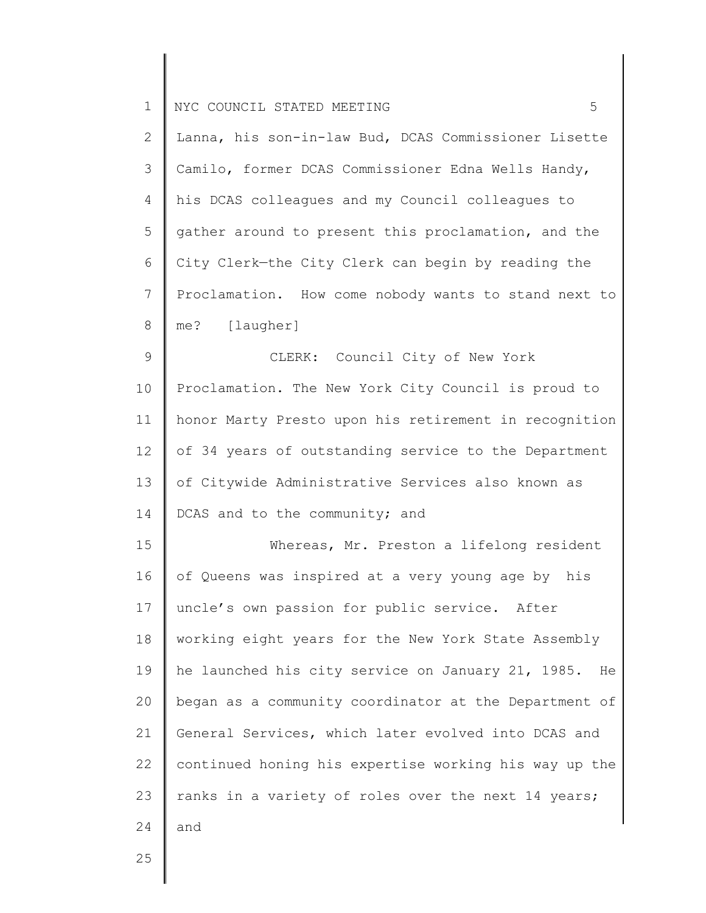|  |  | 1   NYC COUNCIL STATED MEETING |  |  |  |  |
|--|--|--------------------------------|--|--|--|--|
|--|--|--------------------------------|--|--|--|--|

| 2 | Lanna, his son-in-law Bud, DCAS Commissioner Lisette |
|---|------------------------------------------------------|
| 3 | Camilo, former DCAS Commissioner Edna Wells Handy,   |
| 4 | his DCAS colleagues and my Council colleagues to     |
| 5 | gather around to present this proclamation, and the  |
| 6 | City Clerk-the City Clerk can begin by reading the   |
|   | Proclamation. How come nobody wants to stand next to |
| 8 | me? [laugher]                                        |

9 10 11 12 13 14 CLERK: Council City of New York Proclamation. The New York City Council is proud to honor Marty Presto upon his retirement in recognition of 34 years of outstanding service to the Department of Citywide Administrative Services also known as DCAS and to the community; and

15 16 17 18 19 20 21 22 23 24 Whereas, Mr. Preston a lifelong resident of Queens was inspired at a very young age by his uncle's own passion for public service. After working eight years for the New York State Assembly he launched his city service on January 21, 1985. He began as a community coordinator at the Department of General Services, which later evolved into DCAS and continued honing his expertise working his way up the ranks in a variety of roles over the next 14 years; and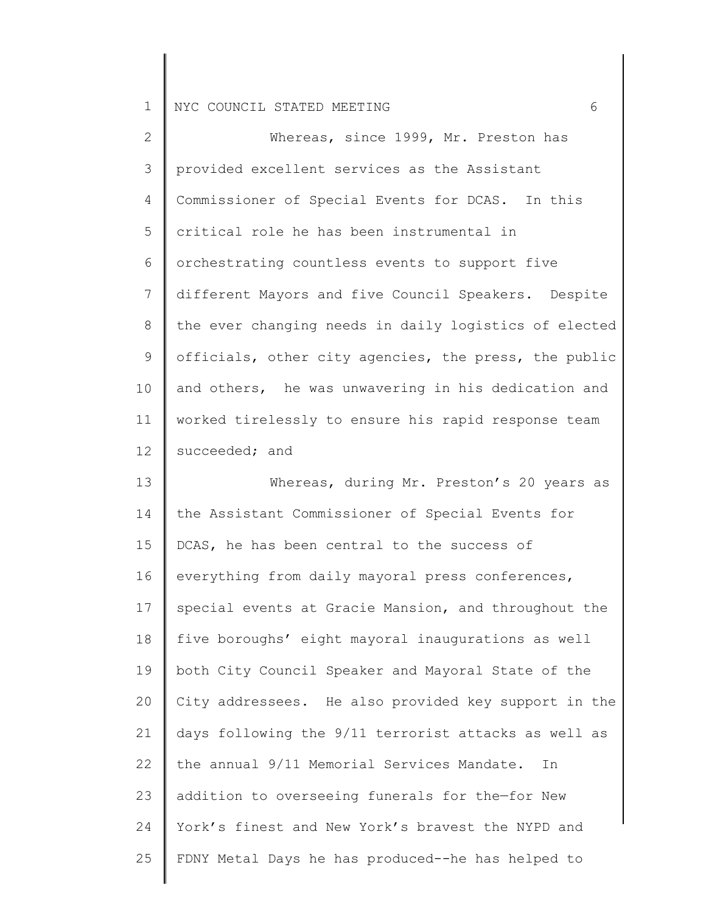25

| $\overline{2}$  | Whereas, since 1999, Mr. Preston has                  |
|-----------------|-------------------------------------------------------|
| 3               | provided excellent services as the Assistant          |
| 4               | Commissioner of Special Events for DCAS. In this      |
| 5               | critical role he has been instrumental in             |
| 6               | orchestrating countless events to support five        |
| 7               | different Mayors and five Council Speakers. Despite   |
| 8               | the ever changing needs in daily logistics of elected |
| 9               | officials, other city agencies, the press, the public |
| 10 <sub>o</sub> | and others, he was unwavering in his dedication and   |
| 11              | worked tirelessly to ensure his rapid response team   |
| 12              | succeeded; and                                        |
| 13              | Whereas, during Mr. Preston's 20 years as             |
| 14              | the Assistant Commissioner of Special Events for      |
| 15              | DCAS, he has been central to the success of           |
| 16              | everything from daily mayoral press conferences,      |
| 17              | special events at Gracie Mansion, and throughout the  |
| 18              | five boroughs' eight mayoral inaugurations as well    |
| 19              | both City Council Speaker and Mayoral State of the    |
| 20              | City addressees. He also provided key support in the  |
| 21              | days following the 9/11 terrorist attacks as well as  |
| 22              | the annual 9/11 Memorial Services Mandate.<br>In      |
| 23              | addition to overseeing funerals for the-for New       |
| 24              | York's finest and New York's bravest the NYPD and     |

FDNY Metal Days he has produced--he has helped to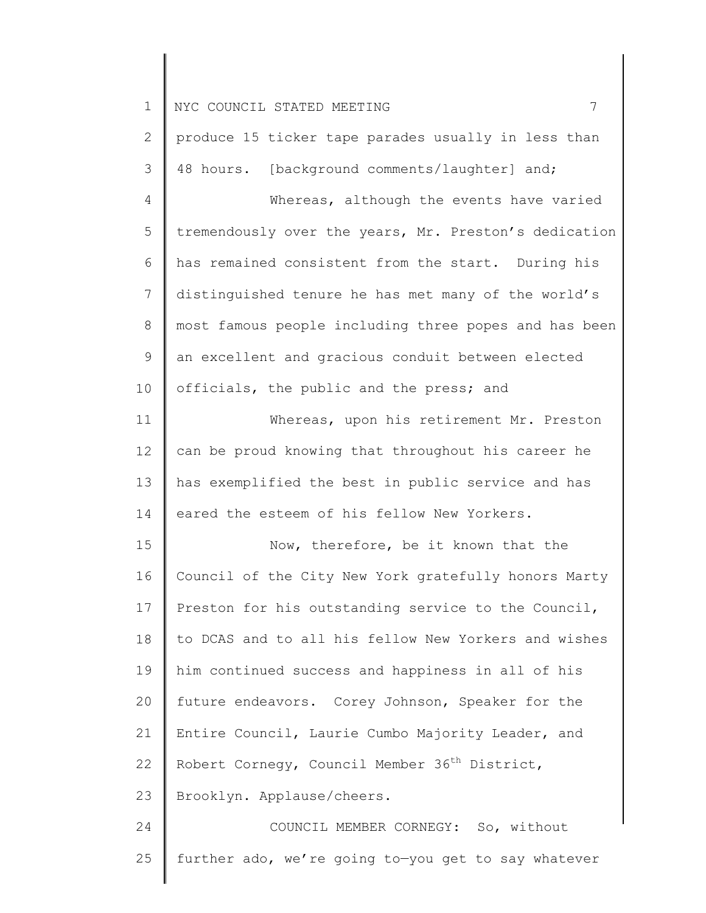| $\mathbf{1}$   | 7<br>NYC COUNCIL STATED MEETING                           |
|----------------|-----------------------------------------------------------|
| $\overline{2}$ | produce 15 ticker tape parades usually in less than       |
| 3              | 48 hours. [background comments/laughter] and;             |
| 4              | Whereas, although the events have varied                  |
| 5              | tremendously over the years, Mr. Preston's dedication     |
| 6              | has remained consistent from the start. During his        |
| 7              | distinguished tenure he has met many of the world's       |
| 8              | most famous people including three popes and has been     |
| 9              | an excellent and gracious conduit between elected         |
| 10             | officials, the public and the press; and                  |
| 11             | Whereas, upon his retirement Mr. Preston                  |
| 12             | can be proud knowing that throughout his career he        |
| 13             | has exemplified the best in public service and has        |
| 14             | eared the esteem of his fellow New Yorkers.               |
| 15             | Now, therefore, be it known that the                      |
| 16             | Council of the City New York gratefully honors Marty      |
| 17             | Preston for his outstanding service to the Council,       |
| 18             | to DCAS and to all his fellow New Yorkers and wishes      |
| 19             | him continued success and happiness in all of his         |
| 20             | future endeavors. Corey Johnson, Speaker for the          |
| 21             | Entire Council, Laurie Cumbo Majority Leader, and         |
| 22             | Robert Cornegy, Council Member 36 <sup>th</sup> District, |
| 23             | Brooklyn. Applause/cheers.                                |
| 24             | COUNCIL MEMBER CORNEGY: So, without                       |
| 25             | further ado, we're going to-you get to say whatever       |

 $\parallel$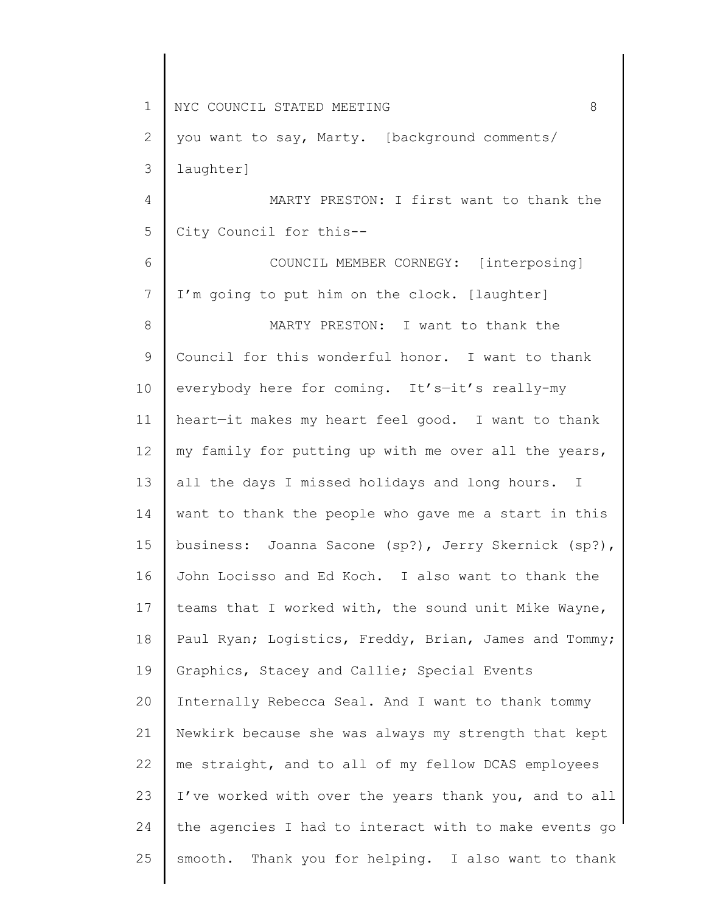1 2 3 4 5 6 7 8 9 10 11 12 13 14 15 16 17 18 19 20 21 22 23 24 25 NYC COUNCIL STATED MEETING 8 you want to say, Marty. [background comments/ laughter] MARTY PRESTON: I first want to thank the City Council for this-- COUNCIL MEMBER CORNEGY: [interposing] I'm going to put him on the clock. [laughter] MARTY PRESTON: I want to thank the Council for this wonderful honor. I want to thank everybody here for coming. It's—it's really-my heart—it makes my heart feel good. I want to thank my family for putting up with me over all the years, all the days I missed holidays and long hours. I want to thank the people who gave me a start in this business: Joanna Sacone (sp?), Jerry Skernick (sp?), John Locisso and Ed Koch. I also want to thank the teams that I worked with, the sound unit Mike Wayne, Paul Ryan; Logistics, Freddy, Brian, James and Tommy; Graphics, Stacey and Callie; Special Events Internally Rebecca Seal. And I want to thank tommy Newkirk because she was always my strength that kept me straight, and to all of my fellow DCAS employees I've worked with over the years thank you, and to all the agencies I had to interact with to make events go smooth. Thank you for helping. I also want to thank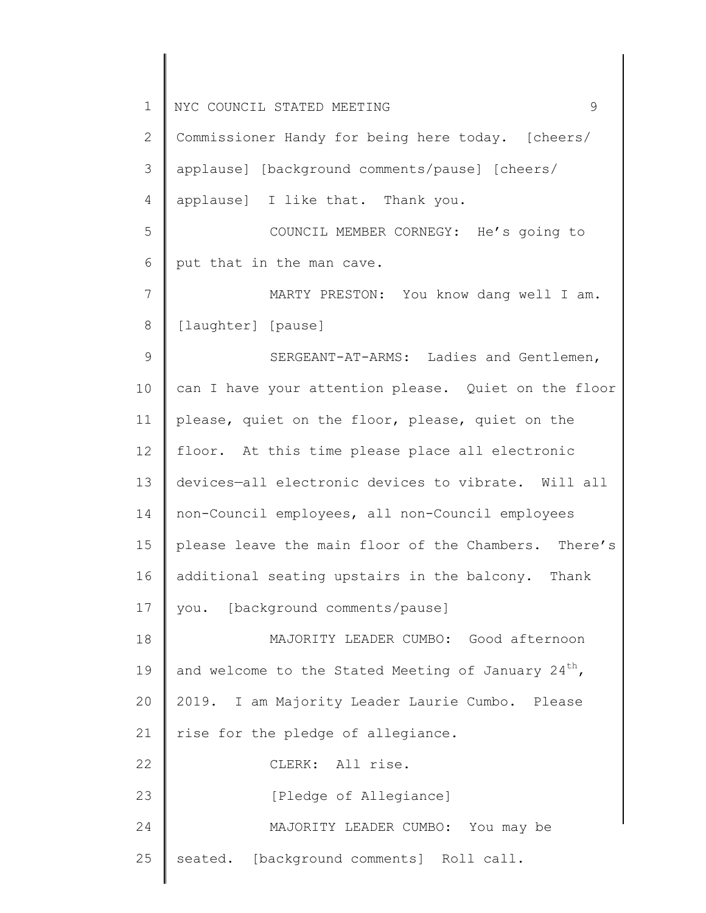1 2 3 4 5 6 7 8 9 10 11 12 13 14 15 16 17 18 19 20 21 22 23 24 25 NYC COUNCIL STATED MEETING 9 Commissioner Handy for being here today. [cheers/ applause] [background comments/pause] [cheers/ applause] I like that. Thank you. COUNCIL MEMBER CORNEGY: He's going to put that in the man cave. MARTY PRESTON: You know dang well I am. [laughter] [pause] SERGEANT-AT-ARMS: Ladies and Gentlemen, can I have your attention please. Quiet on the floor please, quiet on the floor, please, quiet on the floor. At this time please place all electronic devices—all electronic devices to vibrate. Will all non-Council employees, all non-Council employees please leave the main floor of the Chambers. There's additional seating upstairs in the balcony. Thank you. [background comments/pause] MAJORITY LEADER CUMBO: Good afternoon and welcome to the Stated Meeting of January  $24^{th}$ , 2019. I am Majority Leader Laurie Cumbo. Please rise for the pledge of allegiance. CLERK: All rise. [Pledge of Allegiance] MAJORITY LEADER CUMBO: You may be seated. [background comments] Roll call.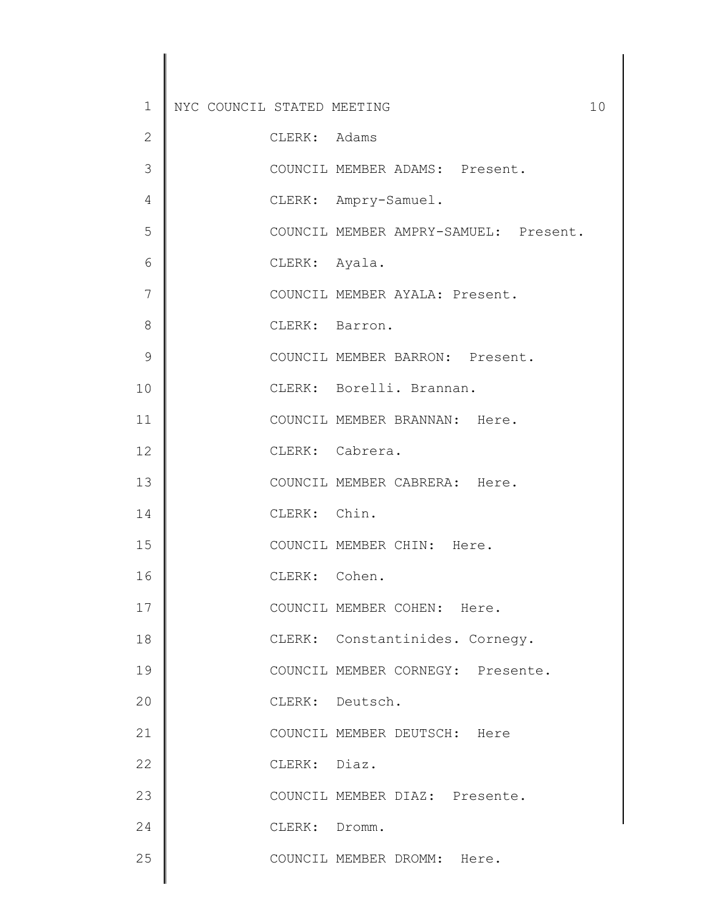| $\mathbf 1$   | 10<br>NYC COUNCIL STATED MEETING      |
|---------------|---------------------------------------|
| $\mathbf{2}$  | CLERK: Adams                          |
| 3             | COUNCIL MEMBER ADAMS: Present.        |
| 4             | CLERK: Ampry-Samuel.                  |
| 5             | COUNCIL MEMBER AMPRY-SAMUEL: Present. |
| 6             | CLERK: Ayala.                         |
| 7             | COUNCIL MEMBER AYALA: Present.        |
| 8             | CLERK: Barron.                        |
| $\mathcal{G}$ | COUNCIL MEMBER BARRON: Present.       |
| 10            | CLERK: Borelli. Brannan.              |
| 11            | COUNCIL MEMBER BRANNAN: Here.         |
| 12            | CLERK: Cabrera.                       |
| 13            | COUNCIL MEMBER CABRERA: Here.         |
| 14            | CLERK: Chin.                          |
| 15            | COUNCIL MEMBER CHIN: Here.            |
| 16            | CLERK: Cohen.                         |
| 17            | COUNCIL MEMBER COHEN: Here.           |
| 18            | CLERK: Constantinides. Cornegy.       |
| 19            | COUNCIL MEMBER CORNEGY: Presente.     |
| 20            | CLERK: Deutsch.                       |
| 21            | COUNCIL MEMBER DEUTSCH: Here          |
| 22            | CLERK: Diaz.                          |
| 23            | COUNCIL MEMBER DIAZ: Presente.        |
| 24            | CLERK: Dromm.                         |
| 25            | COUNCIL MEMBER DROMM: Here.           |
|               |                                       |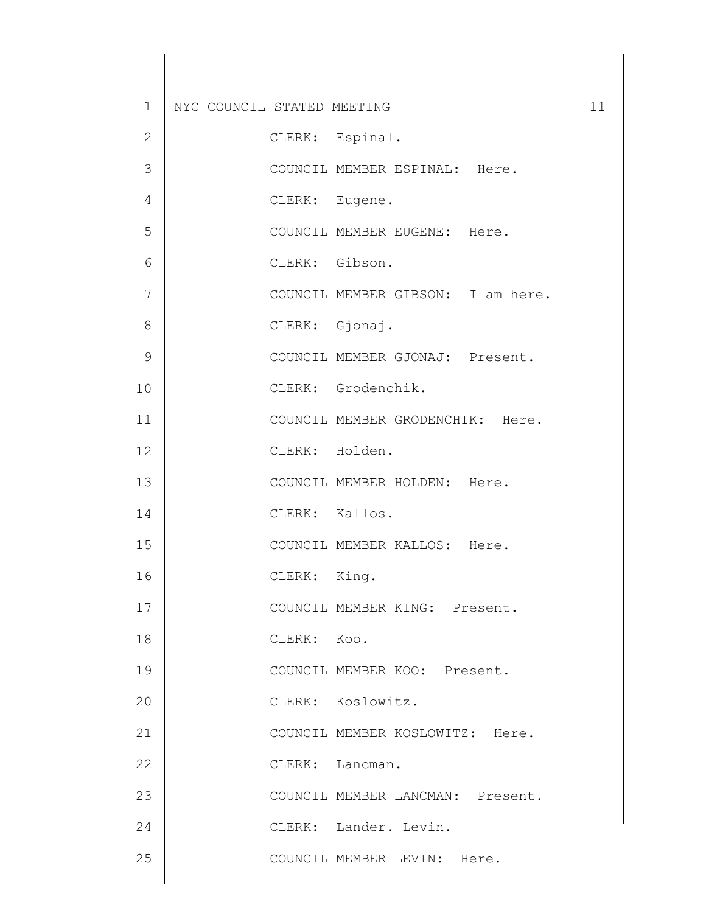| $\mathbf 1$   | NYC COUNCIL STATED MEETING        | 11 |
|---------------|-----------------------------------|----|
| $\mathbf{2}$  | CLERK: Espinal.                   |    |
| 3             | COUNCIL MEMBER ESPINAL: Here.     |    |
| 4             | CLERK: Eugene.                    |    |
| 5             | COUNCIL MEMBER EUGENE: Here.      |    |
| 6             | CLERK: Gibson.                    |    |
| 7             | COUNCIL MEMBER GIBSON: I am here. |    |
| 8             | CLERK: Gjonaj.                    |    |
| $\mathcal{G}$ | COUNCIL MEMBER GJONAJ: Present.   |    |
| 10            | CLERK: Grodenchik.                |    |
| 11            | COUNCIL MEMBER GRODENCHIK: Here.  |    |
| 12            | CLERK: Holden.                    |    |
| 13            | COUNCIL MEMBER HOLDEN: Here.      |    |
| 14            | CLERK: Kallos.                    |    |
| 15            | COUNCIL MEMBER KALLOS: Here.      |    |
| 16            | CLERK: King.                      |    |
| 17            | COUNCIL MEMBER KING: Present.     |    |
| 18            | CLERK: Koo.                       |    |
| 19            | COUNCIL MEMBER KOO: Present.      |    |
| 20            | CLERK: Koslowitz.                 |    |
| 21            | COUNCIL MEMBER KOSLOWITZ: Here.   |    |
| 22            | CLERK: Lancman.                   |    |
| 23            | COUNCIL MEMBER LANCMAN: Present.  |    |
| 24            | CLERK: Lander. Levin.             |    |
| 25            | COUNCIL MEMBER LEVIN: Here.       |    |
|               |                                   |    |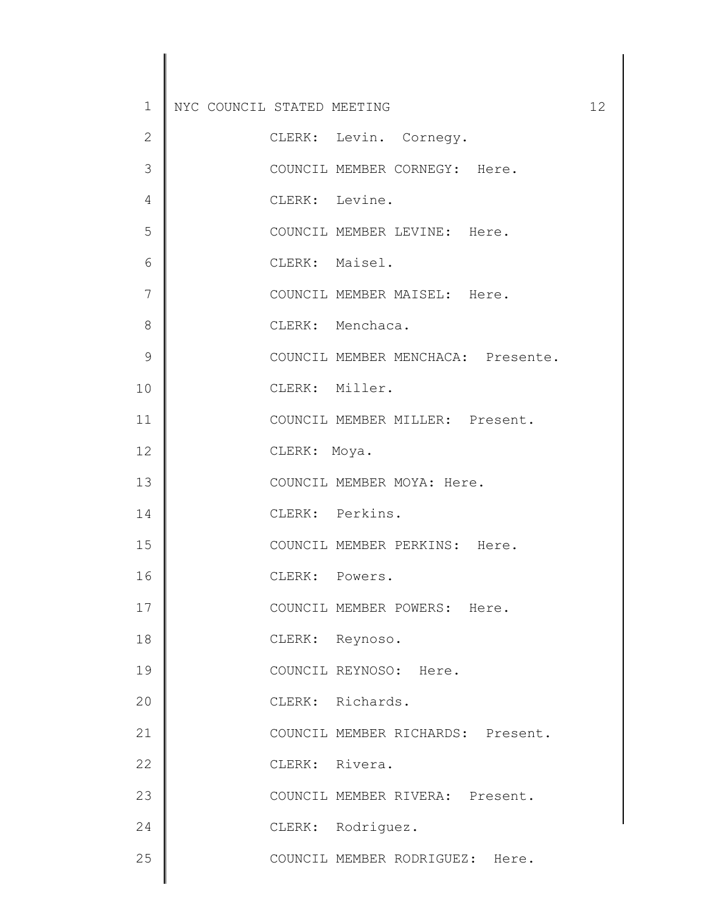| $\mathbf 1$  | NYC COUNCIL STATED MEETING         | 12 <sup>°</sup> |
|--------------|------------------------------------|-----------------|
| $\mathbf{2}$ | CLERK: Levin. Cornegy.             |                 |
| 3            | COUNCIL MEMBER CORNEGY: Here.      |                 |
| 4            | CLERK: Levine.                     |                 |
| 5            | COUNCIL MEMBER LEVINE: Here.       |                 |
| 6            | CLERK: Maisel.                     |                 |
| 7            | COUNCIL MEMBER MAISEL: Here.       |                 |
| 8            | CLERK: Menchaca.                   |                 |
| $\mathsf 9$  | COUNCIL MEMBER MENCHACA: Presente. |                 |
| 10           | CLERK: Miller.                     |                 |
| 11           | COUNCIL MEMBER MILLER: Present.    |                 |
| 12           | CLERK: Moya.                       |                 |
| 13           | COUNCIL MEMBER MOYA: Here.         |                 |
| 14           | CLERK: Perkins.                    |                 |
| 15           | COUNCIL MEMBER PERKINS: Here.      |                 |
| 16           | CLERK: Powers.                     |                 |
| 17           | COUNCIL MEMBER POWERS: Here.       |                 |
| 18           | CLERK: Reynoso.                    |                 |
| 19           | COUNCIL REYNOSO: Here.             |                 |
| 20           | CLERK: Richards.                   |                 |
| 21           | COUNCIL MEMBER RICHARDS: Present.  |                 |
| 22           | CLERK: Rivera.                     |                 |
| 23           | COUNCIL MEMBER RIVERA: Present.    |                 |
| 24           | CLERK: Rodriguez.                  |                 |
| 25           | COUNCIL MEMBER RODRIGUEZ: Here.    |                 |
|              |                                    |                 |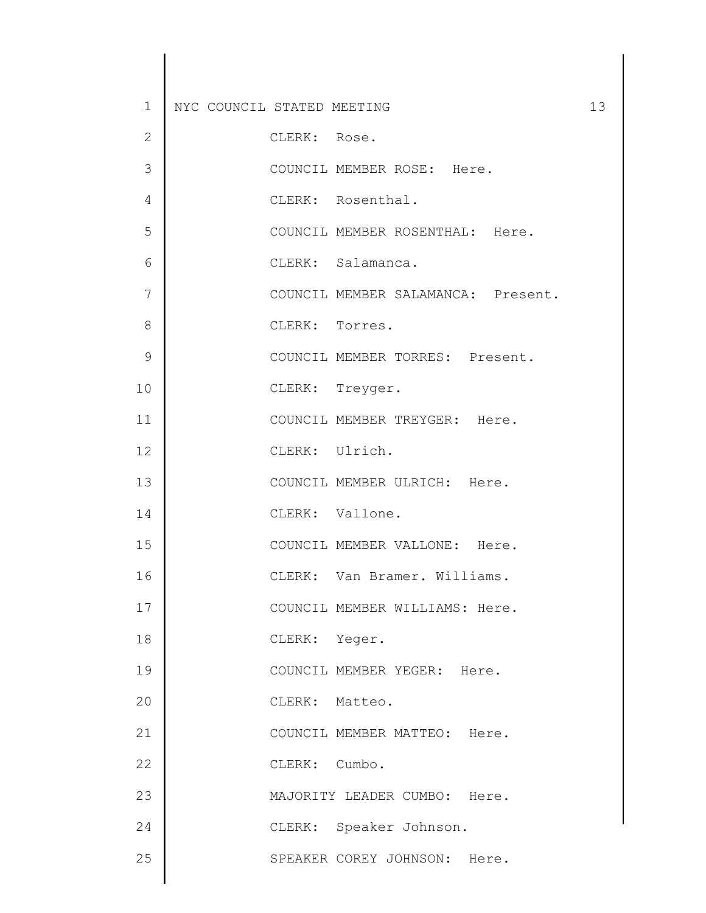| $\mathbf 1$  | NYC COUNCIL STATED MEETING         | 13 |
|--------------|------------------------------------|----|
| $\mathbf{2}$ | CLERK: Rose.                       |    |
| 3            | COUNCIL MEMBER ROSE: Here.         |    |
| 4            | CLERK: Rosenthal.                  |    |
| 5            | COUNCIL MEMBER ROSENTHAL: Here.    |    |
| 6            | CLERK: Salamanca.                  |    |
| 7            | COUNCIL MEMBER SALAMANCA: Present. |    |
| 8            | CLERK: Torres.                     |    |
| 9            | COUNCIL MEMBER TORRES: Present.    |    |
| 10           | CLERK: Treyger.                    |    |
| 11           | COUNCIL MEMBER TREYGER: Here.      |    |
| 12           | CLERK: Ulrich.                     |    |
| 13           | COUNCIL MEMBER ULRICH: Here.       |    |
| 14           | CLERK: Vallone.                    |    |
| 15           | COUNCIL MEMBER VALLONE: Here.      |    |
| 16           | CLERK: Van Bramer. Williams.       |    |
| 17           | COUNCIL MEMBER WILLIAMS: Here.     |    |
| 18           | CLERK: Yeger.                      |    |
| 19           | COUNCIL MEMBER YEGER: Here.        |    |
| 20           | CLERK: Matteo.                     |    |
| 21           | COUNCIL MEMBER MATTEO: Here.       |    |
| 22           | CLERK: Cumbo.                      |    |
| 23           | MAJORITY LEADER CUMBO: Here.       |    |
| 24           | CLERK: Speaker Johnson.            |    |
| 25           | SPEAKER COREY JOHNSON: Here.       |    |
|              |                                    |    |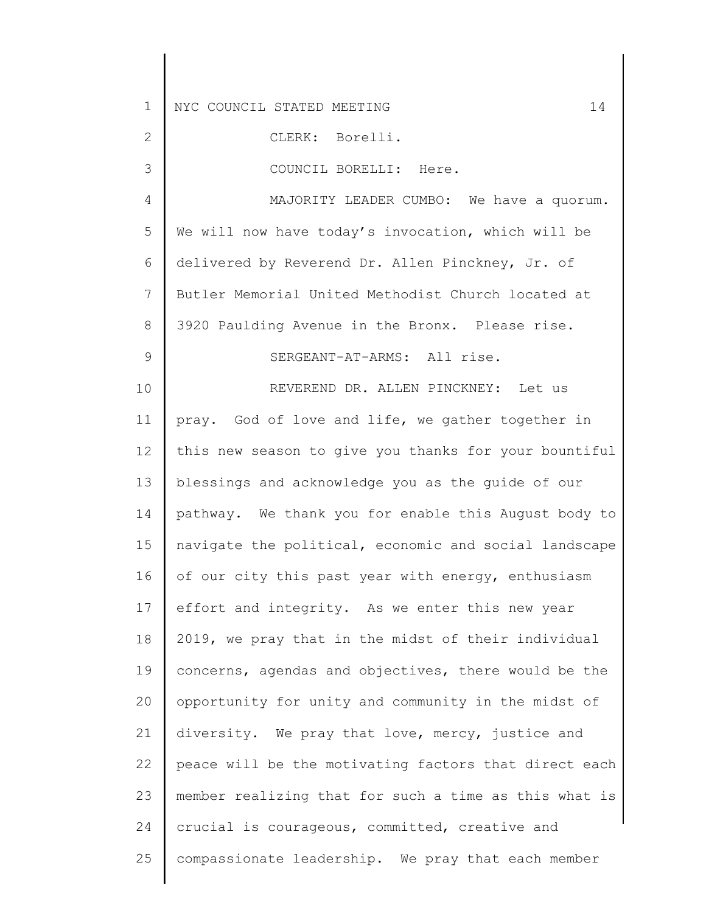|  |  | 1    NYC COUNCIL STATED MEETING |  |  |  |  |
|--|--|---------------------------------|--|--|--|--|
|--|--|---------------------------------|--|--|--|--|

2

3

9

CLERK: Borelli.

COUNCIL BORELLI: Here.

4 5 6 7 8 MAJORITY LEADER CUMBO: We have a quorum. We will now have today's invocation, which will be delivered by Reverend Dr. Allen Pinckney, Jr. of Butler Memorial United Methodist Church located at 3920 Paulding Avenue in the Bronx. Please rise.

# SERGEANT-AT-ARMS: All rise.

10 11 12 13 14 15 16 17 18 19 20 21 22 23 24 25 REVEREND DR. ALLEN PINCKNEY: Let us pray. God of love and life, we gather together in this new season to give you thanks for your bountiful blessings and acknowledge you as the guide of our pathway. We thank you for enable this August body to navigate the political, economic and social landscape of our city this past year with energy, enthusiasm effort and integrity. As we enter this new year 2019, we pray that in the midst of their individual concerns, agendas and objectives, there would be the opportunity for unity and community in the midst of diversity. We pray that love, mercy, justice and peace will be the motivating factors that direct each member realizing that for such a time as this what is crucial is courageous, committed, creative and compassionate leadership. We pray that each member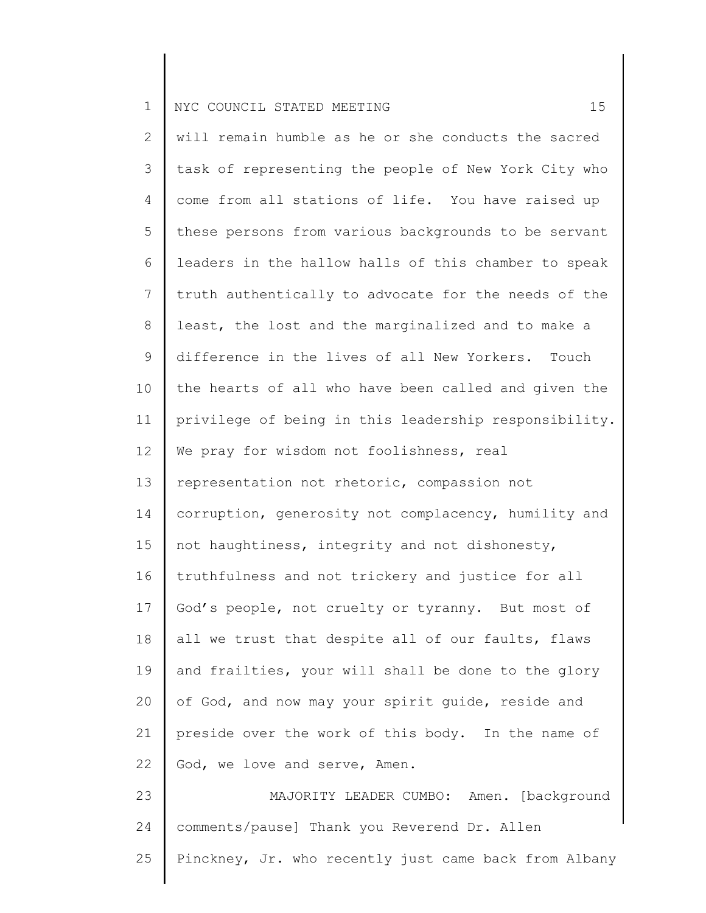2 3 4 5 6 7 8 9 10 11 12 13 14 15 16 17 18 19 20 21 22 23 24 25 will remain humble as he or she conducts the sacred task of representing the people of New York City who come from all stations of life. You have raised up these persons from various backgrounds to be servant leaders in the hallow halls of this chamber to speak truth authentically to advocate for the needs of the least, the lost and the marginalized and to make a difference in the lives of all New Yorkers. Touch the hearts of all who have been called and given the privilege of being in this leadership responsibility. We pray for wisdom not foolishness, real representation not rhetoric, compassion not corruption, generosity not complacency, humility and not haughtiness, integrity and not dishonesty, truthfulness and not trickery and justice for all God's people, not cruelty or tyranny. But most of all we trust that despite all of our faults, flaws and frailties, your will shall be done to the glory of God, and now may your spirit guide, reside and preside over the work of this body. In the name of God, we love and serve, Amen. MAJORITY LEADER CUMBO: Amen. [background comments/pause] Thank you Reverend Dr. Allen Pinckney, Jr. who recently just came back from Albany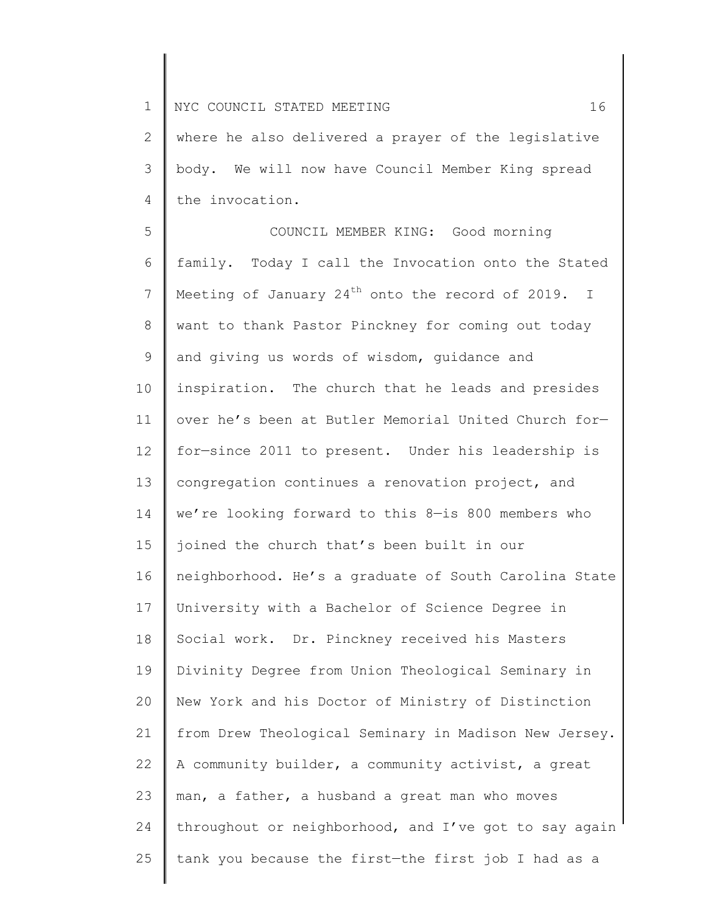2 3 4 where he also delivered a prayer of the legislative body. We will now have Council Member King spread the invocation.

5 6 7 8 9 10 11 12 13 14 15 16 17 18 19 20 21 22 23 24 25 COUNCIL MEMBER KING: Good morning family. Today I call the Invocation onto the Stated Meeting of January  $24<sup>th</sup>$  onto the record of 2019. I want to thank Pastor Pinckney for coming out today and giving us words of wisdom, guidance and inspiration. The church that he leads and presides over he's been at Butler Memorial United Church for for—since 2011 to present. Under his leadership is congregation continues a renovation project, and we're looking forward to this 8—is 800 members who joined the church that's been built in our neighborhood. He's a graduate of South Carolina State University with a Bachelor of Science Degree in Social work. Dr. Pinckney received his Masters Divinity Degree from Union Theological Seminary in New York and his Doctor of Ministry of Distinction from Drew Theological Seminary in Madison New Jersey. A community builder, a community activist, a great man, a father, a husband a great man who moves throughout or neighborhood, and I've got to say again tank you because the first—the first job I had as a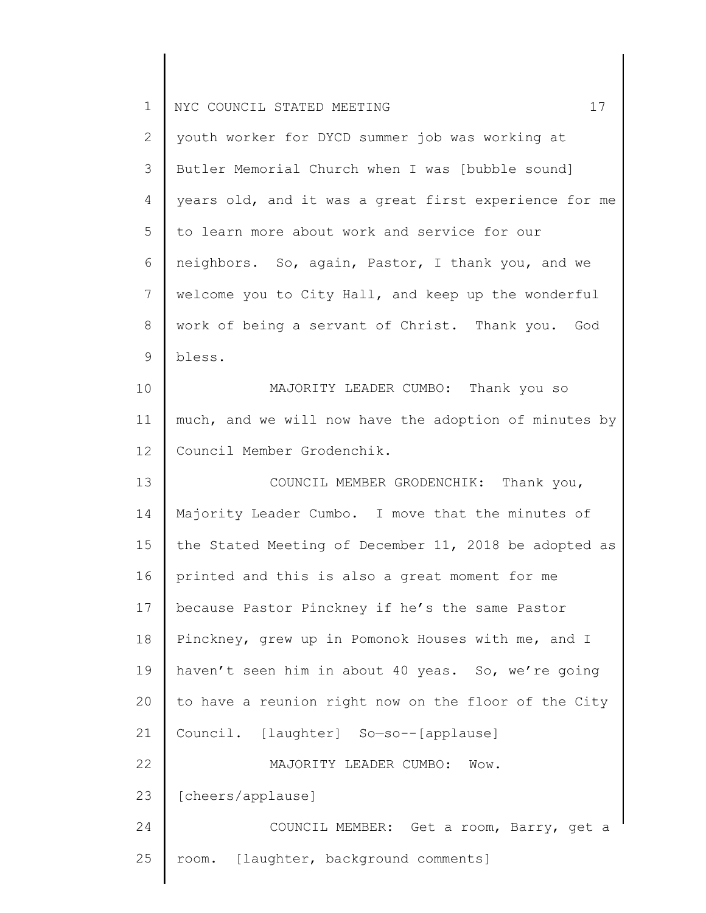| $\mathbf 1$    | 17<br>NYC COUNCIL STATED MEETING                      |
|----------------|-------------------------------------------------------|
| $\overline{2}$ | youth worker for DYCD summer job was working at       |
| 3              | Butler Memorial Church when I was [bubble sound]      |
| 4              | years old, and it was a great first experience for me |
| 5              | to learn more about work and service for our          |
| 6              | neighbors. So, again, Pastor, I thank you, and we     |
| 7              | welcome you to City Hall, and keep up the wonderful   |
| 8              | work of being a servant of Christ. Thank you. God     |
| 9              | bless.                                                |
| 10             | MAJORITY LEADER CUMBO: Thank you so                   |
| 11             | much, and we will now have the adoption of minutes by |
| 12             | Council Member Grodenchik.                            |
| 13             | COUNCIL MEMBER GRODENCHIK: Thank you,                 |
| 14             | Majority Leader Cumbo. I move that the minutes of     |
| 15             | the Stated Meeting of December 11, 2018 be adopted as |
| 16             | printed and this is also a great moment for me        |
| 17             | because Pastor Pinckney if he's the same Pastor       |
| 18             | Pinckney, grew up in Pomonok Houses with me, and I    |
| 19             | haven't seen him in about 40 yeas. So, we're going    |
| 20             | to have a reunion right now on the floor of the City  |
| 21             | Council. [laughter] So-so--[applause]                 |
| 22             | MAJORITY LEADER CUMBO:<br>Wow.                        |
| 23             | [cheers/applause]                                     |
| 24             | COUNCIL MEMBER: Get a room, Barry, get a              |
| 25             | [laughter, background comments]<br>room.              |
|                |                                                       |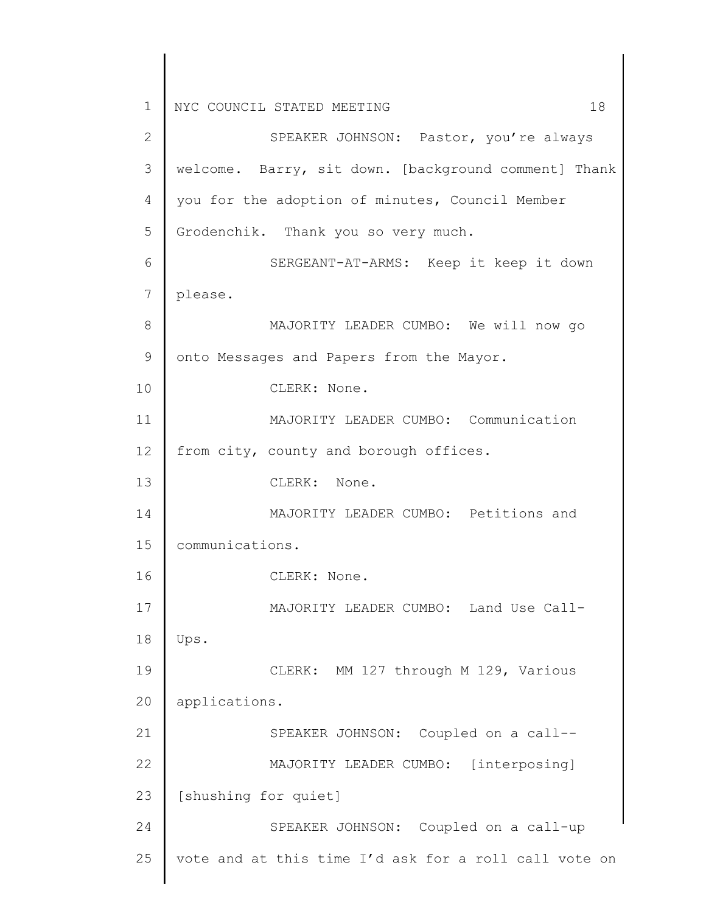1 2 3 4 5 6 7 8 9 10 11 12 13 14 15 16 17 18 19 20 21 22 23 24 25 NYC COUNCIL STATED MEETING 18 SPEAKER JOHNSON: Pastor, you're always welcome. Barry, sit down. [background comment] Thank you for the adoption of minutes, Council Member Grodenchik. Thank you so very much. SERGEANT-AT-ARMS: Keep it keep it down please. MAJORITY LEADER CUMBO: We will now go onto Messages and Papers from the Mayor. CLERK: None. MAJORITY LEADER CUMBO: Communication from city, county and borough offices. CLERK: None. MAJORITY LEADER CUMBO: Petitions and communications. CLERK: None. MAJORITY LEADER CUMBO: Land Use Call-Ups. CLERK: MM 127 through M 129, Various applications. SPEAKER JOHNSON: Coupled on a call-- MAJORITY LEADER CUMBO: [interposing] [shushing for quiet] SPEAKER JOHNSON: Coupled on a call-up vote and at this time I'd ask for a roll call vote on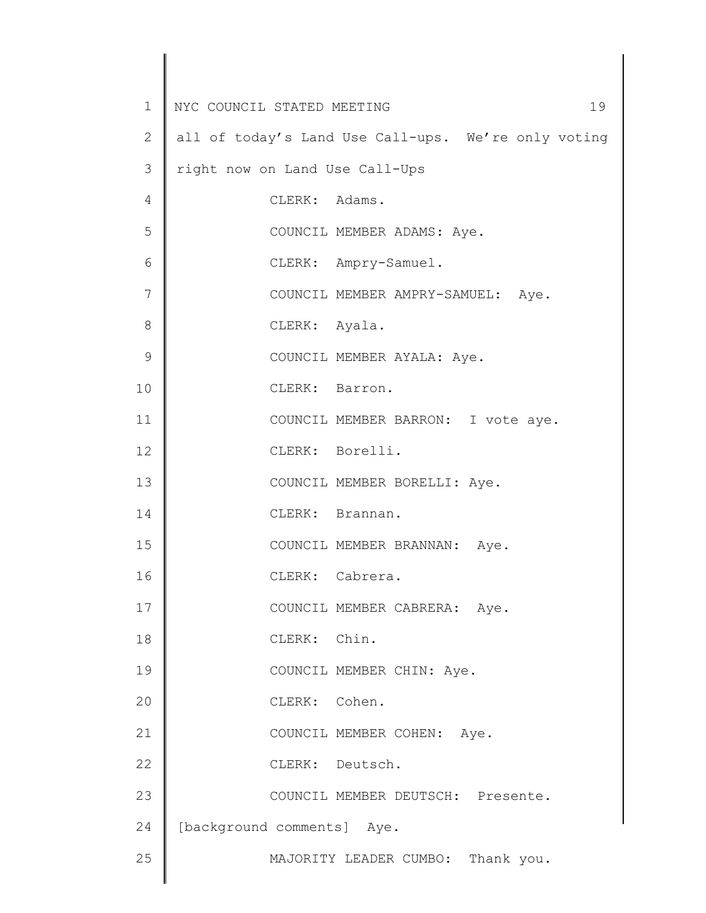| $1\,$         | NYC COUNCIL STATED MEETING<br>19                    |
|---------------|-----------------------------------------------------|
| $\mathbf{2}$  | all of today's Land Use Call-ups. We're only voting |
| 3             | right now on Land Use Call-Ups                      |
| 4             | CLERK: Adams.                                       |
| 5             | COUNCIL MEMBER ADAMS: Aye.                          |
| 6             | CLERK: Ampry-Samuel.                                |
| 7             | COUNCIL MEMBER AMPRY-SAMUEL: Aye.                   |
| 8             | CLERK: Ayala.                                       |
| $\mathcal{G}$ | COUNCIL MEMBER AYALA: Aye.                          |
| 10            | CLERK: Barron.                                      |
| 11            | COUNCIL MEMBER BARRON: I vote aye.                  |
| 12            | CLERK: Borelli.                                     |
| 13            | COUNCIL MEMBER BORELLI: Aye.                        |
| 14            | CLERK: Brannan.                                     |
| 15            | COUNCIL MEMBER BRANNAN: Aye.                        |
| 16            | CLERK: Cabrera.                                     |
| 17            | COUNCIL MEMBER CABRERA: Aye.                        |
| 18            | CLERK: Chin.                                        |
| 19            | COUNCIL MEMBER CHIN: Aye.                           |
| 20            | CLERK: Cohen.                                       |
| 21            | COUNCIL MEMBER COHEN: Aye.                          |
| 22            | CLERK: Deutsch.                                     |
| 23            | COUNCIL MEMBER DEUTSCH: Presente.                   |
| 24            | [background comments] Aye.                          |
| 25            | MAJORITY LEADER CUMBO: Thank you.                   |
|               |                                                     |

 $\begin{array}{c} \hline \end{array}$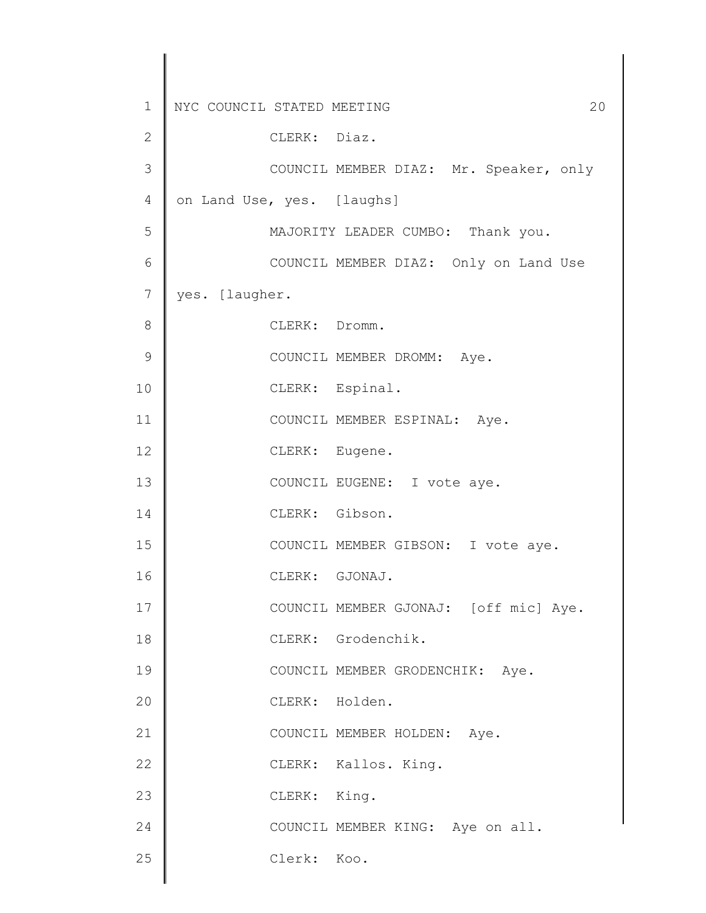1 2 3 4 5 6 7 8 9 10 11 12 13 14 15 16 17 18 19 20 21 22 23 24 25 NYC COUNCIL STATED MEETING **20** CLERK: Diaz. COUNCIL MEMBER DIAZ: Mr. Speaker, only on Land Use, yes. [laughs] MAJORITY LEADER CUMBO: Thank you. COUNCIL MEMBER DIAZ: Only on Land Use yes. [laugher. CLERK: Dromm. COUNCIL MEMBER DROMM: Aye. CLERK: Espinal. COUNCIL MEMBER ESPINAL: Aye. CLERK: Eugene. COUNCIL EUGENE: I vote aye. CLERK: Gibson. COUNCIL MEMBER GIBSON: I vote aye. CLERK: GJONAJ. COUNCIL MEMBER GJONAJ: [off mic] Aye. CLERK: Grodenchik. COUNCIL MEMBER GRODENCHIK: Aye. CLERK: Holden. COUNCIL MEMBER HOLDEN: Aye. CLERK: Kallos. King. CLERK: King. COUNCIL MEMBER KING: Aye on all. Clerk: Koo.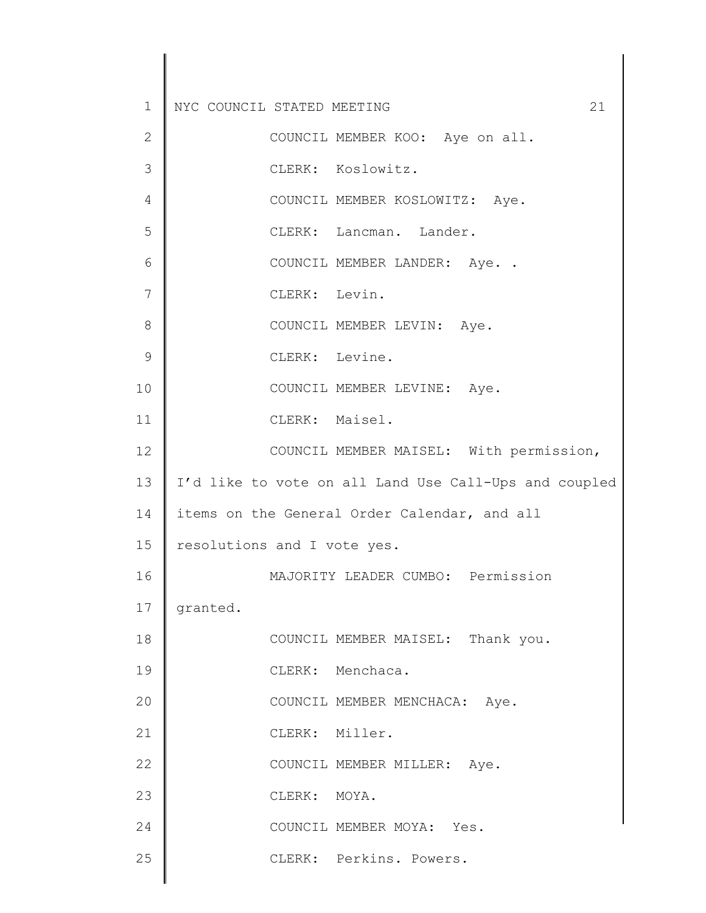1 2 3 4 5 6 7 8 9 10 11 12 13 14 15 16 17 18 19 20 21 22 23 24 25 NYC COUNCIL STATED MEETING **21** COUNCIL MEMBER KOO: Aye on all. CLERK: Koslowitz. COUNCIL MEMBER KOSLOWITZ: Aye. CLERK: Lancman. Lander. COUNCIL MEMBER LANDER: Aye. . CLERK: Levin. COUNCIL MEMBER LEVIN: Aye. CLERK: Levine. COUNCIL MEMBER LEVINE: Aye. CLERK: Maisel. COUNCIL MEMBER MAISEL: With permission, I'd like to vote on all Land Use Call-Ups and coupled items on the General Order Calendar, and all resolutions and I vote yes. MAJORITY LEADER CUMBO: Permission granted. COUNCIL MEMBER MAISEL: Thank you. CLERK: Menchaca. COUNCIL MEMBER MENCHACA: Aye. CLERK: Miller. COUNCIL MEMBER MILLER: Aye. CLERK: MOYA. COUNCIL MEMBER MOYA: Yes. CLERK: Perkins. Powers.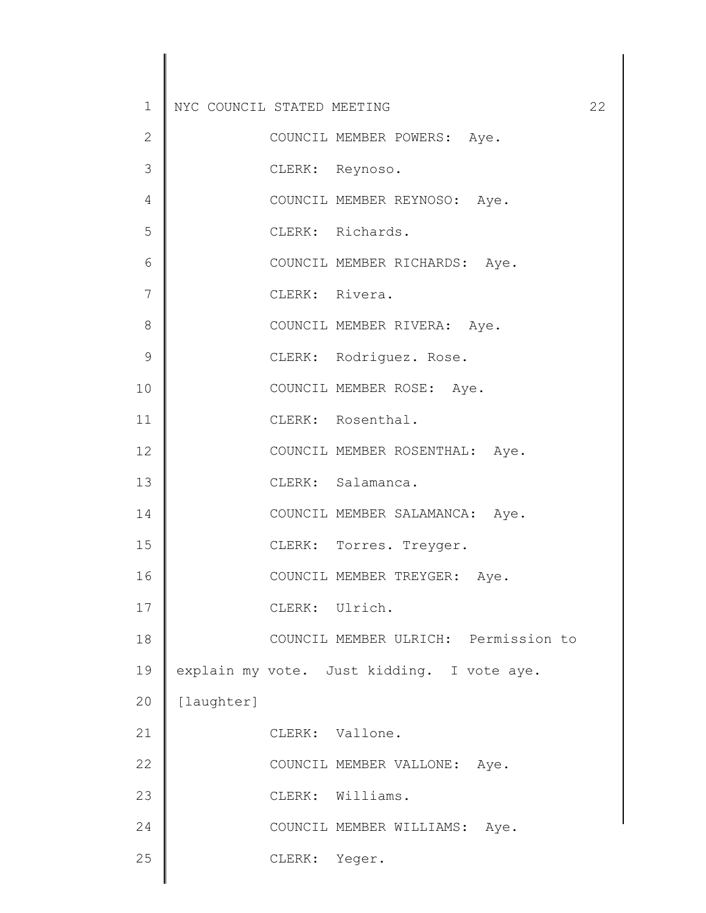| $\mathbf 1$   | NYC COUNCIL STATED MEETING |                |                                            | 22 |
|---------------|----------------------------|----------------|--------------------------------------------|----|
| 2             |                            |                | COUNCIL MEMBER POWERS: Aye.                |    |
| 3             |                            |                | CLERK: Reynoso.                            |    |
| 4             |                            |                | COUNCIL MEMBER REYNOSO: Aye.               |    |
| 5             |                            |                | CLERK: Richards.                           |    |
| 6             |                            |                | COUNCIL MEMBER RICHARDS: Aye.              |    |
| 7             |                            | CLERK: Rivera. |                                            |    |
| 8             |                            |                | COUNCIL MEMBER RIVERA: Aye.                |    |
| $\mathcal{G}$ |                            |                | CLERK: Rodriguez. Rose.                    |    |
| 10            |                            |                | COUNCIL MEMBER ROSE: Aye.                  |    |
| 11            |                            |                | CLERK: Rosenthal.                          |    |
| 12            |                            |                | COUNCIL MEMBER ROSENTHAL: Aye.             |    |
| 13            |                            |                | CLERK: Salamanca.                          |    |
| 14            |                            |                | COUNCIL MEMBER SALAMANCA: Aye.             |    |
| 15            |                            |                | CLERK: Torres. Treyger.                    |    |
| 16            |                            |                | COUNCIL MEMBER TREYGER: Aye.               |    |
| 17            |                            | CLERK:         | Ulrich.                                    |    |
| 18            |                            |                | COUNCIL MEMBER ULRICH: Permission to       |    |
| 19            |                            |                | explain my vote. Just kidding. I vote aye. |    |
| 20            | [laughter]                 |                |                                            |    |
| 21            |                            |                | CLERK: Vallone.                            |    |
| 22            |                            |                | COUNCIL MEMBER VALLONE: Aye.               |    |
| 23            |                            |                | CLERK: Williams.                           |    |
| 24            |                            |                | COUNCIL MEMBER WILLIAMS: Aye.              |    |
| 25            |                            | CLERK: Yeger.  |                                            |    |
|               |                            |                |                                            |    |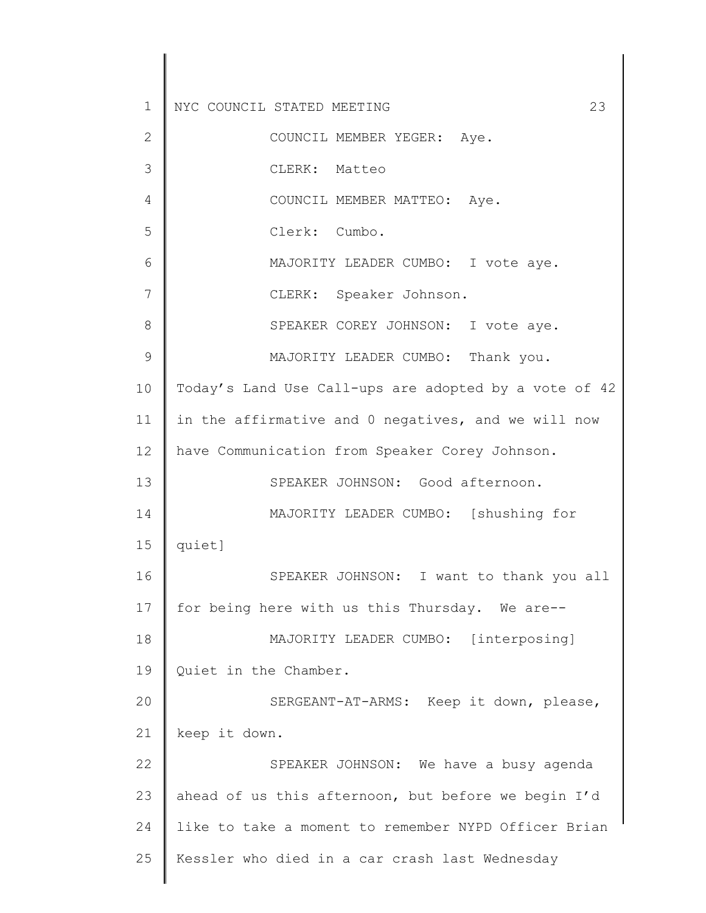1 2 3 4 5 6 7 8 9 10 11 12 13 14 15 16 17 18 19 20 21 22 23 24 25 NYC COUNCIL STATED MEETING **1988** 23 COUNCIL MEMBER YEGER: Aye. CLERK: Matteo COUNCIL MEMBER MATTEO: Aye. Clerk: Cumbo. MAJORITY LEADER CUMBO: I vote aye. CLERK: Speaker Johnson. SPEAKER COREY JOHNSON: I vote aye. MAJORITY LEADER CUMBO: Thank you. Today's Land Use Call-ups are adopted by a vote of 42 in the affirmative and 0 negatives, and we will now have Communication from Speaker Corey Johnson. SPEAKER JOHNSON: Good afternoon. MAJORITY LEADER CUMBO: [shushing for quiet] SPEAKER JOHNSON: I want to thank you all for being here with us this Thursday. We are-- MAJORITY LEADER CUMBO: [interposing] Quiet in the Chamber. SERGEANT-AT-ARMS: Keep it down, please, keep it down. SPEAKER JOHNSON: We have a busy agenda ahead of us this afternoon, but before we begin I'd like to take a moment to remember NYPD Officer Brian Kessler who died in a car crash last Wednesday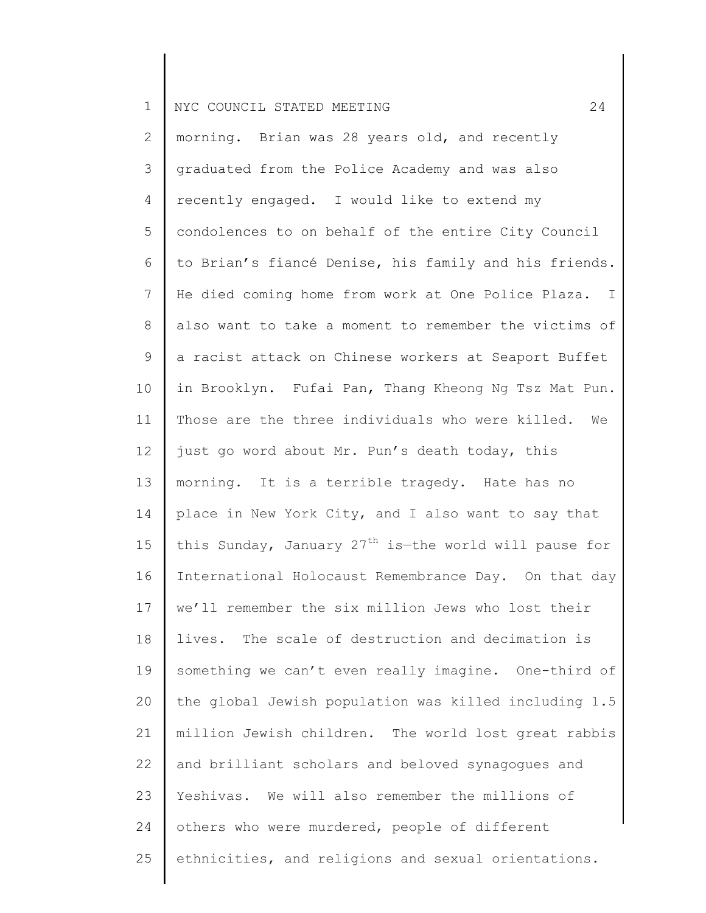2 3 4 5 6 7 8 9 10 11 12 13 14 15 16 17 18 19 20 21 22 23 24 25 morning. Brian was 28 years old, and recently graduated from the Police Academy and was also recently engaged. I would like to extend my condolences to on behalf of the entire City Council to Brian's fiancé Denise, his family and his friends. He died coming home from work at One Police Plaza. I also want to take a moment to remember the victims of a racist attack on Chinese workers at Seaport Buffet in Brooklyn. Fufai Pan, Thang Kheong Ng Tsz Mat Pun. Those are the three individuals who were killed. We just go word about Mr. Pun's death today, this morning. It is a terrible tragedy. Hate has no place in New York City, and I also want to say that this Sunday, January  $27<sup>th</sup>$  is-the world will pause for International Holocaust Remembrance Day. On that day we'll remember the six million Jews who lost their lives. The scale of destruction and decimation is something we can't even really imagine. One-third of the global Jewish population was killed including 1.5 million Jewish children. The world lost great rabbis and brilliant scholars and beloved synagogues and Yeshivas. We will also remember the millions of others who were murdered, people of different ethnicities, and religions and sexual orientations.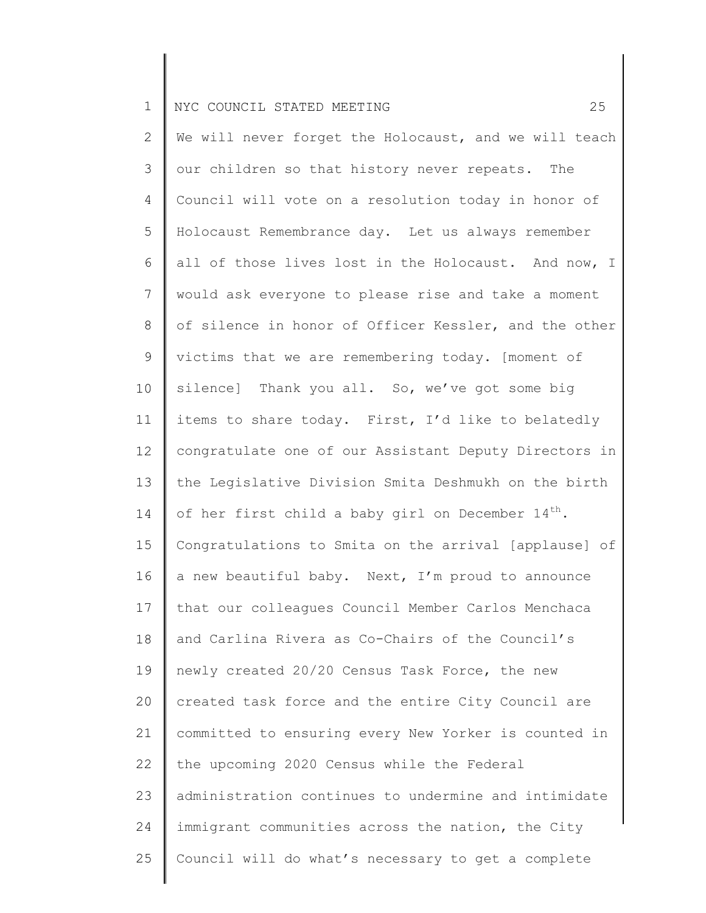2 3 4 5 6 7 8 9 10 11 12 13 14 15 16 17 18 19 20 21 22 23 24 25 We will never forget the Holocaust, and we will teach our children so that history never repeats. The Council will vote on a resolution today in honor of Holocaust Remembrance day. Let us always remember all of those lives lost in the Holocaust. And now, I would ask everyone to please rise and take a moment of silence in honor of Officer Kessler, and the other victims that we are remembering today. [moment of silence] Thank you all. So, we've got some big items to share today. First, I'd like to belatedly congratulate one of our Assistant Deputy Directors in the Legislative Division Smita Deshmukh on the birth of her first child a baby girl on December  $14^{th}$ . Congratulations to Smita on the arrival [applause] of a new beautiful baby. Next, I'm proud to announce that our colleagues Council Member Carlos Menchaca and Carlina Rivera as Co-Chairs of the Council's newly created 20/20 Census Task Force, the new created task force and the entire City Council are committed to ensuring every New Yorker is counted in the upcoming 2020 Census while the Federal administration continues to undermine and intimidate immigrant communities across the nation, the City Council will do what's necessary to get a complete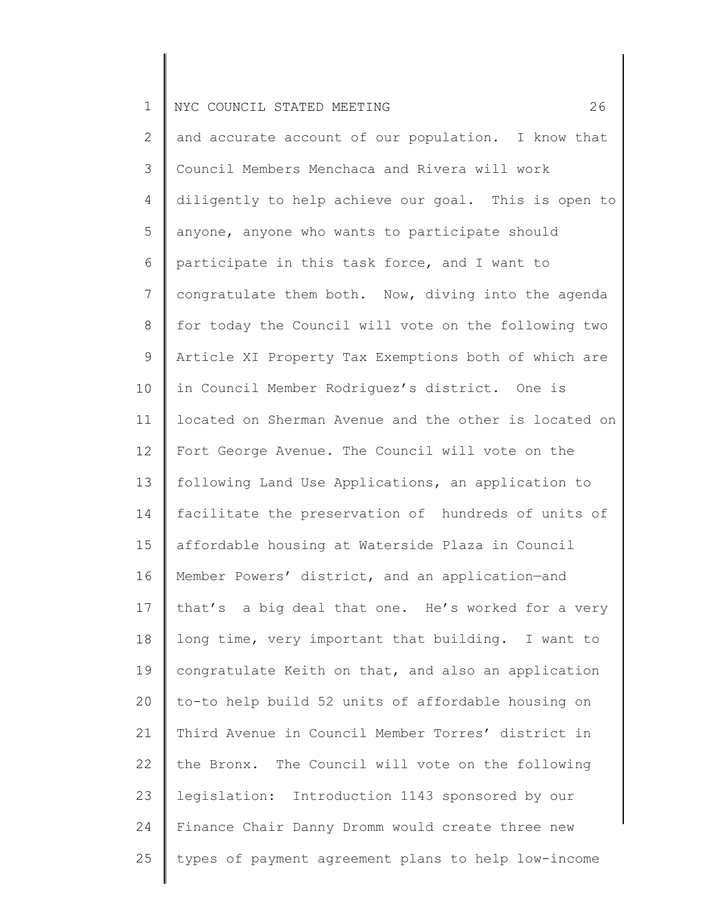2 3 4 5 6 7 8 9 10 11 12 13 14 15 16 17 18 19 20 21 22 23 24 25 and accurate account of our population. I know that Council Members Menchaca and Rivera will work diligently to help achieve our goal. This is open to anyone, anyone who wants to participate should participate in this task force, and I want to congratulate them both. Now, diving into the agenda for today the Council will vote on the following two Article XI Property Tax Exemptions both of which are in Council Member Rodriguez's district. One is located on Sherman Avenue and the other is located on Fort George Avenue. The Council will vote on the following Land Use Applications, an application to facilitate the preservation of hundreds of units of affordable housing at Waterside Plaza in Council Member Powers' district, and an application—and that's a big deal that one. He's worked for a very long time, very important that building. I want to congratulate Keith on that, and also an application to-to help build 52 units of affordable housing on Third Avenue in Council Member Torres' district in the Bronx. The Council will vote on the following legislation: Introduction 1143 sponsored by our Finance Chair Danny Dromm would create three new types of payment agreement plans to help low-income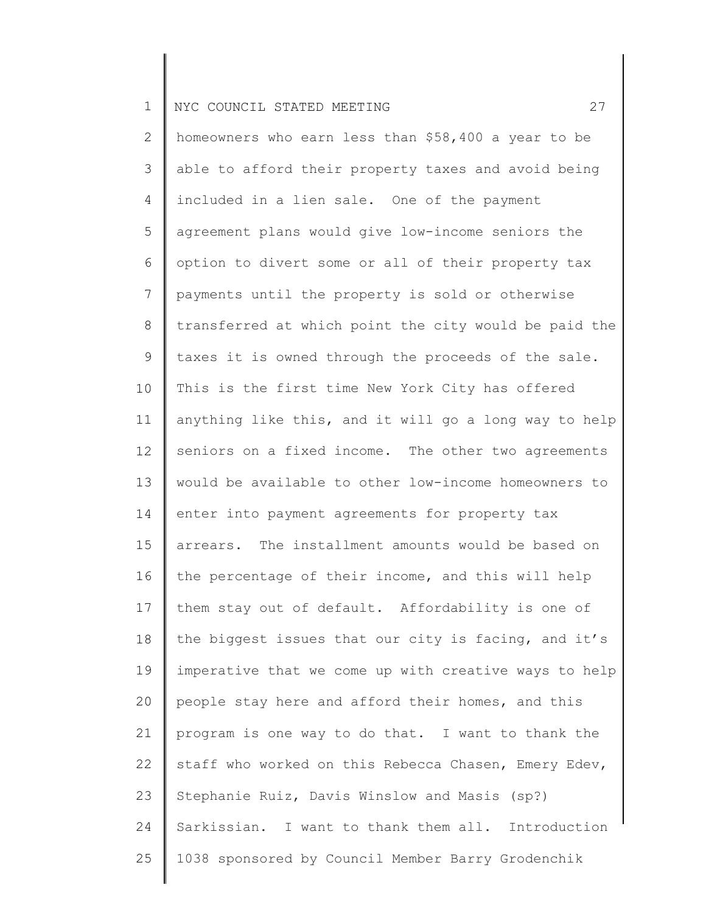2 3 4 5 6 7 8 9 10 11 12 13 14 15 16 17 18 19 20 21 22 23 24 25 homeowners who earn less than \$58,400 a year to be able to afford their property taxes and avoid being included in a lien sale. One of the payment agreement plans would give low-income seniors the option to divert some or all of their property tax payments until the property is sold or otherwise transferred at which point the city would be paid the taxes it is owned through the proceeds of the sale. This is the first time New York City has offered anything like this, and it will go a long way to help seniors on a fixed income. The other two agreements would be available to other low-income homeowners to enter into payment agreements for property tax arrears. The installment amounts would be based on the percentage of their income, and this will help them stay out of default. Affordability is one of the biggest issues that our city is facing, and it's imperative that we come up with creative ways to help people stay here and afford their homes, and this program is one way to do that. I want to thank the staff who worked on this Rebecca Chasen, Emery Edev, Stephanie Ruiz, Davis Winslow and Masis (sp?) Sarkissian. I want to thank them all. Introduction 1038 sponsored by Council Member Barry Grodenchik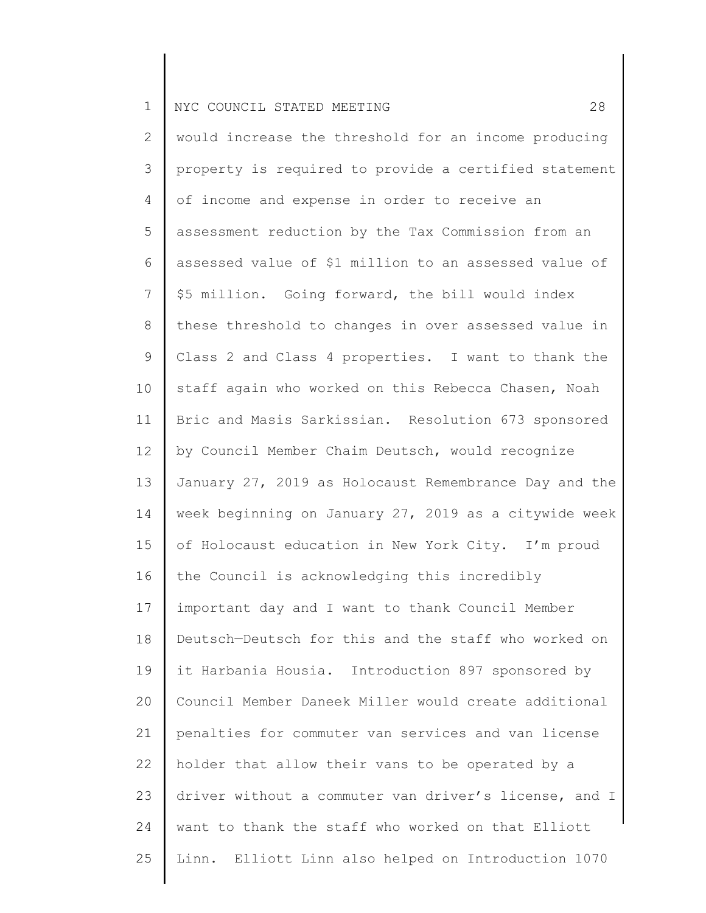2 3 4 5 6 7 8 9 10 11 12 13 14 15 16 17 18 19 20 21 22 23 24 25 would increase the threshold for an income producing property is required to provide a certified statement of income and expense in order to receive an assessment reduction by the Tax Commission from an assessed value of \$1 million to an assessed value of \$5 million. Going forward, the bill would index these threshold to changes in over assessed value in Class 2 and Class 4 properties. I want to thank the staff again who worked on this Rebecca Chasen, Noah Bric and Masis Sarkissian. Resolution 673 sponsored by Council Member Chaim Deutsch, would recognize January 27, 2019 as Holocaust Remembrance Day and the week beginning on January 27, 2019 as a citywide week of Holocaust education in New York City. I'm proud the Council is acknowledging this incredibly important day and I want to thank Council Member Deutsch—Deutsch for this and the staff who worked on it Harbania Housia. Introduction 897 sponsored by Council Member Daneek Miller would create additional penalties for commuter van services and van license holder that allow their vans to be operated by a driver without a commuter van driver's license, and I want to thank the staff who worked on that Elliott Linn. Elliott Linn also helped on Introduction 1070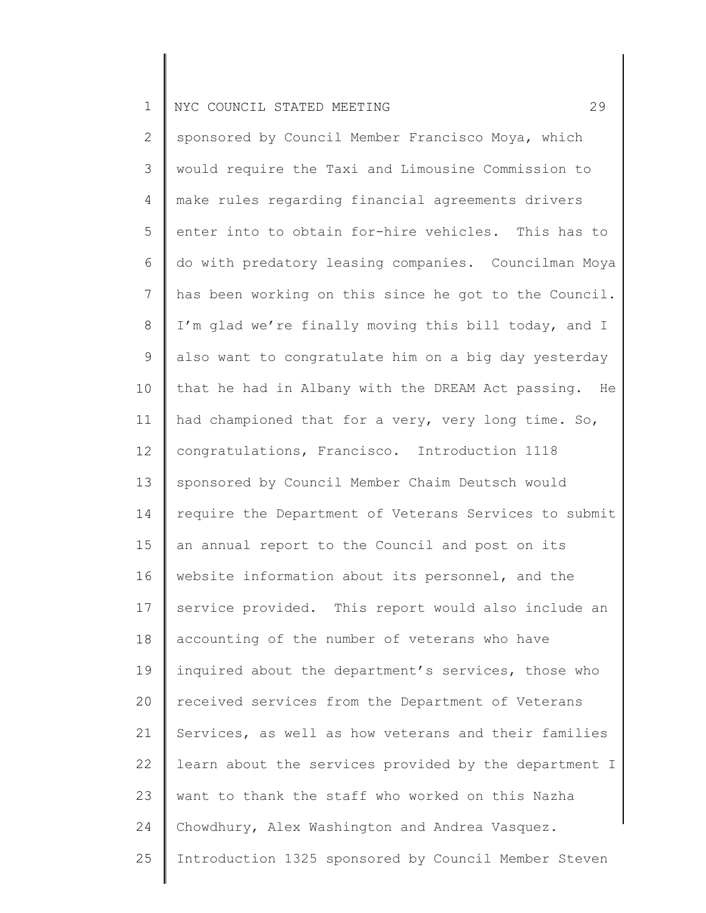2 3 4 5 6 7 8 9 10 11 12 13 14 15 16 17 18 19 20 21 22 23 24 25 sponsored by Council Member Francisco Moya, which would require the Taxi and Limousine Commission to make rules regarding financial agreements drivers enter into to obtain for-hire vehicles. This has to do with predatory leasing companies. Councilman Moya has been working on this since he got to the Council. I'm glad we're finally moving this bill today, and I also want to congratulate him on a big day yesterday that he had in Albany with the DREAM Act passing. He had championed that for a very, very long time. So, congratulations, Francisco. Introduction 1118 sponsored by Council Member Chaim Deutsch would require the Department of Veterans Services to submit an annual report to the Council and post on its website information about its personnel, and the service provided. This report would also include an accounting of the number of veterans who have inquired about the department's services, those who received services from the Department of Veterans Services, as well as how veterans and their families learn about the services provided by the department I want to thank the staff who worked on this Nazha Chowdhury, Alex Washington and Andrea Vasquez. Introduction 1325 sponsored by Council Member Steven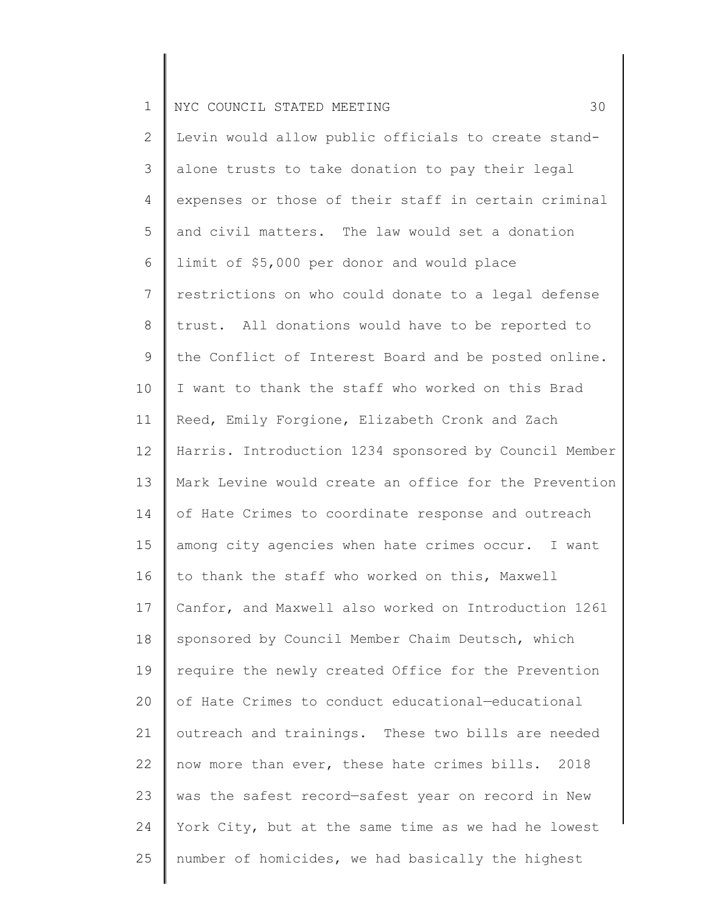2 3 4 5 6 7 8 9 10 11 12 13 14 15 16 17 18 19 20 21 22 23 24 25 Levin would allow public officials to create standalone trusts to take donation to pay their legal expenses or those of their staff in certain criminal and civil matters. The law would set a donation limit of \$5,000 per donor and would place restrictions on who could donate to a legal defense trust. All donations would have to be reported to the Conflict of Interest Board and be posted online. I want to thank the staff who worked on this Brad Reed, Emily Forgione, Elizabeth Cronk and Zach Harris. Introduction 1234 sponsored by Council Member Mark Levine would create an office for the Prevention of Hate Crimes to coordinate response and outreach among city agencies when hate crimes occur. I want to thank the staff who worked on this, Maxwell Canfor, and Maxwell also worked on Introduction 1261 sponsored by Council Member Chaim Deutsch, which require the newly created Office for the Prevention of Hate Crimes to conduct educational—educational outreach and trainings. These two bills are needed now more than ever, these hate crimes bills. 2018 was the safest record—safest year on record in New York City, but at the same time as we had he lowest number of homicides, we had basically the highest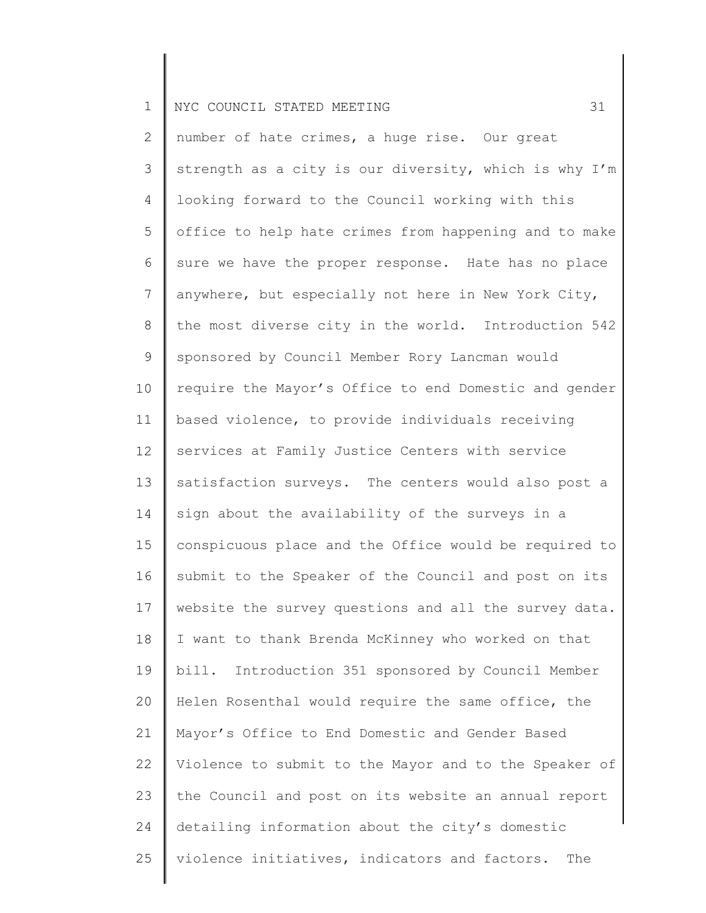2 3 4 5 6 7 8 9 10 11 12 13 14 15 16 17 18 19 20 21 22 23 24 25 number of hate crimes, a huge rise. Our great strength as a city is our diversity, which is why I'm looking forward to the Council working with this office to help hate crimes from happening and to make sure we have the proper response. Hate has no place anywhere, but especially not here in New York City, the most diverse city in the world. Introduction 542 sponsored by Council Member Rory Lancman would require the Mayor's Office to end Domestic and gender based violence, to provide individuals receiving services at Family Justice Centers with service satisfaction surveys. The centers would also post a sign about the availability of the surveys in a conspicuous place and the Office would be required to submit to the Speaker of the Council and post on its website the survey questions and all the survey data. I want to thank Brenda McKinney who worked on that bill. Introduction 351 sponsored by Council Member Helen Rosenthal would require the same office, the Mayor's Office to End Domestic and Gender Based Violence to submit to the Mayor and to the Speaker of the Council and post on its website an annual report detailing information about the city's domestic violence initiatives, indicators and factors. The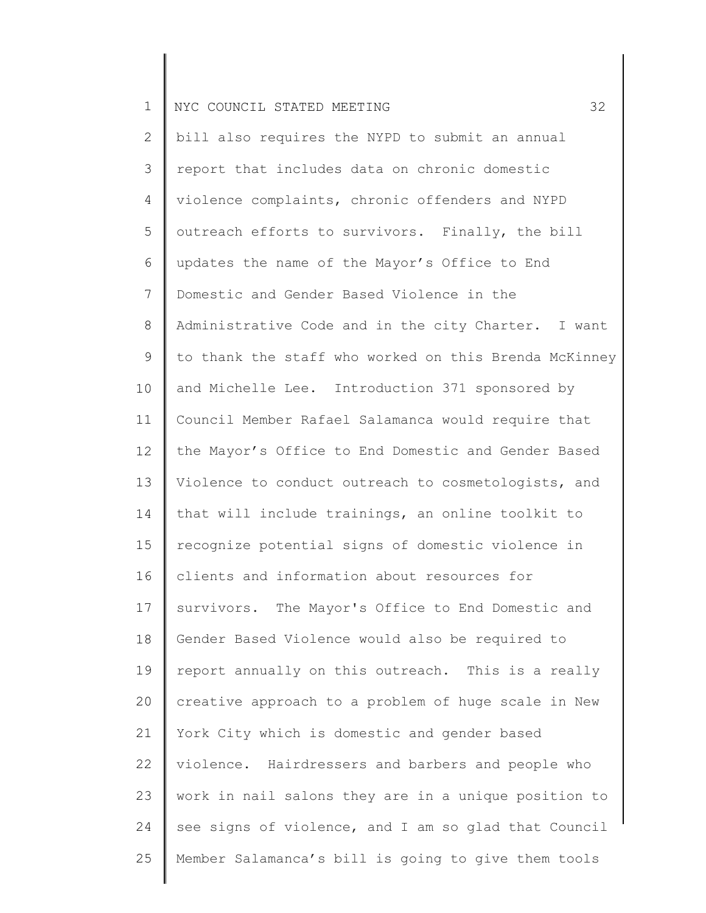2 3 4 5 6 7 8 9 10 11 12 13 14 15 16 17 18 19 20 21 22 23 24 25 bill also requires the NYPD to submit an annual report that includes data on chronic domestic violence complaints, chronic offenders and NYPD outreach efforts to survivors. Finally, the bill updates the name of the Mayor's Office to End Domestic and Gender Based Violence in the Administrative Code and in the city Charter. I want to thank the staff who worked on this Brenda McKinney and Michelle Lee. Introduction 371 sponsored by Council Member Rafael Salamanca would require that the Mayor's Office to End Domestic and Gender Based Violence to conduct outreach to cosmetologists, and that will include trainings, an online toolkit to recognize potential signs of domestic violence in clients and information about resources for survivors. The Mayor's Office to End Domestic and Gender Based Violence would also be required to report annually on this outreach. This is a really creative approach to a problem of huge scale in New York City which is domestic and gender based violence. Hairdressers and barbers and people who work in nail salons they are in a unique position to see signs of violence, and I am so glad that Council Member Salamanca's bill is going to give them tools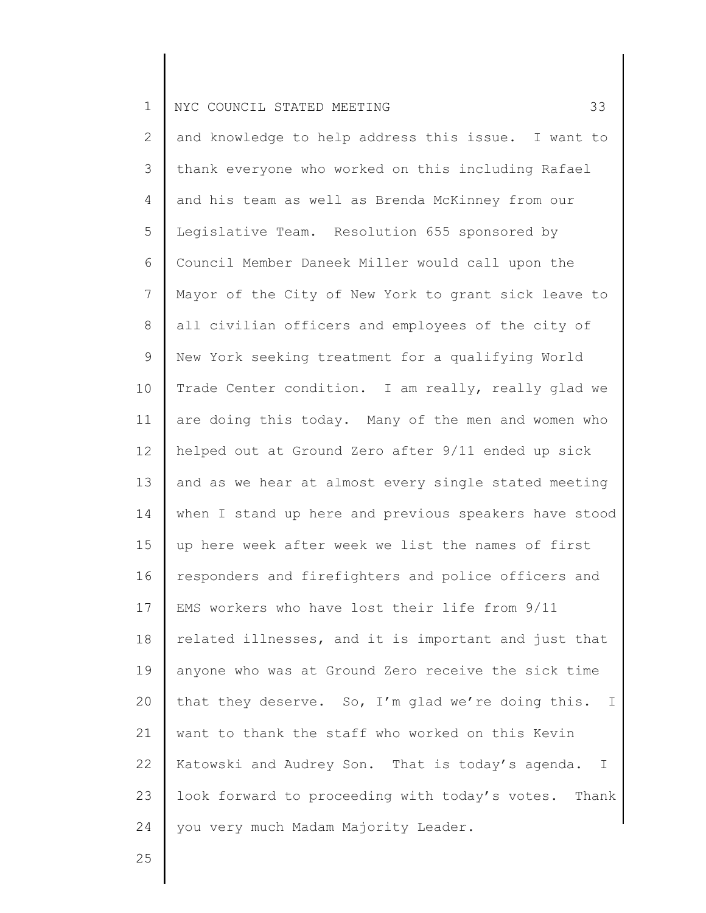2 3 4 5 6 7 8 9 10 11 12 13 14 15 16 17 18 19 20 21 22 23 24 and knowledge to help address this issue. I want to thank everyone who worked on this including Rafael and his team as well as Brenda McKinney from our Legislative Team. Resolution 655 sponsored by Council Member Daneek Miller would call upon the Mayor of the City of New York to grant sick leave to all civilian officers and employees of the city of New York seeking treatment for a qualifying World Trade Center condition. I am really, really glad we are doing this today. Many of the men and women who helped out at Ground Zero after 9/11 ended up sick and as we hear at almost every single stated meeting when I stand up here and previous speakers have stood up here week after week we list the names of first responders and firefighters and police officers and EMS workers who have lost their life from 9/11 related illnesses, and it is important and just that anyone who was at Ground Zero receive the sick time that they deserve. So, I'm glad we're doing this. I want to thank the staff who worked on this Kevin Katowski and Audrey Son. That is today's agenda. I look forward to proceeding with today's votes. Thank you very much Madam Majority Leader.

25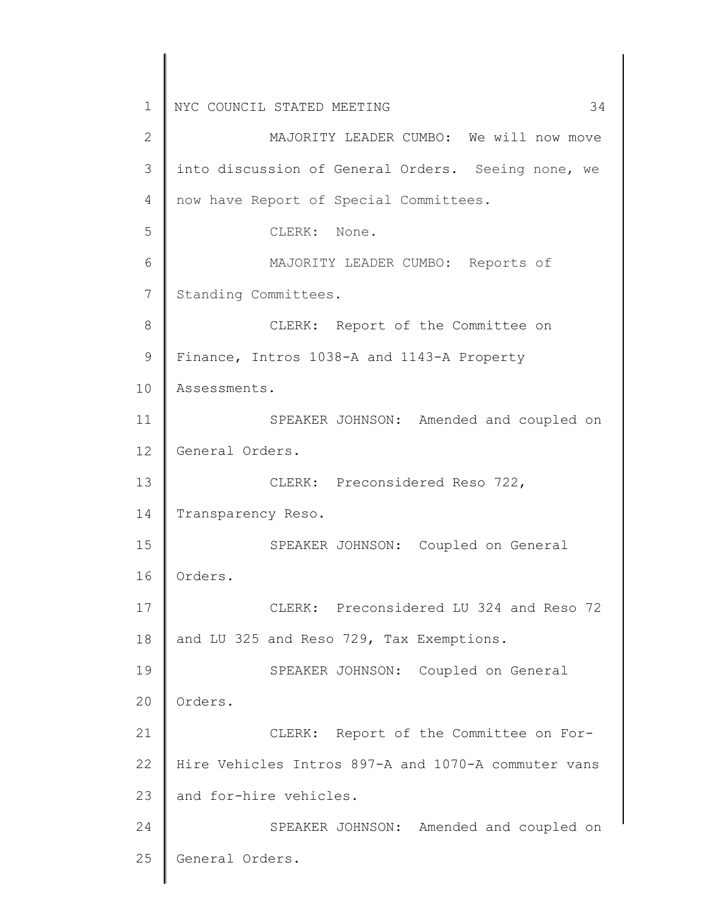1 2 3 4 5 6 7 8 9 10 11 12 13 14 15 16 17 18 19 20 21 22 23 24 25 NYC COUNCIL STATED MEETING **1998** 34 MAJORITY LEADER CUMBO: We will now move into discussion of General Orders. Seeing none, we now have Report of Special Committees. CLERK: None. MAJORITY LEADER CUMBO: Reports of Standing Committees. CLERK: Report of the Committee on Finance, Intros 1038-A and 1143-A Property Assessments. SPEAKER JOHNSON: Amended and coupled on General Orders. CLERK: Preconsidered Reso 722, Transparency Reso. SPEAKER JOHNSON: Coupled on General Orders. CLERK: Preconsidered LU 324 and Reso 72 and LU 325 and Reso 729, Tax Exemptions. SPEAKER JOHNSON: Coupled on General Orders. CLERK: Report of the Committee on For-Hire Vehicles Intros 897-A and 1070-A commuter vans and for-hire vehicles. SPEAKER JOHNSON: Amended and coupled on General Orders.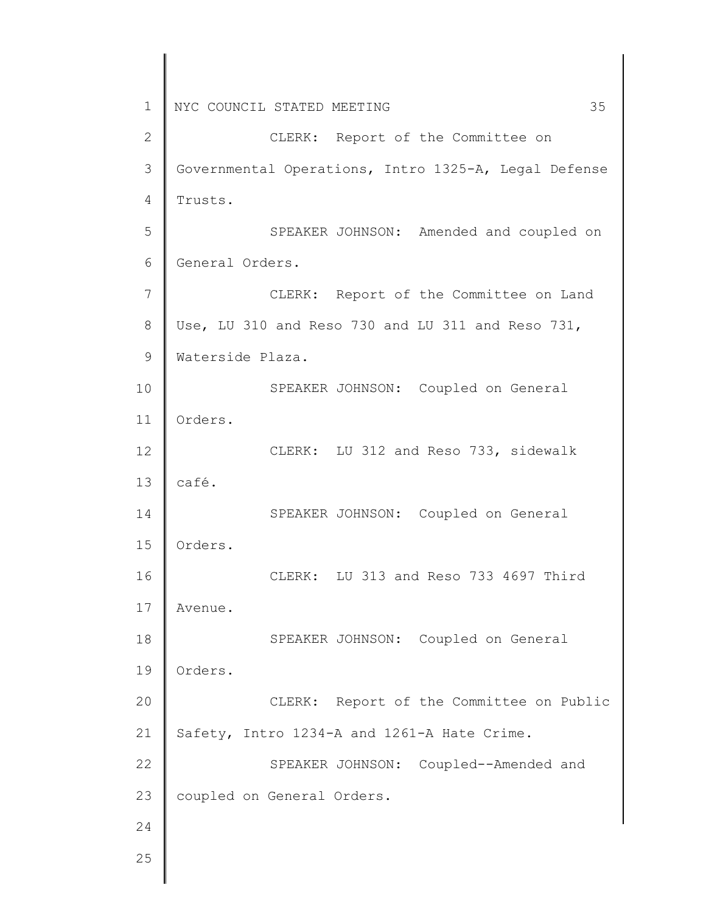1 2 3 4 5 6 7 8 9 10 11 12 13 14 15 16 17 18 19 20 21 22 23 24 25 NYC COUNCIL STATED MEETING 35 CLERK: Report of the Committee on Governmental Operations, Intro 1325-A, Legal Defense Trusts. SPEAKER JOHNSON: Amended and coupled on General Orders. CLERK: Report of the Committee on Land Use, LU 310 and Reso 730 and LU 311 and Reso 731, Waterside Plaza. SPEAKER JOHNSON: Coupled on General Orders. CLERK: LU 312 and Reso 733, sidewalk café. SPEAKER JOHNSON: Coupled on General Orders. CLERK: LU 313 and Reso 733 4697 Third Avenue. SPEAKER JOHNSON: Coupled on General Orders. CLERK: Report of the Committee on Public Safety, Intro 1234-A and 1261-A Hate Crime. SPEAKER JOHNSON: Coupled--Amended and coupled on General Orders.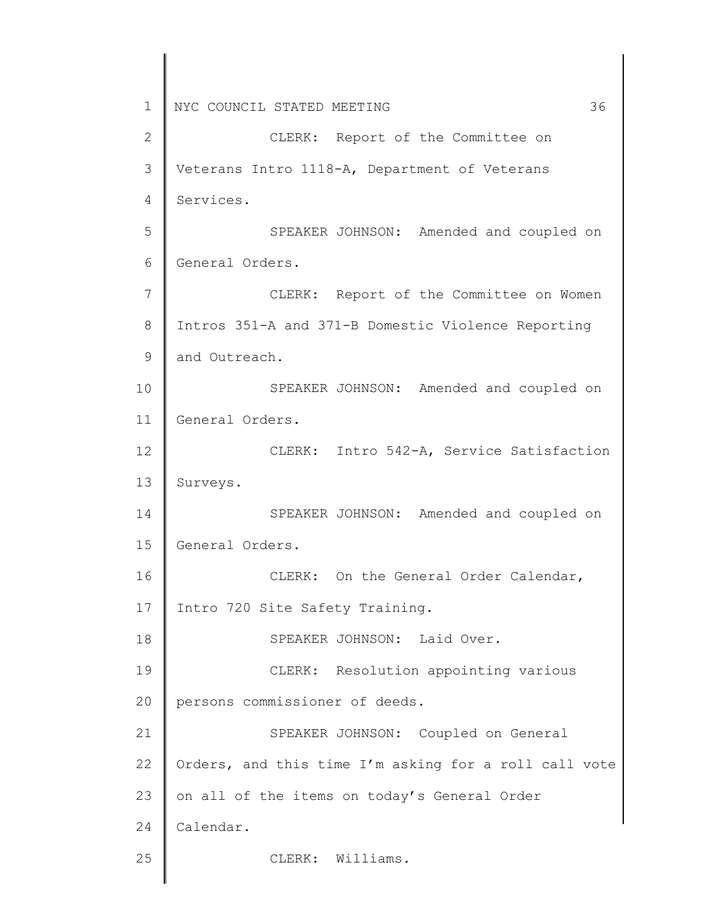1 2 3 4 5 6 7 8 9 10 11 12 13 14 15 16 17 18 19 20 21 22 23 24 25 NYC COUNCIL STATED MEETING **1996** 36 CLERK: Report of the Committee on Veterans Intro 1118-A, Department of Veterans Services. SPEAKER JOHNSON: Amended and coupled on General Orders. CLERK: Report of the Committee on Women Intros 351-A and 371-B Domestic Violence Reporting and Outreach. SPEAKER JOHNSON: Amended and coupled on General Orders. CLERK: Intro 542-A, Service Satisfaction Surveys. SPEAKER JOHNSON: Amended and coupled on General Orders. CLERK: On the General Order Calendar, Intro 720 Site Safety Training. SPEAKER JOHNSON: Laid Over. CLERK: Resolution appointing various persons commissioner of deeds. SPEAKER JOHNSON: Coupled on General Orders, and this time I'm asking for a roll call vote on all of the items on today's General Order Calendar. CLERK: Williams.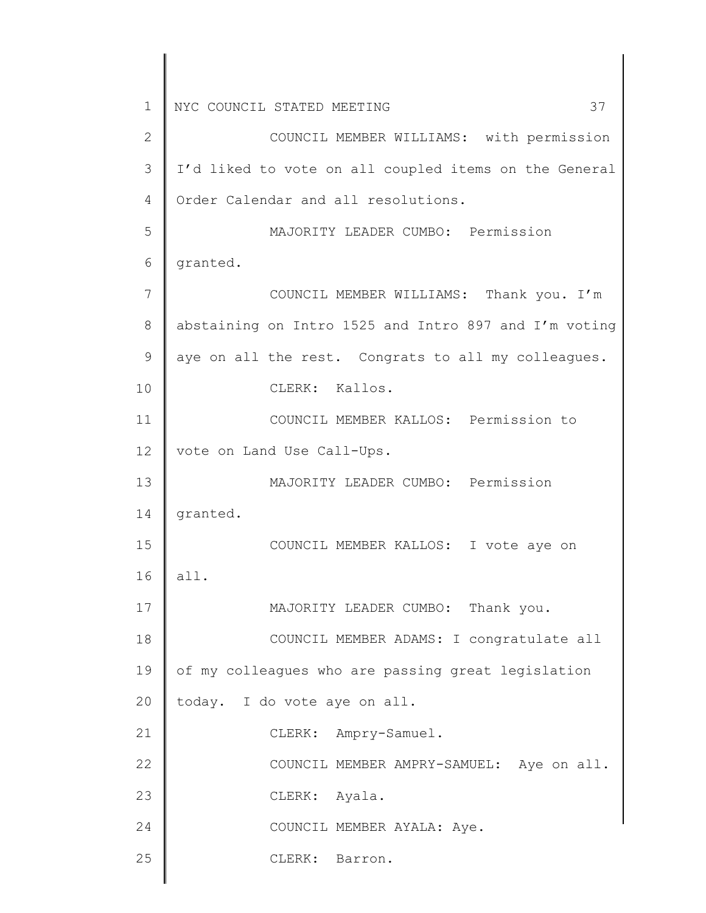1 2 3 4 5 6 7 8 9 10 11 12 13 14 15 16 17 18 19 20 21 22 23 24 25 NYC COUNCIL STATED MEETING **1996** 37 COUNCIL MEMBER WILLIAMS: with permission I'd liked to vote on all coupled items on the General Order Calendar and all resolutions. MAJORITY LEADER CUMBO: Permission granted. COUNCIL MEMBER WILLIAMS: Thank you. I'm abstaining on Intro 1525 and Intro 897 and I'm voting aye on all the rest. Congrats to all my colleagues. CLERK: Kallos. COUNCIL MEMBER KALLOS: Permission to vote on Land Use Call-Ups. MAJORITY LEADER CUMBO: Permission granted. COUNCIL MEMBER KALLOS: I vote aye on all. MAJORITY LEADER CUMBO: Thank you. COUNCIL MEMBER ADAMS: I congratulate all of my colleagues who are passing great legislation today. I do vote aye on all. CLERK: Ampry-Samuel. COUNCIL MEMBER AMPRY-SAMUEL: Aye on all. CLERK: Ayala. COUNCIL MEMBER AYALA: Aye. CLERK: Barron.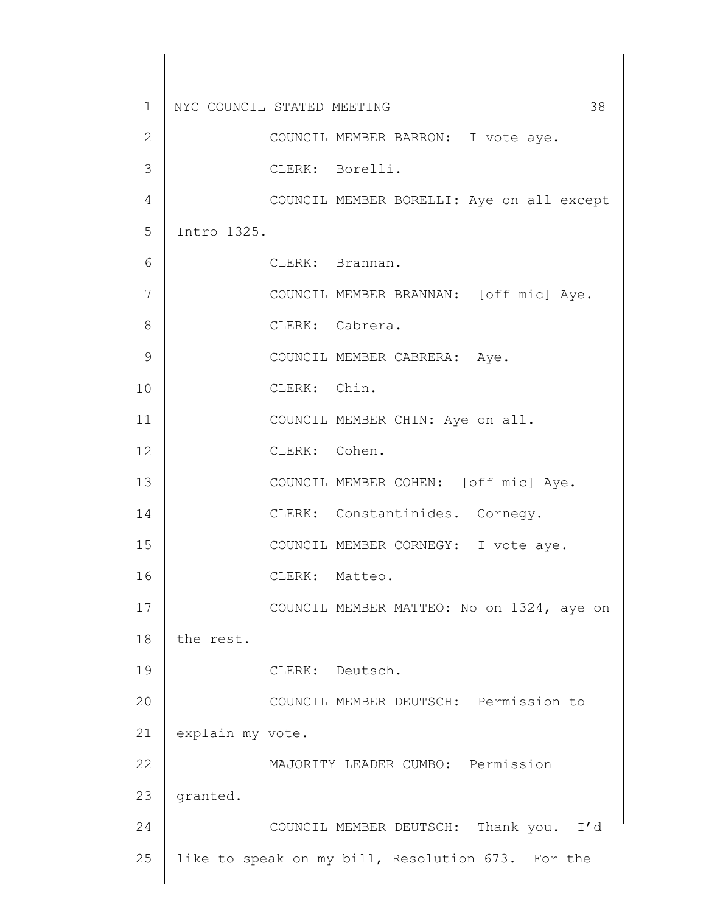| $\mathbf 1$    | NYC COUNCIL STATED MEETING<br>38                  |
|----------------|---------------------------------------------------|
| $\mathbf{2}$   | COUNCIL MEMBER BARRON: I vote aye.                |
| 3              | CLERK: Borelli.                                   |
| 4              | COUNCIL MEMBER BORELLI: Aye on all except         |
| 5              | Intro 1325.                                       |
| 6              | CLERK: Brannan.                                   |
| $\overline{7}$ | COUNCIL MEMBER BRANNAN: [off mic] Aye.            |
| 8              | CLERK: Cabrera.                                   |
| 9              | COUNCIL MEMBER CABRERA: Aye.                      |
| 10             | CLERK: Chin.                                      |
| 11             | COUNCIL MEMBER CHIN: Aye on all.                  |
| 12             | CLERK: Cohen.                                     |
| 13             | COUNCIL MEMBER COHEN: [off mic] Aye.              |
| 14             | CLERK: Constantinides. Cornegy.                   |
| 15             | COUNCIL MEMBER CORNEGY: I vote aye.               |
| 16             | CLERK: Matteo.                                    |
| 17             | COUNCIL MEMBER MATTEO: No on 1324, aye on         |
| 18             | the rest.                                         |
| 19             | CLERK: Deutsch.                                   |
| 20             | COUNCIL MEMBER DEUTSCH: Permission to             |
| 21             | explain my vote.                                  |
| 22             | MAJORITY LEADER CUMBO: Permission                 |
| 23             | granted.                                          |
| 24             | COUNCIL MEMBER DEUTSCH: Thank you. I'd            |
| 25             | like to speak on my bill, Resolution 673. For the |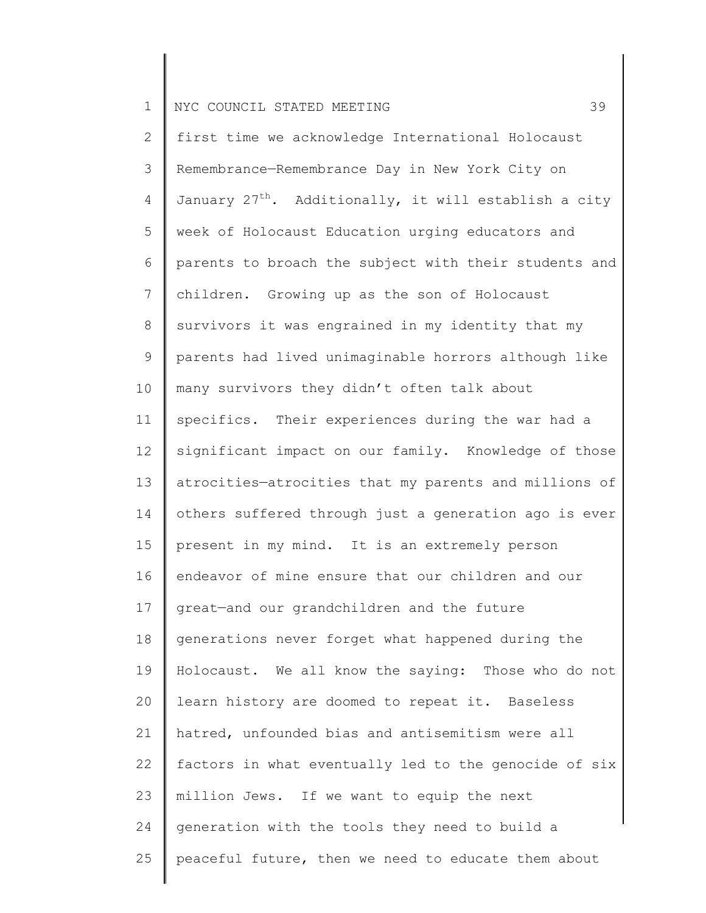2 3 4 5 6 7 8 9 10 11 12 13 14 15 16 17 18 19 20 21 22 23 24 25 first time we acknowledge International Holocaust Remembrance—Remembrance Day in New York City on January 27<sup>th</sup>. Additionally, it will establish a city week of Holocaust Education urging educators and parents to broach the subject with their students and children. Growing up as the son of Holocaust survivors it was engrained in my identity that my parents had lived unimaginable horrors although like many survivors they didn't often talk about specifics. Their experiences during the war had a significant impact on our family. Knowledge of those atrocities—atrocities that my parents and millions of others suffered through just a generation ago is ever present in my mind. It is an extremely person endeavor of mine ensure that our children and our great—and our grandchildren and the future generations never forget what happened during the Holocaust. We all know the saying: Those who do not learn history are doomed to repeat it. Baseless hatred, unfounded bias and antisemitism were all factors in what eventually led to the genocide of six million Jews. If we want to equip the next generation with the tools they need to build a peaceful future, then we need to educate them about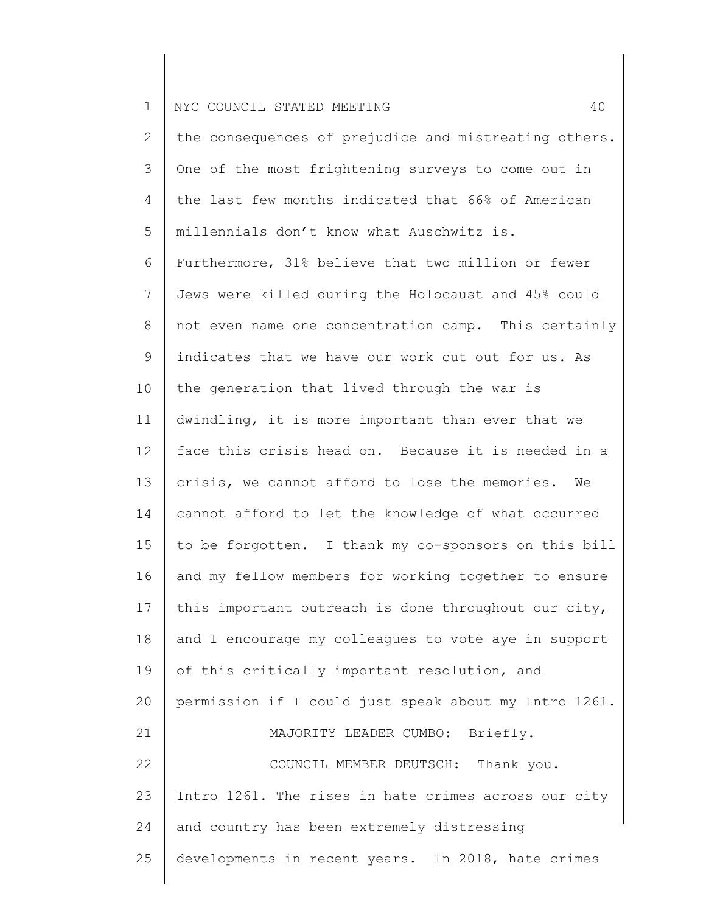2 3 4 5 6 7 8 9 10 11 12 13 14 15 16 17 18 19 20 21 22 23 24 25 the consequences of prejudice and mistreating others. One of the most frightening surveys to come out in the last few months indicated that 66% of American millennials don't know what Auschwitz is. Furthermore, 31% believe that two million or fewer Jews were killed during the Holocaust and 45% could not even name one concentration camp. This certainly indicates that we have our work cut out for us. As the generation that lived through the war is dwindling, it is more important than ever that we face this crisis head on. Because it is needed in a crisis, we cannot afford to lose the memories. We cannot afford to let the knowledge of what occurred to be forgotten. I thank my co-sponsors on this bill and my fellow members for working together to ensure this important outreach is done throughout our city, and I encourage my colleagues to vote aye in support of this critically important resolution, and permission if I could just speak about my Intro 1261. MAJORITY LEADER CUMBO: Briefly. COUNCIL MEMBER DEUTSCH: Thank you. Intro 1261. The rises in hate crimes across our city and country has been extremely distressing developments in recent years. In 2018, hate crimes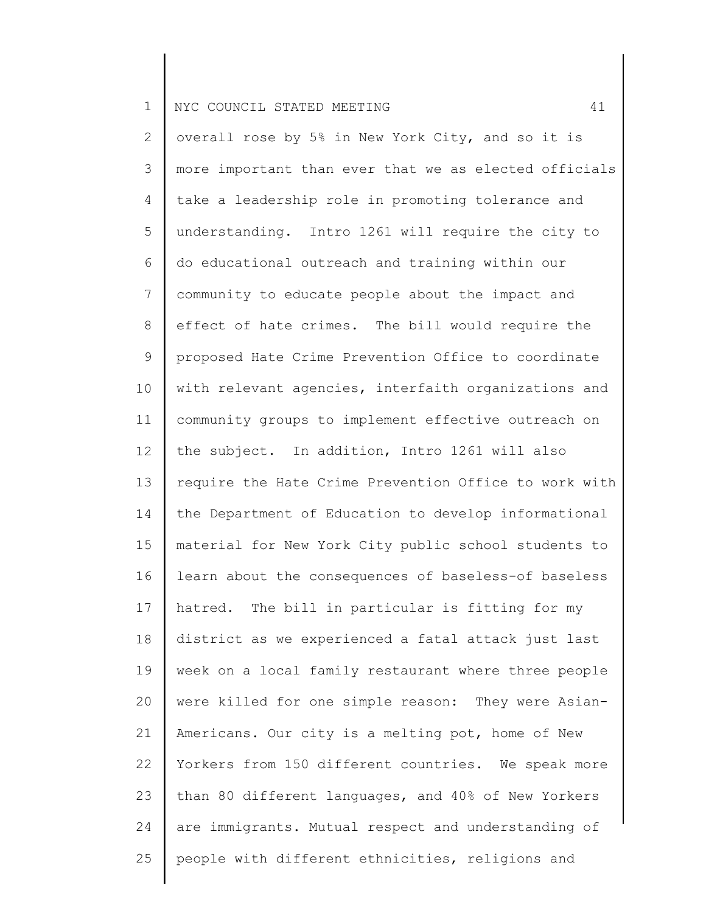2 3 4 5 6 7 8 9 10 11 12 13 14 15 16 17 18 19 20 21 22 23 24 25 overall rose by 5% in New York City, and so it is more important than ever that we as elected officials take a leadership role in promoting tolerance and understanding. Intro 1261 will require the city to do educational outreach and training within our community to educate people about the impact and effect of hate crimes. The bill would require the proposed Hate Crime Prevention Office to coordinate with relevant agencies, interfaith organizations and community groups to implement effective outreach on the subject. In addition, Intro 1261 will also require the Hate Crime Prevention Office to work with the Department of Education to develop informational material for New York City public school students to learn about the consequences of baseless-of baseless hatred. The bill in particular is fitting for my district as we experienced a fatal attack just last week on a local family restaurant where three people were killed for one simple reason: They were Asian-Americans. Our city is a melting pot, home of New Yorkers from 150 different countries. We speak more than 80 different languages, and 40% of New Yorkers are immigrants. Mutual respect and understanding of people with different ethnicities, religions and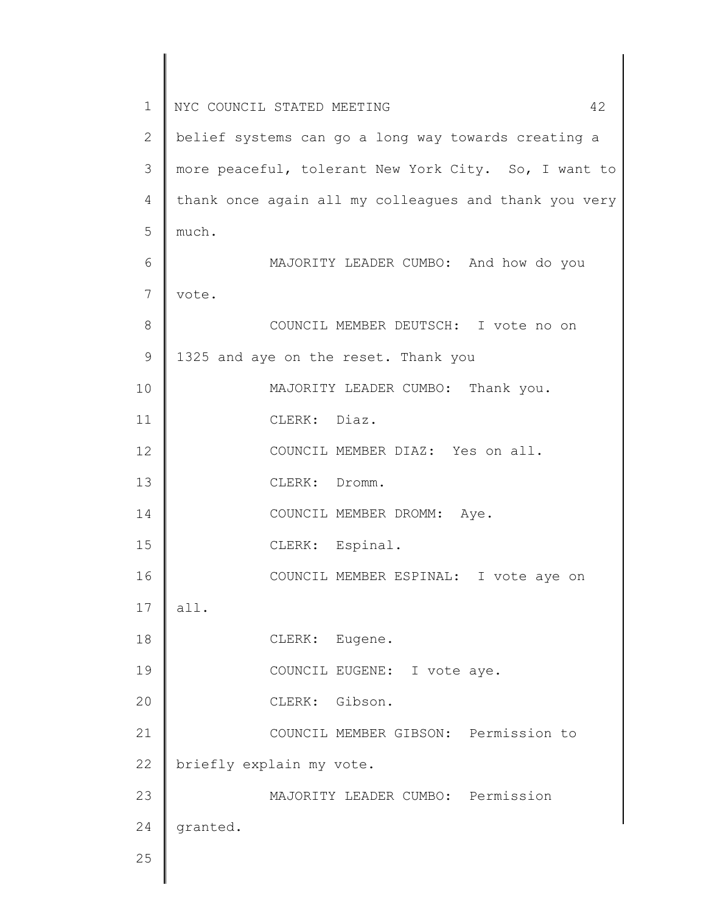| 1              | 42<br>NYC COUNCIL STATED MEETING                      |
|----------------|-------------------------------------------------------|
| $\overline{2}$ | belief systems can go a long way towards creating a   |
| 3              | more peaceful, tolerant New York City. So, I want to  |
| 4              | thank once again all my colleagues and thank you very |
| 5              | much.                                                 |
| 6              | MAJORITY LEADER CUMBO: And how do you                 |
| 7              | vote.                                                 |
| 8              | COUNCIL MEMBER DEUTSCH: I vote no on                  |
| 9              | 1325 and aye on the reset. Thank you                  |
| 10             | MAJORITY LEADER CUMBO: Thank you.                     |
| 11             | CLERK: Diaz.                                          |
| 12             | COUNCIL MEMBER DIAZ: Yes on all.                      |
| 13             | CLERK: Dromm.                                         |
| 14             | COUNCIL MEMBER DROMM: Aye.                            |
| 15             | CLERK: Espinal.                                       |
| 16             | COUNCIL MEMBER ESPINAL:<br>I vote aye on              |
| 17             | all.                                                  |
| 18             | CLERK: Eugene.                                        |
| 19             | COUNCIL EUGENE: I vote aye.                           |
| 20             | CLERK: Gibson.                                        |
| 21             | COUNCIL MEMBER GIBSON: Permission to                  |
| 22             | briefly explain my vote.                              |
| 23             | MAJORITY LEADER CUMBO: Permission                     |
| 24             | granted.                                              |
| 25             |                                                       |
|                |                                                       |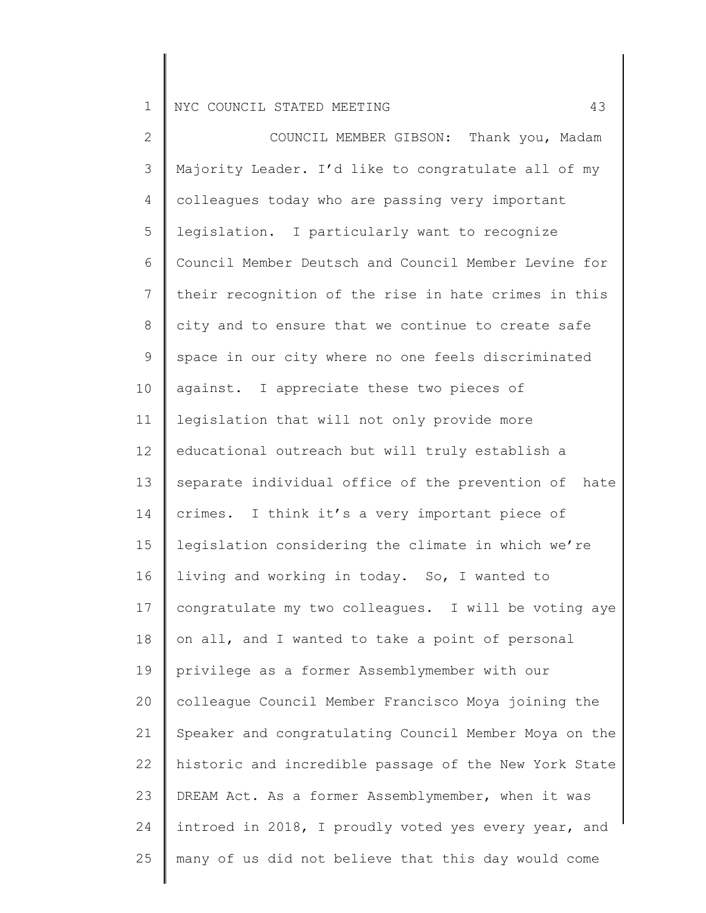2 3 4 5 6 7 8 9 10 11 12 13 14 15 16 17 18 19 20 21 22 23 24 25 COUNCIL MEMBER GIBSON: Thank you, Madam Majority Leader. I'd like to congratulate all of my colleagues today who are passing very important legislation. I particularly want to recognize Council Member Deutsch and Council Member Levine for their recognition of the rise in hate crimes in this city and to ensure that we continue to create safe space in our city where no one feels discriminated against. I appreciate these two pieces of legislation that will not only provide more educational outreach but will truly establish a separate individual office of the prevention of hate crimes. I think it's a very important piece of legislation considering the climate in which we're living and working in today. So, I wanted to congratulate my two colleagues. I will be voting aye on all, and I wanted to take a point of personal privilege as a former Assemblymember with our colleague Council Member Francisco Moya joining the Speaker and congratulating Council Member Moya on the historic and incredible passage of the New York State DREAM Act. As a former Assemblymember, when it was introed in 2018, I proudly voted yes every year, and many of us did not believe that this day would come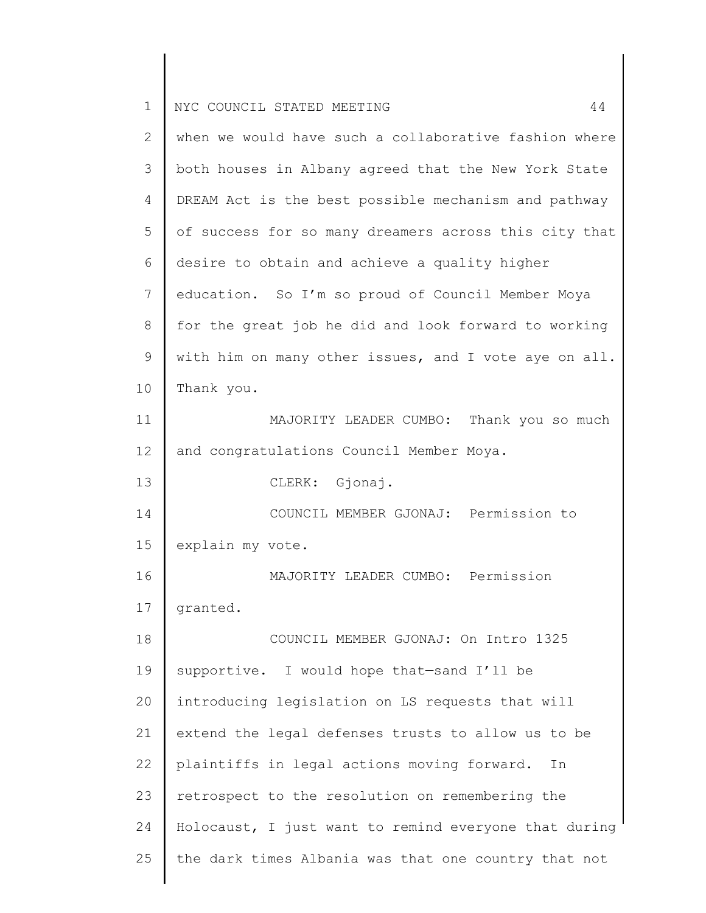1 2 3 4 5 6 7 8 9 10 11 12 13 14 15 16 17 18 19 20 21 22 23 24 NYC COUNCIL STATED MEETING  $44$ when we would have such a collaborative fashion where both houses in Albany agreed that the New York State DREAM Act is the best possible mechanism and pathway of success for so many dreamers across this city that desire to obtain and achieve a quality higher education. So I'm so proud of Council Member Moya for the great job he did and look forward to working with him on many other issues, and I vote aye on all. Thank you. MAJORITY LEADER CUMBO: Thank you so much and congratulations Council Member Moya. CLERK: Gjonaj. COUNCIL MEMBER GJONAJ: Permission to explain my vote. MAJORITY LEADER CUMBO: Permission granted. COUNCIL MEMBER GJONAJ: On Intro 1325 supportive. I would hope that—sand I'll be introducing legislation on LS requests that will extend the legal defenses trusts to allow us to be plaintiffs in legal actions moving forward. In retrospect to the resolution on remembering the Holocaust, I just want to remind everyone that during

the dark times Albania was that one country that not

25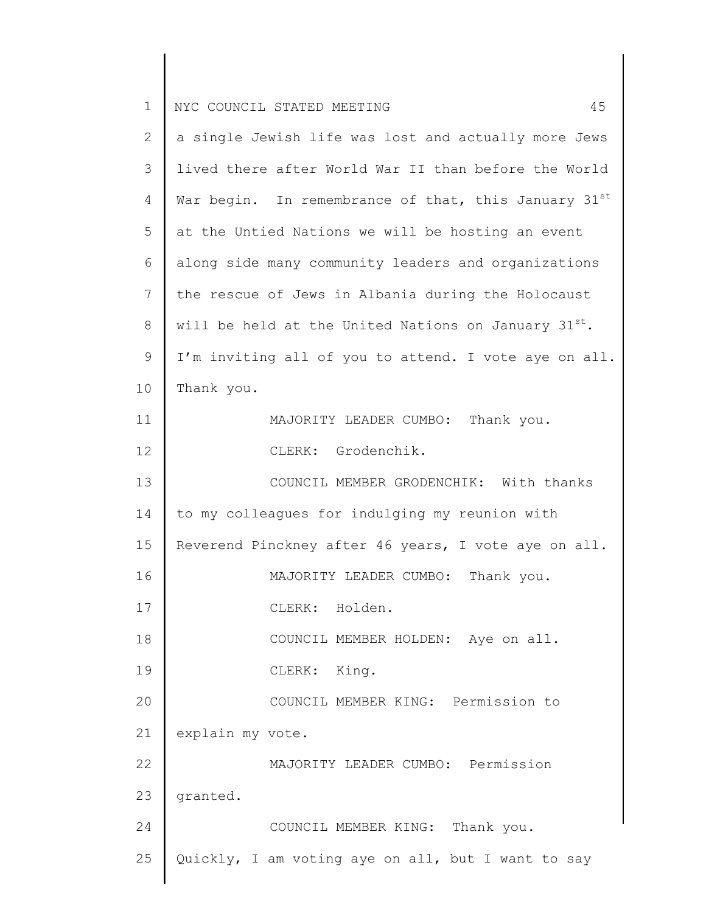| $\mathbf 1$ | 45<br>NYC COUNCIL STATED MEETING                      |  |  |  |  |  |  |  |
|-------------|-------------------------------------------------------|--|--|--|--|--|--|--|
| 2           | a single Jewish life was lost and actually more Jews  |  |  |  |  |  |  |  |
| 3           | lived there after World War II than before the World  |  |  |  |  |  |  |  |
| 4           | War begin. In remembrance of that, this January 31st  |  |  |  |  |  |  |  |
| 5           | at the Untied Nations we will be hosting an event     |  |  |  |  |  |  |  |
| 6           | along side many community leaders and organizations   |  |  |  |  |  |  |  |
| 7           | the rescue of Jews in Albania during the Holocaust    |  |  |  |  |  |  |  |
| 8           | will be held at the United Nations on January 31st.   |  |  |  |  |  |  |  |
| 9           | I'm inviting all of you to attend. I vote aye on all. |  |  |  |  |  |  |  |
| 10          | Thank you.                                            |  |  |  |  |  |  |  |
| 11          | MAJORITY LEADER CUMBO: Thank you.                     |  |  |  |  |  |  |  |
| 12          | CLERK: Grodenchik.                                    |  |  |  |  |  |  |  |
| 13          | COUNCIL MEMBER GRODENCHIK: With thanks                |  |  |  |  |  |  |  |
| 14          | to my colleagues for indulging my reunion with        |  |  |  |  |  |  |  |
| 15          | Reverend Pinckney after 46 years, I vote aye on all.  |  |  |  |  |  |  |  |
| 16          | MAJORITY LEADER CUMBO: Thank you.                     |  |  |  |  |  |  |  |
| 17          | CLERK: Holden.                                        |  |  |  |  |  |  |  |
| 18          | COUNCIL MEMBER HOLDEN: Aye on all.                    |  |  |  |  |  |  |  |
| 19          | CLERK: King.                                          |  |  |  |  |  |  |  |
| 20          | COUNCIL MEMBER KING: Permission to                    |  |  |  |  |  |  |  |
| 21          | explain my vote.                                      |  |  |  |  |  |  |  |
| 22          | MAJORITY LEADER CUMBO: Permission                     |  |  |  |  |  |  |  |
| 23          | granted.                                              |  |  |  |  |  |  |  |
| 24          | COUNCIL MEMBER KING: Thank you.                       |  |  |  |  |  |  |  |
| 25          | Quickly, I am voting aye on all, but I want to say    |  |  |  |  |  |  |  |
|             |                                                       |  |  |  |  |  |  |  |

 $\begin{array}{c} \hline \end{array}$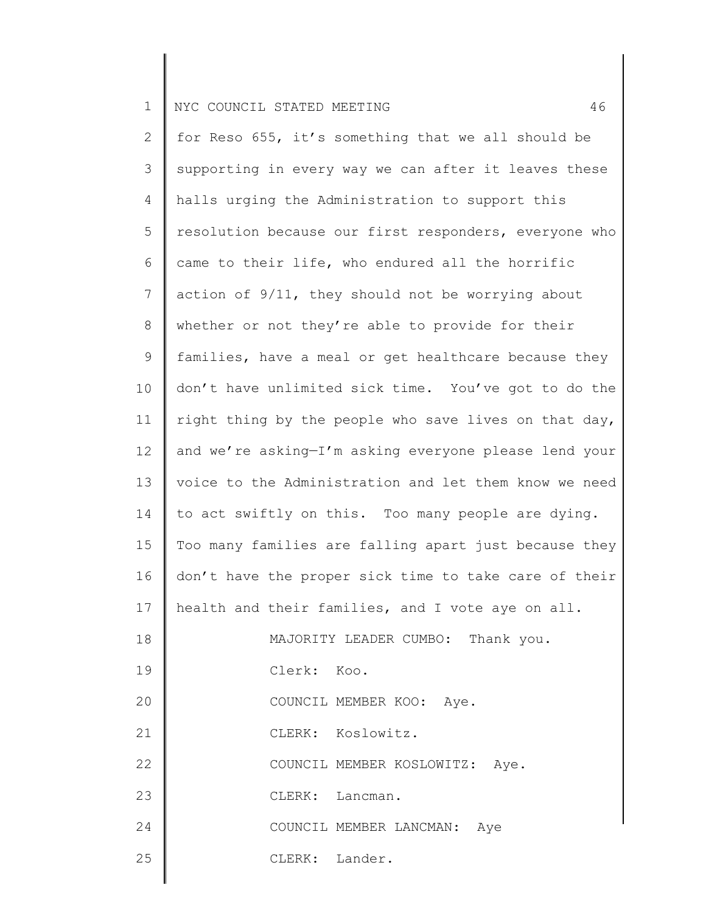2 3 4 5 6 7 8 9 10 11 12 13 14 15 16 17 18 19 20 21 22 23 24 25 for Reso 655, it's something that we all should be supporting in every way we can after it leaves these halls urging the Administration to support this resolution because our first responders, everyone who came to their life, who endured all the horrific action of 9/11, they should not be worrying about whether or not they're able to provide for their families, have a meal or get healthcare because they don't have unlimited sick time. You've got to do the right thing by the people who save lives on that day, and we're asking—I'm asking everyone please lend your voice to the Administration and let them know we need to act swiftly on this. Too many people are dying. Too many families are falling apart just because they don't have the proper sick time to take care of their health and their families, and I vote aye on all. MAJORITY LEADER CUMBO: Thank you. Clerk: Koo. COUNCIL MEMBER KOO: Aye. CLERK: Koslowitz. COUNCIL MEMBER KOSLOWITZ: Aye. CLERK: Lancman. COUNCIL MEMBER LANCMAN: Aye CLERK: Lander.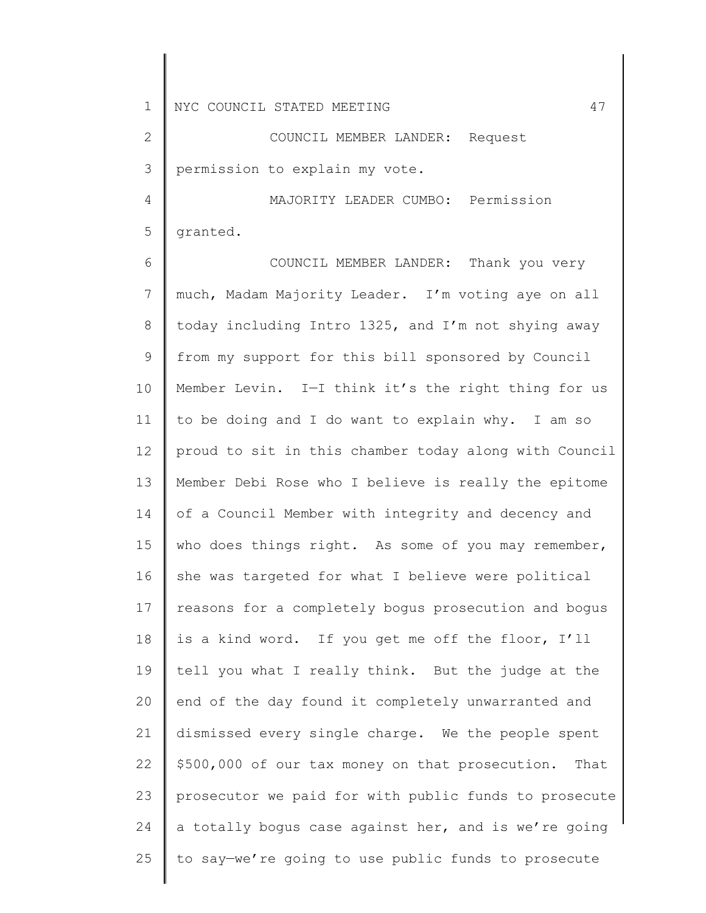2 3 COUNCIL MEMBER LANDER: Request permission to explain my vote.

4 5 MAJORITY LEADER CUMBO: Permission granted.

6 7 8 9 10 11 12 13 14 15 16 17 18 19 20 21 22 23 24 25 COUNCIL MEMBER LANDER: Thank you very much, Madam Majority Leader. I'm voting aye on all today including Intro 1325, and I'm not shying away from my support for this bill sponsored by Council Member Levin. I—I think it's the right thing for us to be doing and I do want to explain why. I am so proud to sit in this chamber today along with Council Member Debi Rose who I believe is really the epitome of a Council Member with integrity and decency and who does things right. As some of you may remember, she was targeted for what I believe were political reasons for a completely bogus prosecution and bogus is a kind word. If you get me off the floor, I'll tell you what I really think. But the judge at the end of the day found it completely unwarranted and dismissed every single charge. We the people spent \$500,000 of our tax money on that prosecution. That prosecutor we paid for with public funds to prosecute a totally bogus case against her, and is we're going to say—we're going to use public funds to prosecute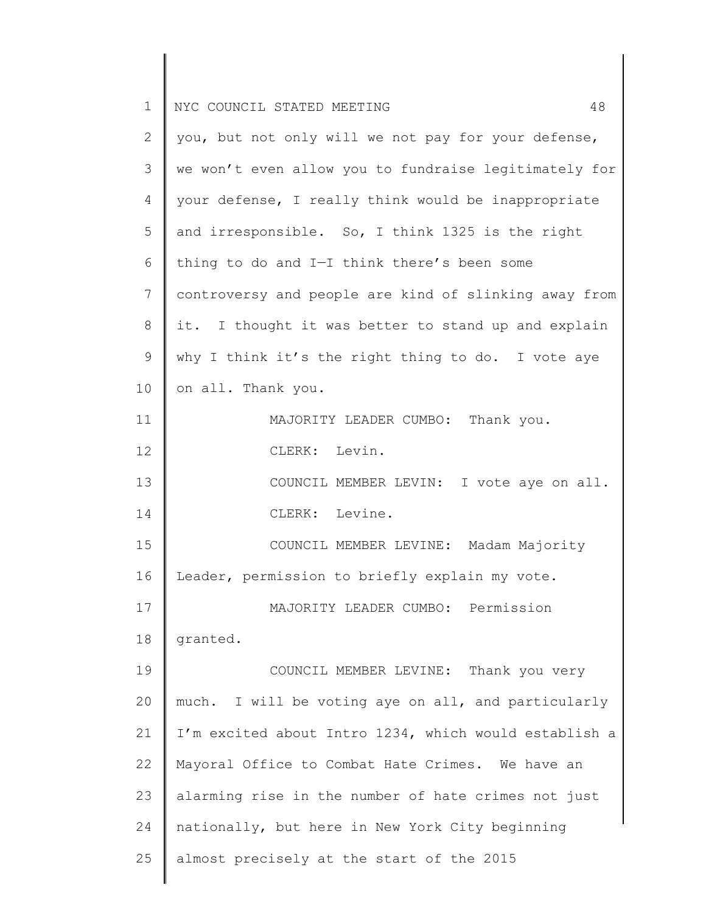| $\mathbf 1$   | 48<br>NYC COUNCIL STATED MEETING                      |  |  |  |  |  |  |
|---------------|-------------------------------------------------------|--|--|--|--|--|--|
| 2             | you, but not only will we not pay for your defense,   |  |  |  |  |  |  |
| 3             | we won't even allow you to fundraise legitimately for |  |  |  |  |  |  |
| 4             | your defense, I really think would be inappropriate   |  |  |  |  |  |  |
| 5             | and irresponsible. So, I think 1325 is the right      |  |  |  |  |  |  |
| 6             | thing to do and I-I think there's been some           |  |  |  |  |  |  |
| 7             | controversy and people are kind of slinking away from |  |  |  |  |  |  |
| 8             | it. I thought it was better to stand up and explain   |  |  |  |  |  |  |
| $\mathcal{G}$ | why I think it's the right thing to do. I vote aye    |  |  |  |  |  |  |
| 10            | on all. Thank you.                                    |  |  |  |  |  |  |
| 11            | MAJORITY LEADER CUMBO: Thank you.                     |  |  |  |  |  |  |
| 12            | CLERK: Levin.                                         |  |  |  |  |  |  |
| 13            | COUNCIL MEMBER LEVIN: I vote aye on all.              |  |  |  |  |  |  |
| 14            | CLERK: Levine.                                        |  |  |  |  |  |  |
| 15            | COUNCIL MEMBER LEVINE: Madam Majority                 |  |  |  |  |  |  |
| 16            | Leader, permission to briefly explain my vote.        |  |  |  |  |  |  |
| 17            | MAJORITY LEADER CUMBO: Permission                     |  |  |  |  |  |  |
| 18            | granted.                                              |  |  |  |  |  |  |
| 19            | COUNCIL MEMBER LEVINE: Thank you very                 |  |  |  |  |  |  |
| 20            | much. I will be voting aye on all, and particularly   |  |  |  |  |  |  |
| 21            | I'm excited about Intro 1234, which would establish a |  |  |  |  |  |  |
| 22            | Mayoral Office to Combat Hate Crimes. We have an      |  |  |  |  |  |  |
| 23            | alarming rise in the number of hate crimes not just   |  |  |  |  |  |  |
| 24            | nationally, but here in New York City beginning       |  |  |  |  |  |  |
| 25            | almost precisely at the start of the 2015             |  |  |  |  |  |  |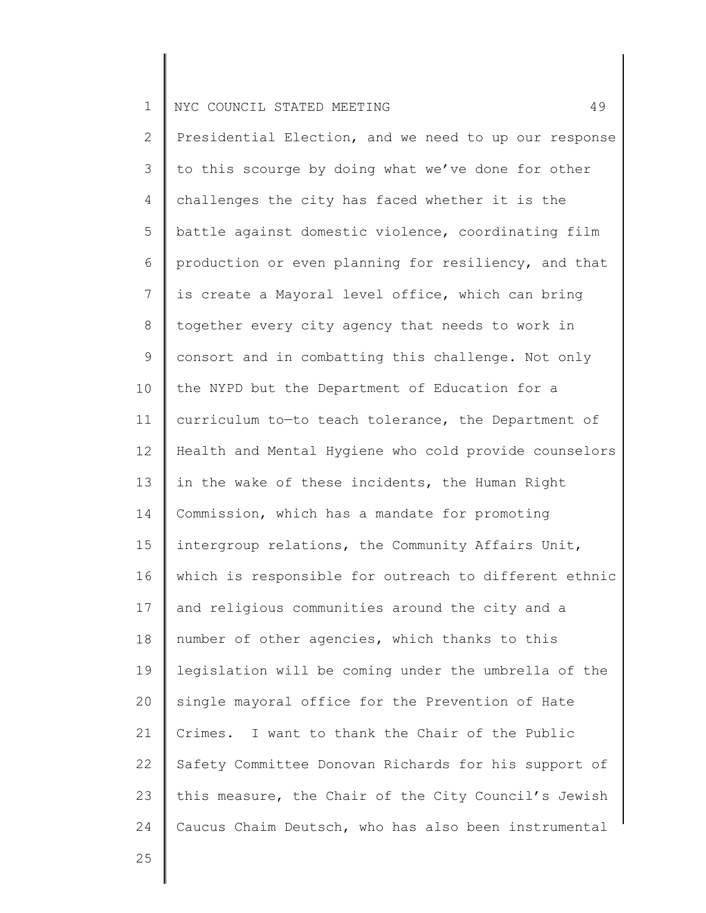2 3 4 5 6 7 8 9 10 11 12 13 14 15 16 17 18 19 20 21 22 23 24 Presidential Election, and we need to up our response to this scourge by doing what we've done for other challenges the city has faced whether it is the battle against domestic violence, coordinating film production or even planning for resiliency, and that is create a Mayoral level office, which can bring together every city agency that needs to work in consort and in combatting this challenge. Not only the NYPD but the Department of Education for a curriculum to—to teach tolerance, the Department of Health and Mental Hygiene who cold provide counselors in the wake of these incidents, the Human Right Commission, which has a mandate for promoting intergroup relations, the Community Affairs Unit, which is responsible for outreach to different ethnic and religious communities around the city and a number of other agencies, which thanks to this legislation will be coming under the umbrella of the single mayoral office for the Prevention of Hate Crimes. I want to thank the Chair of the Public Safety Committee Donovan Richards for his support of this measure, the Chair of the City Council's Jewish Caucus Chaim Deutsch, who has also been instrumental

25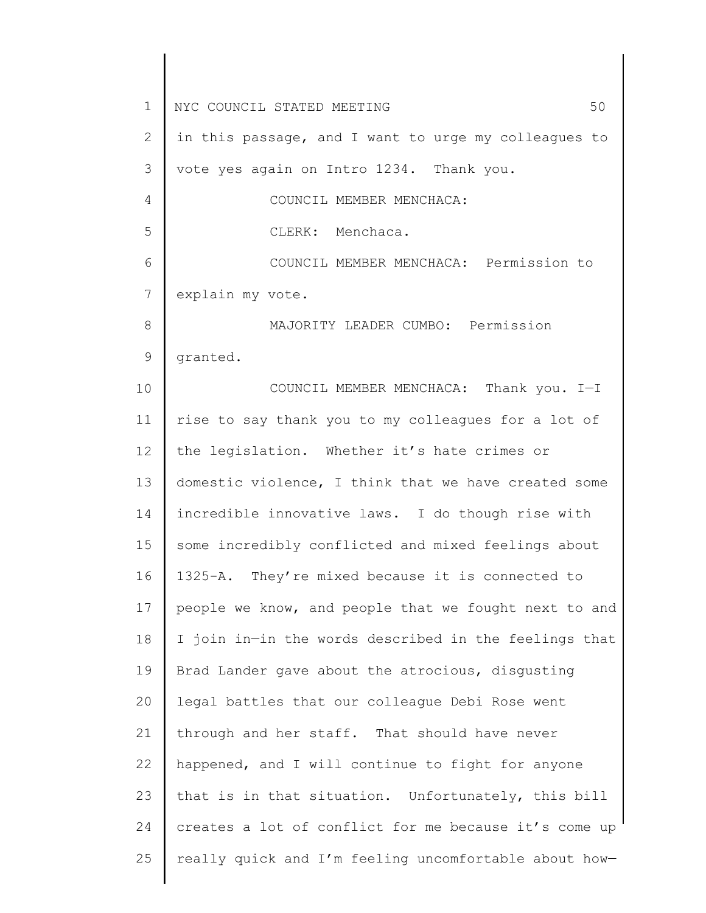1 2 3 4 5 6 7 8 9 10 11 12 13 14 15 16 17 18 19 20 21 22 23 24 25 NYC COUNCIL STATED MEETING 60 in this passage, and I want to urge my colleagues to vote yes again on Intro 1234. Thank you. COUNCIL MEMBER MENCHACA: CLERK: Menchaca. COUNCIL MEMBER MENCHACA: Permission to explain my vote. MAJORITY LEADER CUMBO: Permission granted. COUNCIL MEMBER MENCHACA: Thank you. I—I rise to say thank you to my colleagues for a lot of the legislation. Whether it's hate crimes or domestic violence, I think that we have created some incredible innovative laws. I do though rise with some incredibly conflicted and mixed feelings about 1325-A. They're mixed because it is connected to people we know, and people that we fought next to and I join in—in the words described in the feelings that Brad Lander gave about the atrocious, disgusting legal battles that our colleague Debi Rose went through and her staff. That should have never happened, and I will continue to fight for anyone that is in that situation. Unfortunately, this bill creates a lot of conflict for me because it's come up really quick and I'm feeling uncomfortable about how—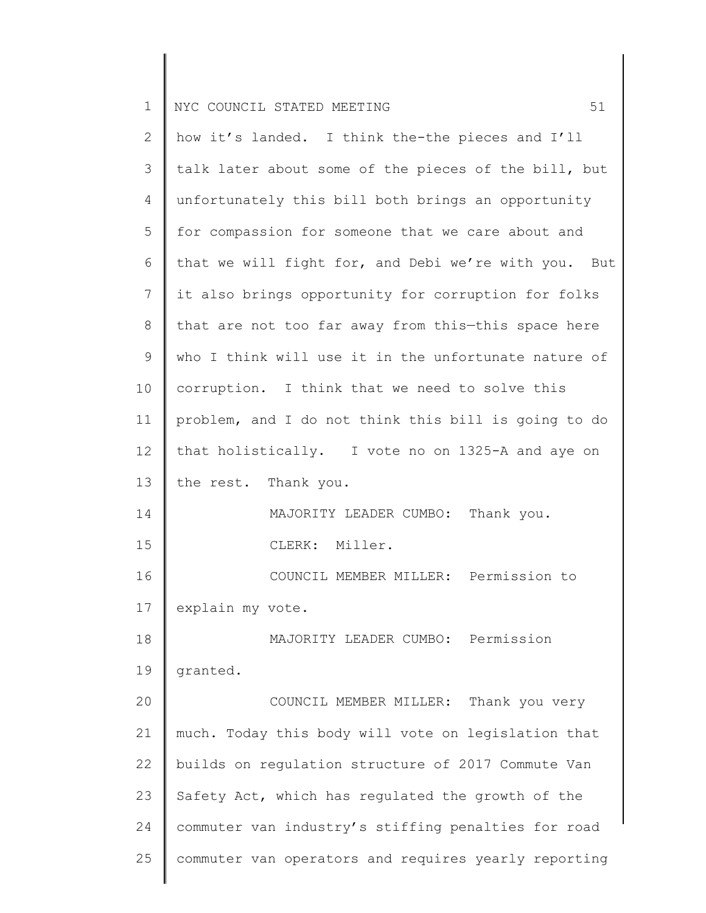| $\mathbf 1$ | 51<br>NYC COUNCIL STATED MEETING                     |  |  |  |  |  |  |
|-------------|------------------------------------------------------|--|--|--|--|--|--|
| 2           | how it's landed. I think the-the pieces and I'll     |  |  |  |  |  |  |
| 3           | talk later about some of the pieces of the bill, but |  |  |  |  |  |  |
| 4           | unfortunately this bill both brings an opportunity   |  |  |  |  |  |  |
| 5           | for compassion for someone that we care about and    |  |  |  |  |  |  |
| 6           | that we will fight for, and Debi we're with you. But |  |  |  |  |  |  |
| 7           | it also brings opportunity for corruption for folks  |  |  |  |  |  |  |
| 8           | that are not too far away from this-this space here  |  |  |  |  |  |  |
| 9           | who I think will use it in the unfortunate nature of |  |  |  |  |  |  |
| 10          | corruption. I think that we need to solve this       |  |  |  |  |  |  |
| 11          | problem, and I do not think this bill is going to do |  |  |  |  |  |  |
| 12          | that holistically. I vote no on 1325-A and aye on    |  |  |  |  |  |  |
| 13          | the rest. Thank you.                                 |  |  |  |  |  |  |
| 14          | MAJORITY LEADER CUMBO: Thank you.                    |  |  |  |  |  |  |
| 15          | CLERK: Miller.                                       |  |  |  |  |  |  |
| 16          | COUNCIL MEMBER MILLER: Permission to                 |  |  |  |  |  |  |
| 17          | explain my vote.                                     |  |  |  |  |  |  |
| 18          | MAJORITY LEADER CUMBO: Permission                    |  |  |  |  |  |  |
| 19          | granted.                                             |  |  |  |  |  |  |
| 20          | COUNCIL MEMBER MILLER: Thank you very                |  |  |  |  |  |  |
| 21          | much. Today this body will vote on legislation that  |  |  |  |  |  |  |
| 22          | builds on regulation structure of 2017 Commute Van   |  |  |  |  |  |  |
| 23          | Safety Act, which has regulated the growth of the    |  |  |  |  |  |  |
| 24          | commuter van industry's stiffing penalties for road  |  |  |  |  |  |  |
| 25          | commuter van operators and requires yearly reporting |  |  |  |  |  |  |
|             |                                                      |  |  |  |  |  |  |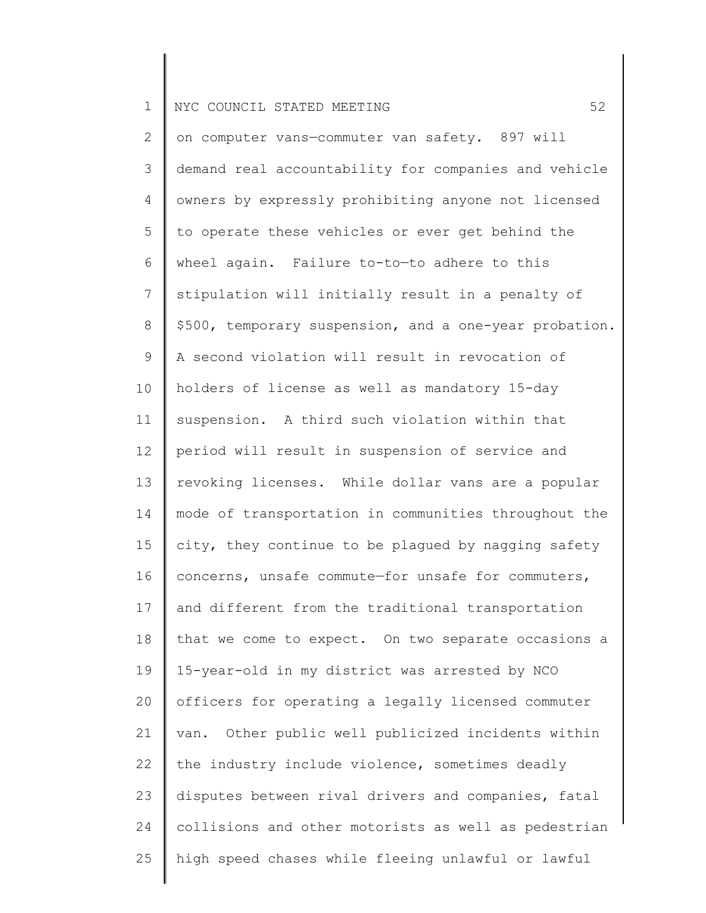2 3 4 5 6 7 8 9 10 11 12 13 14 15 16 17 18 19 20 21 22 23 24 25 on computer vans—commuter van safety. 897 will demand real accountability for companies and vehicle owners by expressly prohibiting anyone not licensed to operate these vehicles or ever get behind the wheel again. Failure to-to-to adhere to this stipulation will initially result in a penalty of \$500, temporary suspension, and a one-year probation. A second violation will result in revocation of holders of license as well as mandatory 15-day suspension. A third such violation within that period will result in suspension of service and revoking licenses. While dollar vans are a popular mode of transportation in communities throughout the city, they continue to be plagued by nagging safety concerns, unsafe commute—for unsafe for commuters, and different from the traditional transportation that we come to expect. On two separate occasions a 15-year-old in my district was arrested by NCO officers for operating a legally licensed commuter van. Other public well publicized incidents within the industry include violence, sometimes deadly disputes between rival drivers and companies, fatal collisions and other motorists as well as pedestrian high speed chases while fleeing unlawful or lawful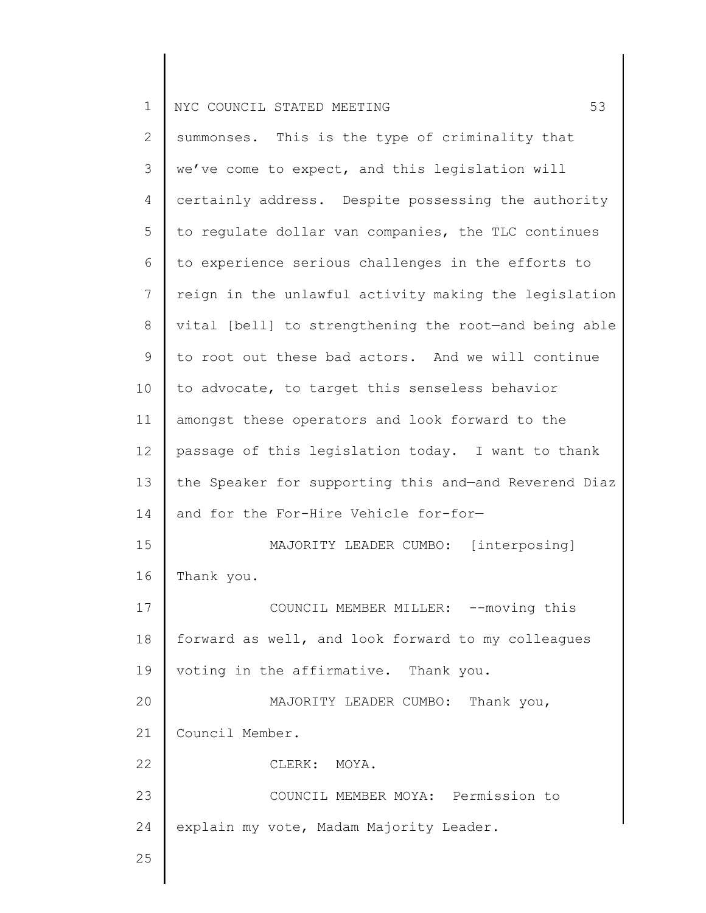2 3 4 5 6 7 8 9 10 11 12 13 14 15 16 17 18 19 20 21 22 23 24 25 summonses. This is the type of criminality that we've come to expect, and this legislation will certainly address. Despite possessing the authority to regulate dollar van companies, the TLC continues to experience serious challenges in the efforts to reign in the unlawful activity making the legislation vital [bell] to strengthening the root—and being able to root out these bad actors. And we will continue to advocate, to target this senseless behavior amongst these operators and look forward to the passage of this legislation today. I want to thank the Speaker for supporting this and—and Reverend Diaz and for the For-Hire Vehicle for-for— MAJORITY LEADER CUMBO: [interposing] Thank you. COUNCIL MEMBER MILLER: --moving this forward as well, and look forward to my colleagues voting in the affirmative. Thank you. MAJORITY LEADER CUMBO: Thank you, Council Member. CLERK: MOYA. COUNCIL MEMBER MOYA: Permission to explain my vote, Madam Majority Leader.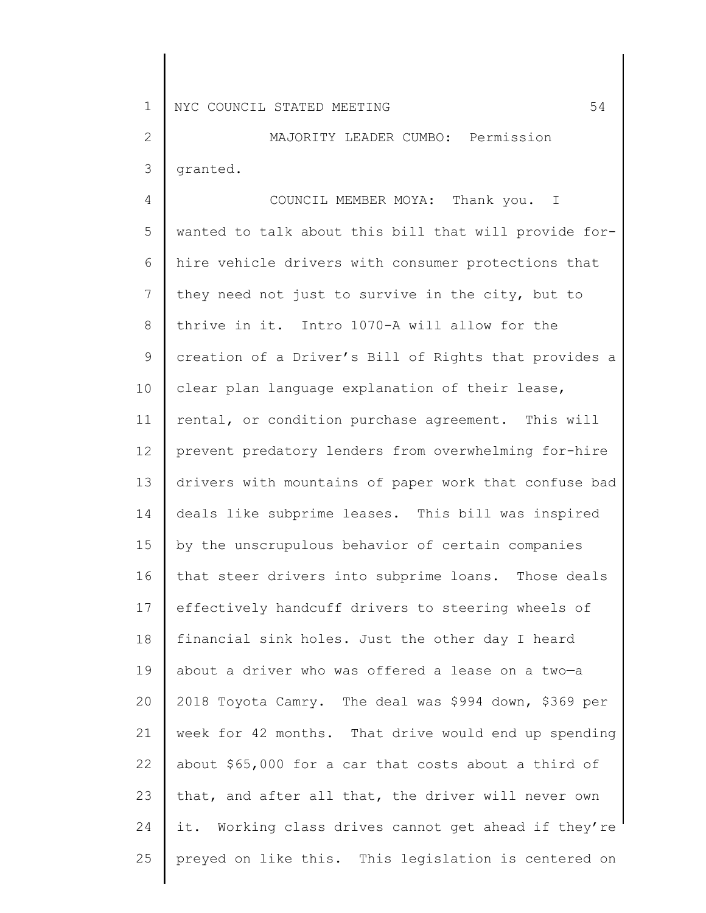2 3 MAJORITY LEADER CUMBO: Permission granted.

4 5 6 7 8 9 10 11 12 13 14 15 16 17 18 19 20 21 22 23 24 25 COUNCIL MEMBER MOYA: Thank you. I wanted to talk about this bill that will provide forhire vehicle drivers with consumer protections that they need not just to survive in the city, but to thrive in it. Intro 1070-A will allow for the creation of a Driver's Bill of Rights that provides a clear plan language explanation of their lease, rental, or condition purchase agreement. This will prevent predatory lenders from overwhelming for-hire drivers with mountains of paper work that confuse bad deals like subprime leases. This bill was inspired by the unscrupulous behavior of certain companies that steer drivers into subprime loans. Those deals effectively handcuff drivers to steering wheels of financial sink holes. Just the other day I heard about a driver who was offered a lease on a two—a 2018 Toyota Camry. The deal was \$994 down, \$369 per week for 42 months. That drive would end up spending about \$65,000 for a car that costs about a third of that, and after all that, the driver will never own it. Working class drives cannot get ahead if they're preyed on like this. This legislation is centered on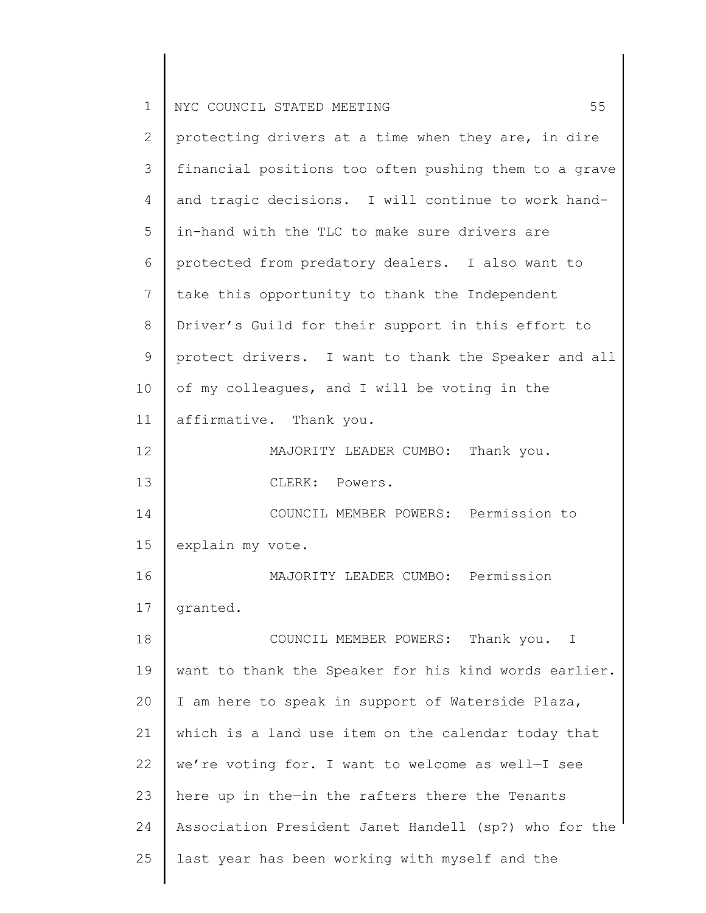| $\mathbf 1$  | 55<br>NYC COUNCIL STATED MEETING                      |  |  |  |  |  |  |  |
|--------------|-------------------------------------------------------|--|--|--|--|--|--|--|
| $\mathbf{2}$ | protecting drivers at a time when they are, in dire   |  |  |  |  |  |  |  |
| 3            | financial positions too often pushing them to a grave |  |  |  |  |  |  |  |
| 4            | and tragic decisions. I will continue to work hand-   |  |  |  |  |  |  |  |
| 5            | in-hand with the TLC to make sure drivers are         |  |  |  |  |  |  |  |
| 6            | protected from predatory dealers. I also want to      |  |  |  |  |  |  |  |
| 7            | take this opportunity to thank the Independent        |  |  |  |  |  |  |  |
| $8\,$        | Driver's Guild for their support in this effort to    |  |  |  |  |  |  |  |
| 9            | protect drivers. I want to thank the Speaker and all  |  |  |  |  |  |  |  |
| 10           | of my colleagues, and I will be voting in the         |  |  |  |  |  |  |  |
| 11           | affirmative. Thank you.                               |  |  |  |  |  |  |  |
| 12           | MAJORITY LEADER CUMBO: Thank you.                     |  |  |  |  |  |  |  |
| 13           |                                                       |  |  |  |  |  |  |  |
|              | CLERK: Powers.                                        |  |  |  |  |  |  |  |
| 14           | COUNCIL MEMBER POWERS: Permission to                  |  |  |  |  |  |  |  |
| 15           | explain my vote.                                      |  |  |  |  |  |  |  |
| 16           | MAJORITY LEADER CUMBO: Permission                     |  |  |  |  |  |  |  |
| 17           | granted.                                              |  |  |  |  |  |  |  |
| 18           | COUNCIL MEMBER POWERS: Thank you. I                   |  |  |  |  |  |  |  |
| 19           | want to thank the Speaker for his kind words earlier. |  |  |  |  |  |  |  |
| 20           | I am here to speak in support of Waterside Plaza,     |  |  |  |  |  |  |  |
| 21           | which is a land use item on the calendar today that   |  |  |  |  |  |  |  |
| 22           | we're voting for. I want to welcome as well-I see     |  |  |  |  |  |  |  |
| 23           | here up in the-in the rafters there the Tenants       |  |  |  |  |  |  |  |
| 24           | Association President Janet Handell (sp?) who for the |  |  |  |  |  |  |  |
| 25           | last year has been working with myself and the        |  |  |  |  |  |  |  |
|              |                                                       |  |  |  |  |  |  |  |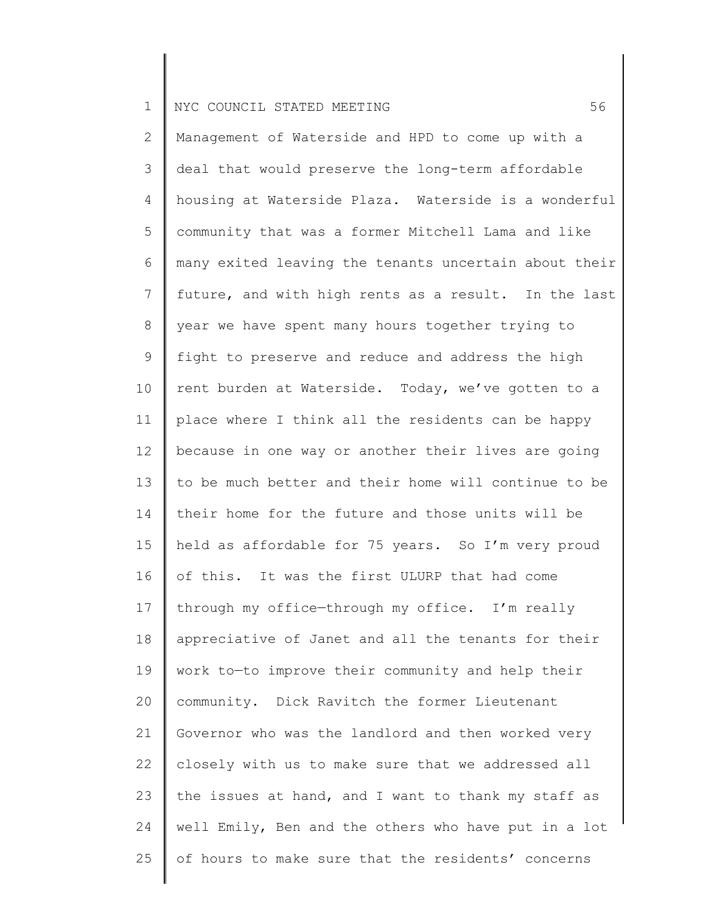2 3 4 5 6 7 8 9 10 11 12 13 14 15 16 17 18 19 20 21 22 23 24 25 Management of Waterside and HPD to come up with a deal that would preserve the long-term affordable housing at Waterside Plaza. Waterside is a wonderful community that was a former Mitchell Lama and like many exited leaving the tenants uncertain about their future, and with high rents as a result. In the last year we have spent many hours together trying to fight to preserve and reduce and address the high rent burden at Waterside. Today, we've gotten to a place where I think all the residents can be happy because in one way or another their lives are going to be much better and their home will continue to be their home for the future and those units will be held as affordable for 75 years. So I'm very proud of this. It was the first ULURP that had come through my office—through my office. I'm really appreciative of Janet and all the tenants for their work to—to improve their community and help their community. Dick Ravitch the former Lieutenant Governor who was the landlord and then worked very closely with us to make sure that we addressed all the issues at hand, and I want to thank my staff as well Emily, Ben and the others who have put in a lot of hours to make sure that the residents' concerns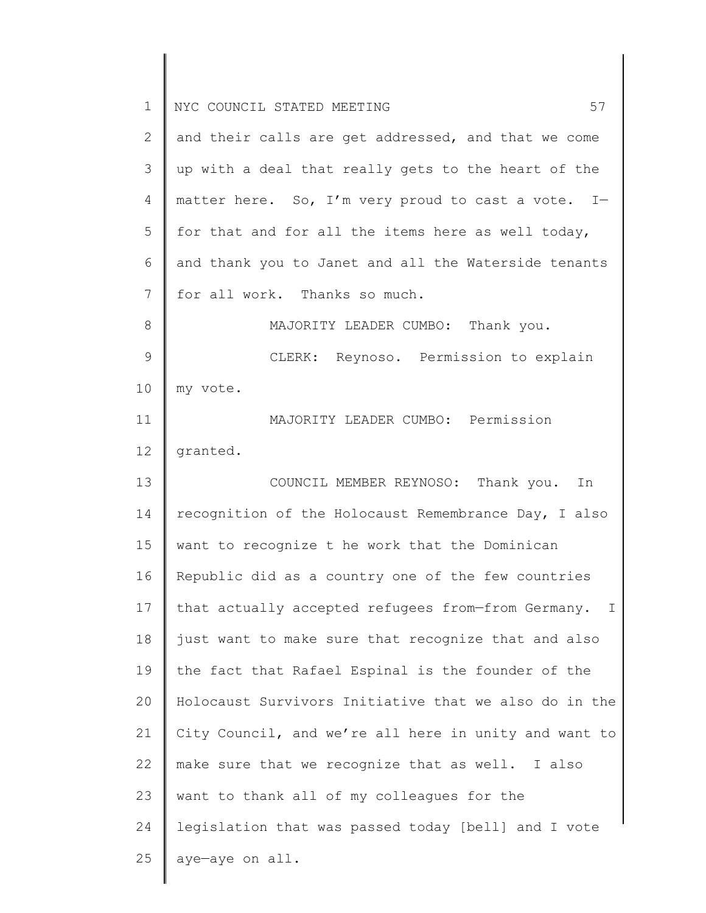| $\mathbf 1$ | 57<br>NYC COUNCIL STATED MEETING                              |  |  |  |  |  |  |
|-------------|---------------------------------------------------------------|--|--|--|--|--|--|
| 2           | and their calls are get addressed, and that we come           |  |  |  |  |  |  |
| 3           | up with a deal that really gets to the heart of the           |  |  |  |  |  |  |
| 4           | matter here. So, I'm very proud to cast a vote. I-            |  |  |  |  |  |  |
| 5           | for that and for all the items here as well today,            |  |  |  |  |  |  |
| 6           | and thank you to Janet and all the Waterside tenants          |  |  |  |  |  |  |
| 7           | for all work. Thanks so much.                                 |  |  |  |  |  |  |
| 8           | MAJORITY LEADER CUMBO: Thank you.                             |  |  |  |  |  |  |
| 9           | CLERK: Reynoso. Permission to explain                         |  |  |  |  |  |  |
| 10          | my vote.                                                      |  |  |  |  |  |  |
| 11          | MAJORITY LEADER CUMBO: Permission                             |  |  |  |  |  |  |
| 12          | granted.                                                      |  |  |  |  |  |  |
| 13          | COUNCIL MEMBER REYNOSO: Thank you. In                         |  |  |  |  |  |  |
| 14          | recognition of the Holocaust Remembrance Day, I also          |  |  |  |  |  |  |
| 15          | want to recognize t he work that the Dominican                |  |  |  |  |  |  |
| 16          | Republic did as a country one of the few countries            |  |  |  |  |  |  |
| 17          | that actually accepted refugees from-from Germany.<br>$\perp$ |  |  |  |  |  |  |
| 18          | just want to make sure that recognize that and also           |  |  |  |  |  |  |
| 19          | the fact that Rafael Espinal is the founder of the            |  |  |  |  |  |  |
| 20          | Holocaust Survivors Initiative that we also do in the         |  |  |  |  |  |  |
| 21          | City Council, and we're all here in unity and want to         |  |  |  |  |  |  |
| 22          | make sure that we recognize that as well. I also              |  |  |  |  |  |  |
| 23          | want to thank all of my colleagues for the                    |  |  |  |  |  |  |
| 24          | legislation that was passed today [bell] and I vote           |  |  |  |  |  |  |
| 25          | aye-aye on all.                                               |  |  |  |  |  |  |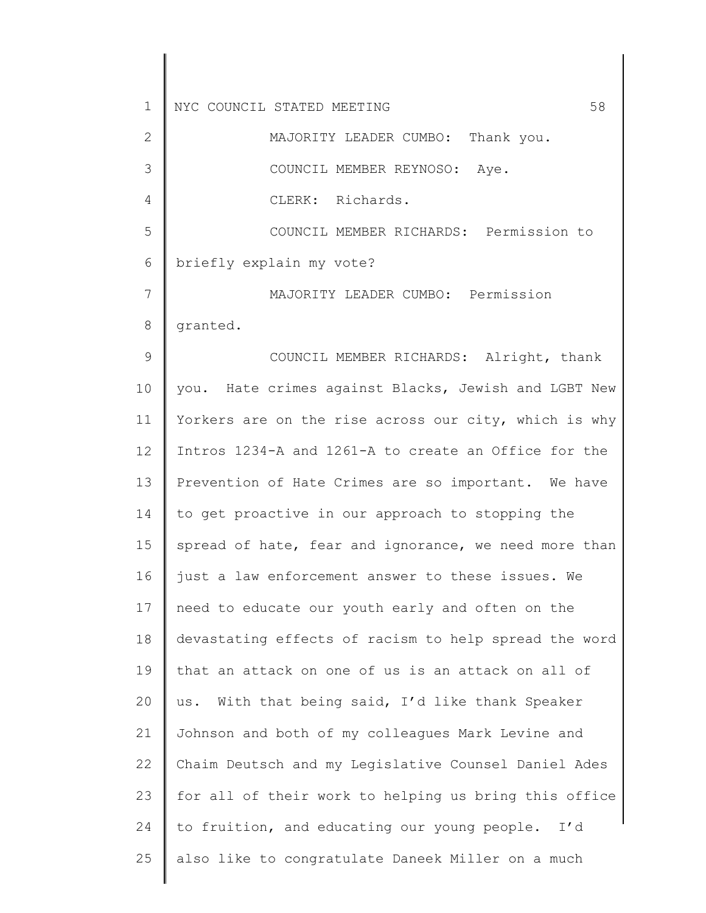| $\mathbf 1$  | 58<br>NYC COUNCIL STATED MEETING                      |  |  |  |  |  |  |
|--------------|-------------------------------------------------------|--|--|--|--|--|--|
| $\mathbf{2}$ | MAJORITY LEADER CUMBO: Thank you.                     |  |  |  |  |  |  |
| 3            | COUNCIL MEMBER REYNOSO: Aye.                          |  |  |  |  |  |  |
| 4            | CLERK: Richards.                                      |  |  |  |  |  |  |
| 5            | COUNCIL MEMBER RICHARDS: Permission to                |  |  |  |  |  |  |
| 6            | briefly explain my vote?                              |  |  |  |  |  |  |
| 7            | MAJORITY LEADER CUMBO: Permission                     |  |  |  |  |  |  |
| 8            | granted.                                              |  |  |  |  |  |  |
| 9            | COUNCIL MEMBER RICHARDS: Alright, thank               |  |  |  |  |  |  |
| 10           | you. Hate crimes against Blacks, Jewish and LGBT New  |  |  |  |  |  |  |
| 11           | Yorkers are on the rise across our city, which is why |  |  |  |  |  |  |
| 12           | Intros 1234-A and 1261-A to create an Office for the  |  |  |  |  |  |  |
| 13           | Prevention of Hate Crimes are so important. We have   |  |  |  |  |  |  |
| 14           | to get proactive in our approach to stopping the      |  |  |  |  |  |  |
| 15           | spread of hate, fear and ignorance, we need more than |  |  |  |  |  |  |
| 16           | just a law enforcement answer to these issues. We     |  |  |  |  |  |  |
| 17           | need to educate our youth early and often on the      |  |  |  |  |  |  |
| 18           | devastating effects of racism to help spread the word |  |  |  |  |  |  |
| 19           | that an attack on one of us is an attack on all of    |  |  |  |  |  |  |
| 20           | us. With that being said, I'd like thank Speaker      |  |  |  |  |  |  |
| 21           | Johnson and both of my colleagues Mark Levine and     |  |  |  |  |  |  |
| 22           | Chaim Deutsch and my Legislative Counsel Daniel Ades  |  |  |  |  |  |  |
| 23           | for all of their work to helping us bring this office |  |  |  |  |  |  |
| 24           | to fruition, and educating our young people. I'd      |  |  |  |  |  |  |
| 25           | also like to congratulate Daneek Miller on a much     |  |  |  |  |  |  |
|              |                                                       |  |  |  |  |  |  |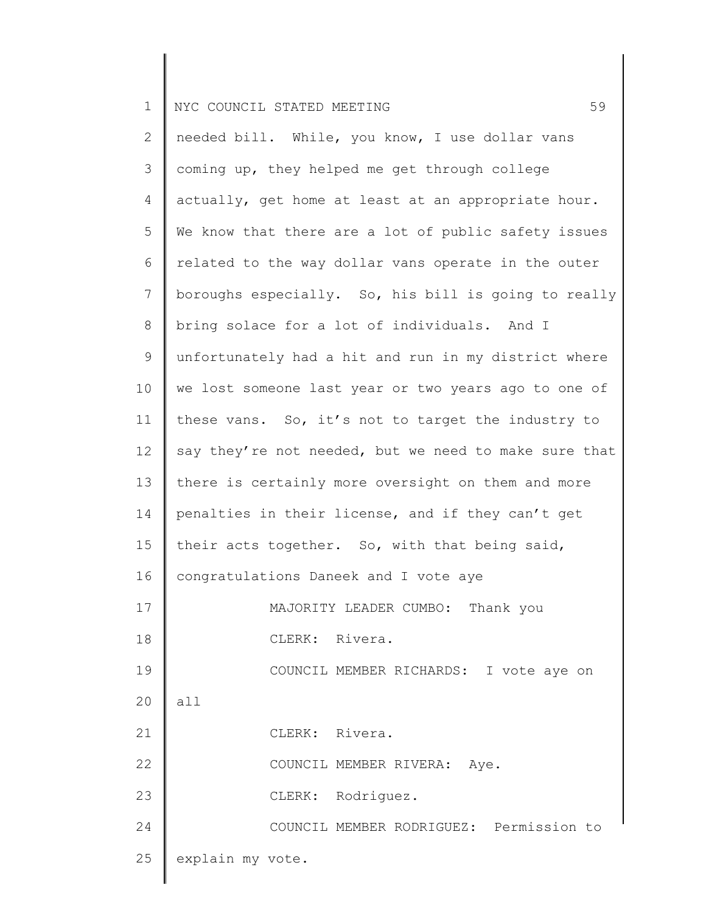2 3 4 5 6 7 8 9 10 11 12 13 14 15 16 17 18 19 20 21 22 23 24 25 needed bill. While, you know, I use dollar vans coming up, they helped me get through college actually, get home at least at an appropriate hour. We know that there are a lot of public safety issues related to the way dollar vans operate in the outer boroughs especially. So, his bill is going to really bring solace for a lot of individuals. And I unfortunately had a hit and run in my district where we lost someone last year or two years ago to one of these vans. So, it's not to target the industry to say they're not needed, but we need to make sure that there is certainly more oversight on them and more penalties in their license, and if they can't get their acts together. So, with that being said, congratulations Daneek and I vote aye MAJORITY LEADER CUMBO: Thank you CLERK: Rivera. COUNCIL MEMBER RICHARDS: I vote aye on all CLERK: Rivera. COUNCIL MEMBER RIVERA: Aye. CLERK: Rodriguez. COUNCIL MEMBER RODRIGUEZ: Permission to explain my vote.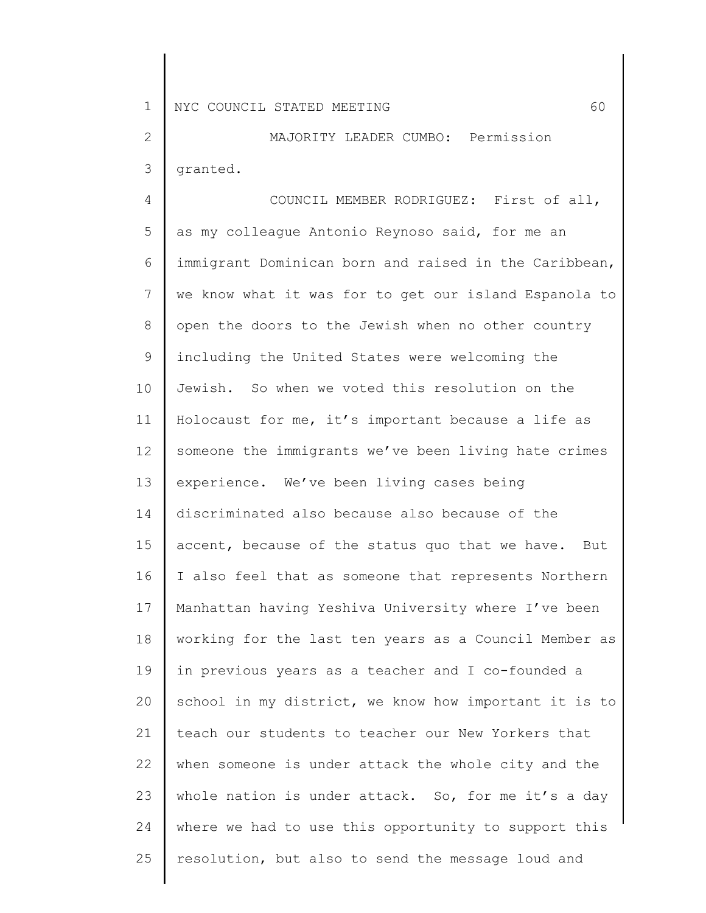2 3 MAJORITY LEADER CUMBO: Permission granted.

4 5 6 7 8 9 10 11 12 13 14 15 16 17 18 19 20 21 22 23 24 25 COUNCIL MEMBER RODRIGUEZ: First of all, as my colleague Antonio Reynoso said, for me an immigrant Dominican born and raised in the Caribbean, we know what it was for to get our island Espanola to open the doors to the Jewish when no other country including the United States were welcoming the Jewish. So when we voted this resolution on the Holocaust for me, it's important because a life as someone the immigrants we've been living hate crimes experience. We've been living cases being discriminated also because also because of the accent, because of the status quo that we have. But I also feel that as someone that represents Northern Manhattan having Yeshiva University where I've been working for the last ten years as a Council Member as in previous years as a teacher and I co-founded a school in my district, we know how important it is to teach our students to teacher our New Yorkers that when someone is under attack the whole city and the whole nation is under attack. So, for me it's a day where we had to use this opportunity to support this resolution, but also to send the message loud and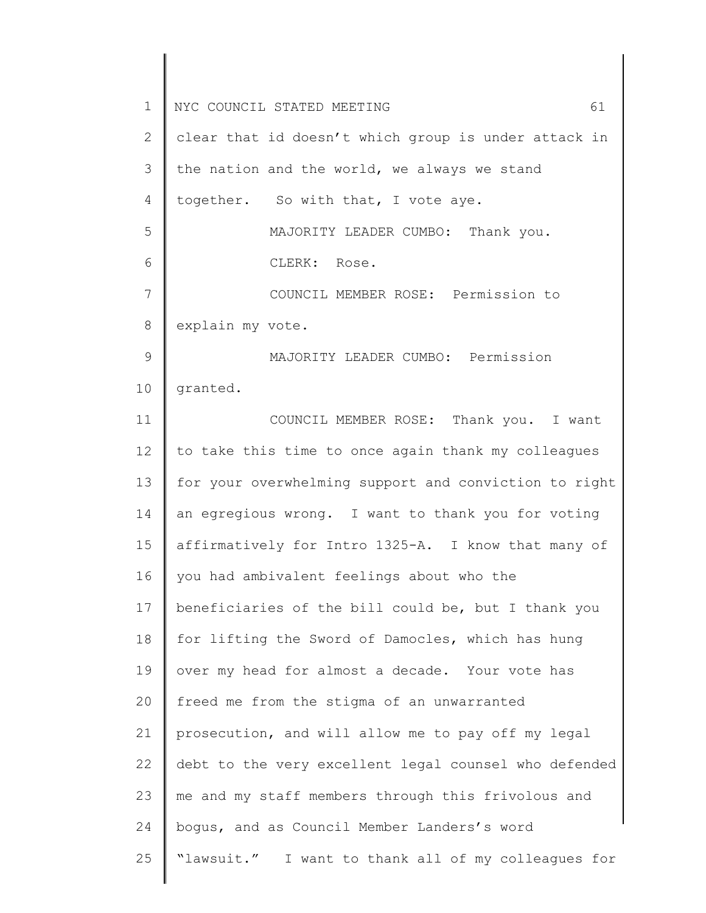1 2 3 4 5 6 7 8 9 10 11 12 13 14 15 16 17 18 19 20 21 22 23 24 25 NYC COUNCIL STATED MEETING 61 clear that id doesn't which group is under attack in the nation and the world, we always we stand together. So with that, I vote aye. MAJORITY LEADER CUMBO: Thank you. CLERK: Rose. COUNCIL MEMBER ROSE: Permission to explain my vote. MAJORITY LEADER CUMBO: Permission granted. COUNCIL MEMBER ROSE: Thank you. I want to take this time to once again thank my colleagues for your overwhelming support and conviction to right an egregious wrong. I want to thank you for voting affirmatively for Intro 1325-A. I know that many of you had ambivalent feelings about who the beneficiaries of the bill could be, but I thank you for lifting the Sword of Damocles, which has hung over my head for almost a decade. Your vote has freed me from the stigma of an unwarranted prosecution, and will allow me to pay off my legal debt to the very excellent legal counsel who defended me and my staff members through this frivolous and bogus, and as Council Member Landers's word "lawsuit." I want to thank all of my colleagues for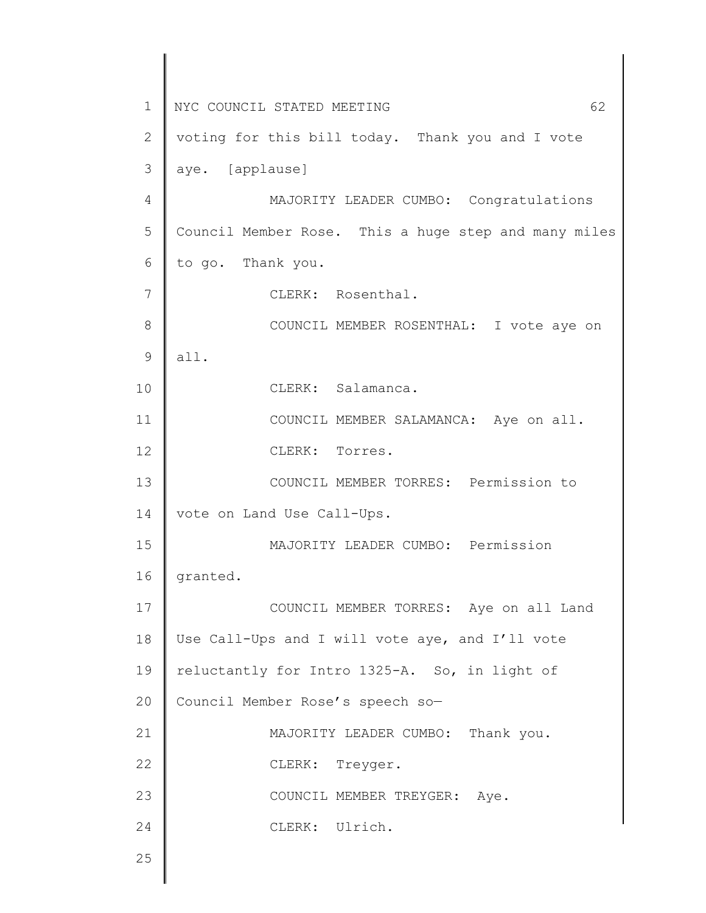1 2 3 4 5 6 7 8 9 10 11 12 13 14 15 16 17 18 19 20 21 22 23 24 25 NYC COUNCIL STATED MEETING 62 voting for this bill today. Thank you and I vote aye. [applause] MAJORITY LEADER CUMBO: Congratulations Council Member Rose. This a huge step and many miles to go. Thank you. CLERK: Rosenthal. COUNCIL MEMBER ROSENTHAL: I vote aye on all. CLERK: Salamanca. COUNCIL MEMBER SALAMANCA: Aye on all. CLERK: Torres. COUNCIL MEMBER TORRES: Permission to vote on Land Use Call-Ups. MAJORITY LEADER CUMBO: Permission granted. COUNCIL MEMBER TORRES: Aye on all Land Use Call-Ups and I will vote aye, and I'll vote reluctantly for Intro 1325-A. So, in light of Council Member Rose's speech so— MAJORITY LEADER CUMBO: Thank you. CLERK: Treyger. COUNCIL MEMBER TREYGER: Aye. CLERK: Ulrich.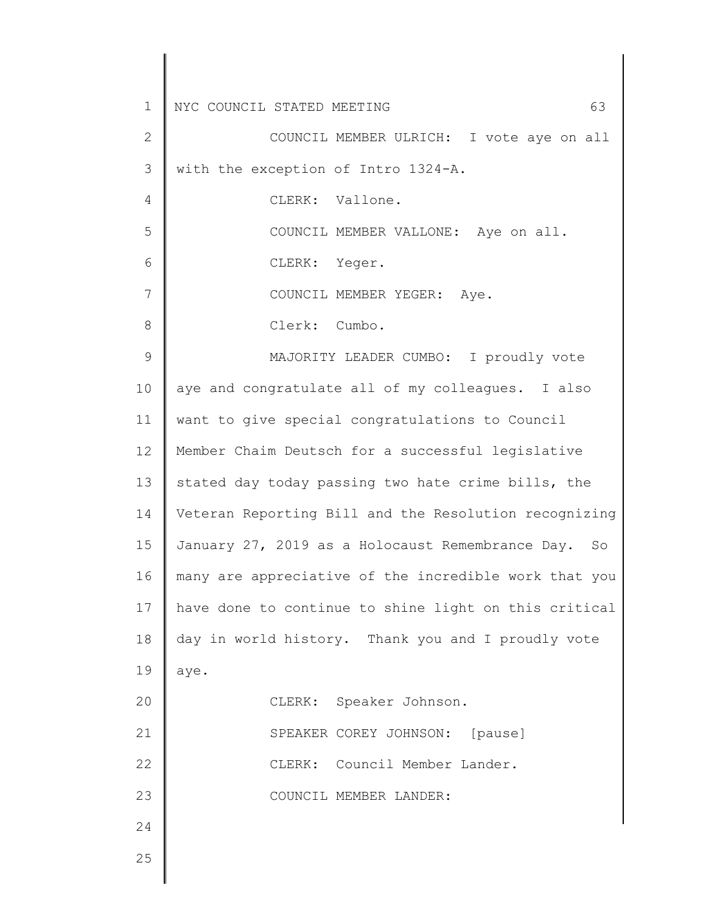| $1\,$          | NYC COUNCIL STATED MEETING<br>63                      |  |  |  |  |  |  |
|----------------|-------------------------------------------------------|--|--|--|--|--|--|
| $\mathbf{2}$   | COUNCIL MEMBER ULRICH: I vote aye on all              |  |  |  |  |  |  |
| 3              | with the exception of Intro 1324-A.                   |  |  |  |  |  |  |
| $\overline{4}$ | CLERK: Vallone.                                       |  |  |  |  |  |  |
| 5              | COUNCIL MEMBER VALLONE: Aye on all.                   |  |  |  |  |  |  |
| 6              | CLERK: Yeger.                                         |  |  |  |  |  |  |
| 7              | COUNCIL MEMBER YEGER: Aye.                            |  |  |  |  |  |  |
| $8\,$          | Clerk: Cumbo.                                         |  |  |  |  |  |  |
| $\mathsf 9$    | MAJORITY LEADER CUMBO: I proudly vote                 |  |  |  |  |  |  |
| 10             | aye and congratulate all of my colleagues. I also     |  |  |  |  |  |  |
| 11             | want to give special congratulations to Council       |  |  |  |  |  |  |
| 12             | Member Chaim Deutsch for a successful legislative     |  |  |  |  |  |  |
| 13             | stated day today passing two hate crime bills, the    |  |  |  |  |  |  |
| 14             | Veteran Reporting Bill and the Resolution recognizing |  |  |  |  |  |  |
| 15             | January 27, 2019 as a Holocaust Remembrance Day. So   |  |  |  |  |  |  |
| 16             | many are appreciative of the incredible work that you |  |  |  |  |  |  |
| 17             | have done to continue to shine light on this critical |  |  |  |  |  |  |
| 18             | day in world history. Thank you and I proudly vote    |  |  |  |  |  |  |
| 19             | aye.                                                  |  |  |  |  |  |  |
| 20             | CLERK: Speaker Johnson.                               |  |  |  |  |  |  |
| 21             | SPEAKER COREY JOHNSON: [pause]                        |  |  |  |  |  |  |
| 22             | CLERK: Council Member Lander.                         |  |  |  |  |  |  |
| 23             | COUNCIL MEMBER LANDER:                                |  |  |  |  |  |  |
| 24             |                                                       |  |  |  |  |  |  |
| 25             |                                                       |  |  |  |  |  |  |
|                |                                                       |  |  |  |  |  |  |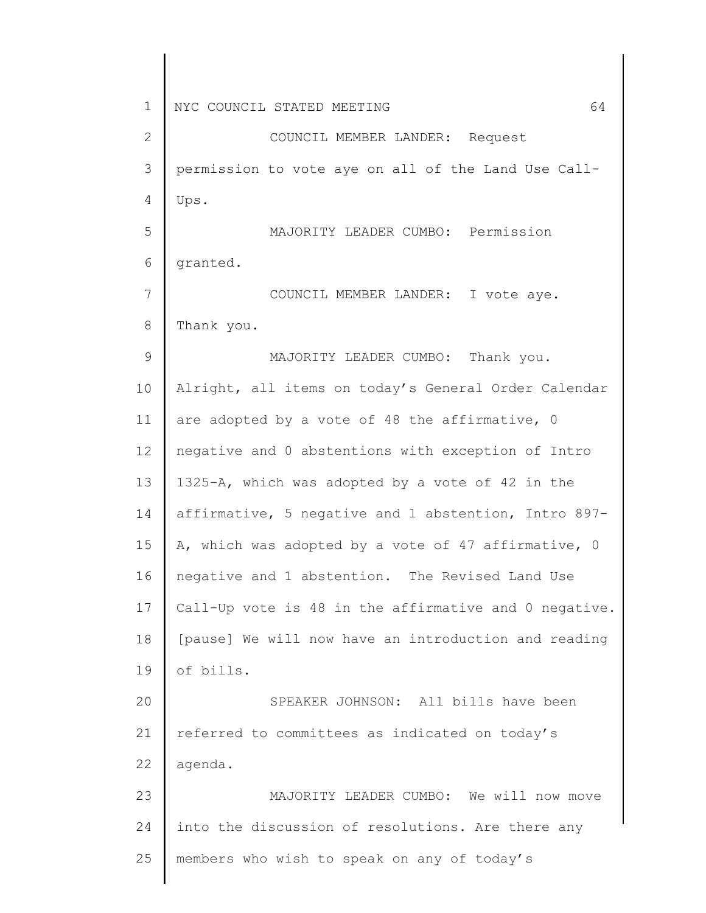1 2 3 4 5 6 7 8 9 10 11 12 13 14 15 16 17 18 19 20 21 22 23 24 25 NYC COUNCIL STATED MEETING 64 COUNCIL MEMBER LANDER: Request permission to vote aye on all of the Land Use Call-Ups. MAJORITY LEADER CUMBO: Permission granted. COUNCIL MEMBER LANDER: I vote aye. Thank you. MAJORITY LEADER CUMBO: Thank you. Alright, all items on today's General Order Calendar are adopted by a vote of 48 the affirmative, 0 negative and 0 abstentions with exception of Intro 1325-A, which was adopted by a vote of 42 in the affirmative, 5 negative and 1 abstention, Intro 897- A, which was adopted by a vote of 47 affirmative, 0 negative and 1 abstention. The Revised Land Use Call-Up vote is 48 in the affirmative and 0 negative. [pause] We will now have an introduction and reading of bills. SPEAKER JOHNSON: All bills have been referred to committees as indicated on today's agenda. MAJORITY LEADER CUMBO: We will now move into the discussion of resolutions. Are there any members who wish to speak on any of today's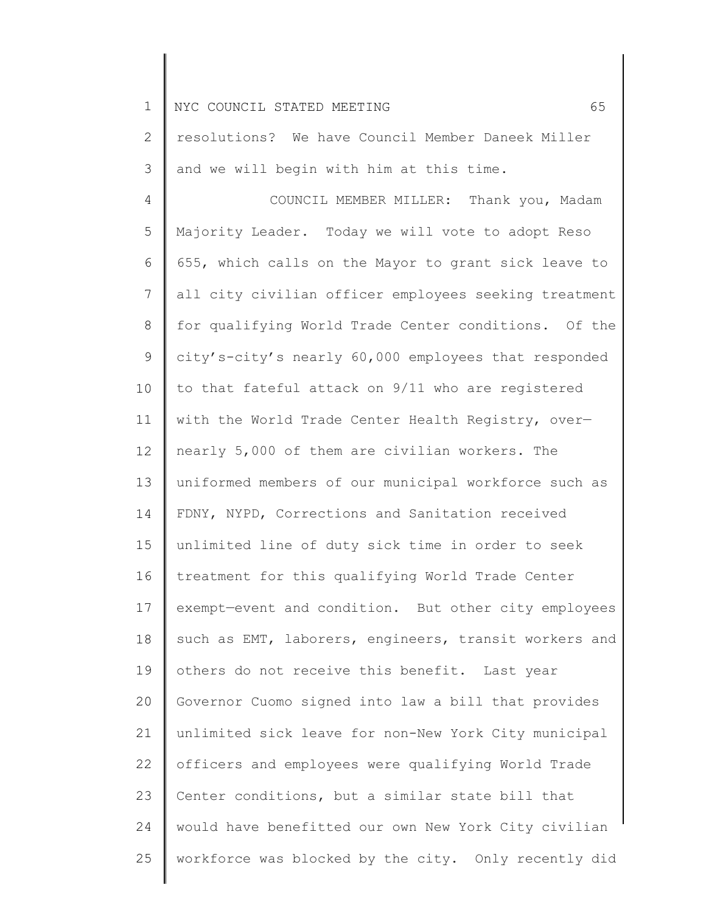2 3 resolutions? We have Council Member Daneek Miller and we will begin with him at this time.

4 5 6 7 8 9 10 11 12 13 14 15 16 17 18 19 20 21 22 23 24 25 COUNCIL MEMBER MILLER: Thank you, Madam Majority Leader. Today we will vote to adopt Reso 655, which calls on the Mayor to grant sick leave to all city civilian officer employees seeking treatment for qualifying World Trade Center conditions. Of the city's-city's nearly 60,000 employees that responded to that fateful attack on 9/11 who are registered with the World Trade Center Health Registry, overnearly 5,000 of them are civilian workers. The uniformed members of our municipal workforce such as FDNY, NYPD, Corrections and Sanitation received unlimited line of duty sick time in order to seek treatment for this qualifying World Trade Center exempt—event and condition. But other city employees such as EMT, laborers, engineers, transit workers and others do not receive this benefit. Last year Governor Cuomo signed into law a bill that provides unlimited sick leave for non-New York City municipal officers and employees were qualifying World Trade Center conditions, but a similar state bill that would have benefitted our own New York City civilian workforce was blocked by the city. Only recently did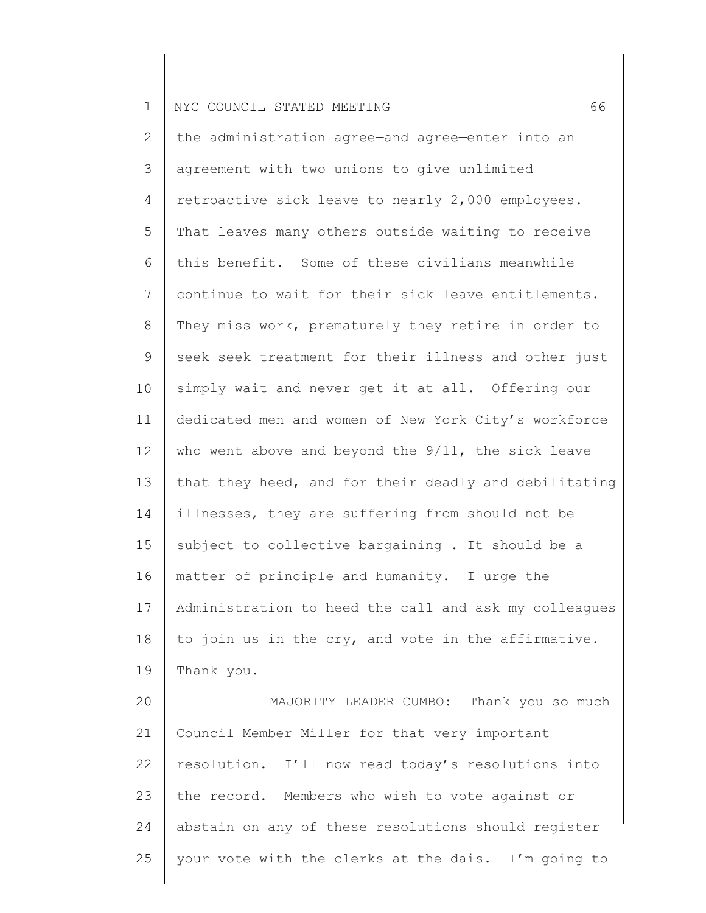2 3 4 5 6 7 8 9 10 11 12 13 14 15 16 17 18 19 20 the administration agree—and agree—enter into an agreement with two unions to give unlimited retroactive sick leave to nearly 2,000 employees. That leaves many others outside waiting to receive this benefit. Some of these civilians meanwhile continue to wait for their sick leave entitlements. They miss work, prematurely they retire in order to seek—seek treatment for their illness and other just simply wait and never get it at all. Offering our dedicated men and women of New York City's workforce who went above and beyond the 9/11, the sick leave that they heed, and for their deadly and debilitating illnesses, they are suffering from should not be subject to collective bargaining . It should be a matter of principle and humanity. I urge the Administration to heed the call and ask my colleagues to join us in the cry, and vote in the affirmative. Thank you. MAJORITY LEADER CUMBO: Thank you so much

21 22 23 24 25 Council Member Miller for that very important resolution. I'll now read today's resolutions into the record. Members who wish to vote against or abstain on any of these resolutions should register your vote with the clerks at the dais. I'm going to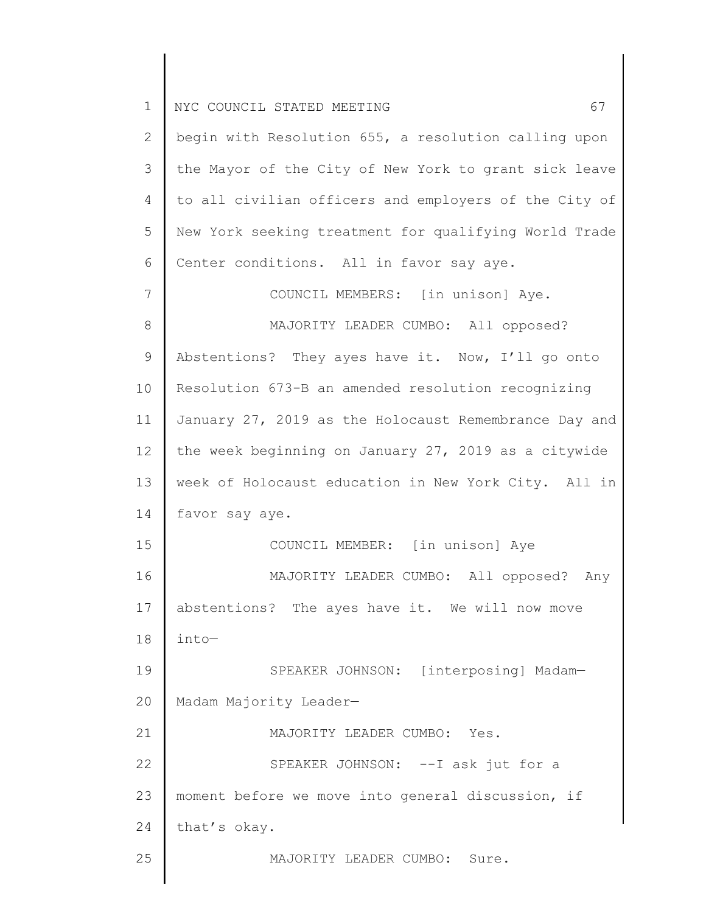1 2 3 4 5 6 7 8 9 10 11 12 13 14 15 16 17 18 19 20 21 22 23 24 25 NYC COUNCIL STATED MEETING 67 begin with Resolution 655, a resolution calling upon the Mayor of the City of New York to grant sick leave to all civilian officers and employers of the City of New York seeking treatment for qualifying World Trade Center conditions. All in favor say aye. COUNCIL MEMBERS: [in unison] Aye. MAJORITY LEADER CUMBO: All opposed? Abstentions? They ayes have it. Now, I'll go onto Resolution 673-B an amended resolution recognizing January 27, 2019 as the Holocaust Remembrance Day and the week beginning on January 27, 2019 as a citywide week of Holocaust education in New York City. All in favor say aye. COUNCIL MEMBER: [in unison] Aye MAJORITY LEADER CUMBO: All opposed? Any abstentions? The ayes have it. We will now move into— SPEAKER JOHNSON: [interposing] Madam— Madam Majority Leader— MAJORITY LEADER CUMBO: Yes. SPEAKER JOHNSON: --I ask jut for a moment before we move into general discussion, if that's okay. MAJORITY LEADER CUMBO: Sure.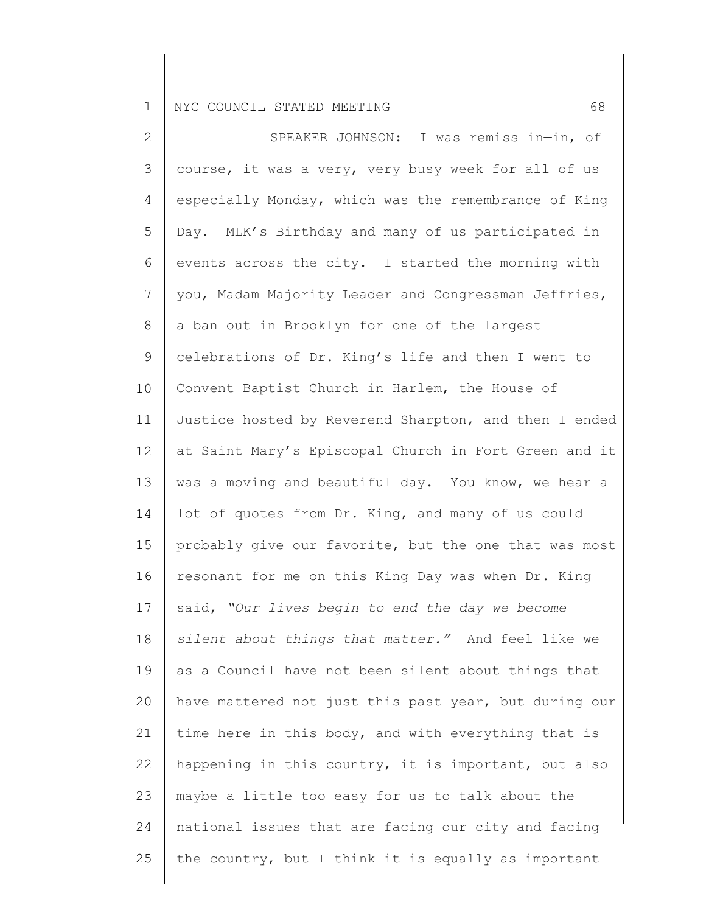2 3 4 5 6 7 8 9 10 11 12 13 14 15 16 17 18 19 20 21 22 23 24 25 SPEAKER JOHNSON: I was remiss in—in, of course, it was a very, very busy week for all of us especially Monday, which was the remembrance of King Day. MLK's Birthday and many of us participated in events across the city. I started the morning with you, Madam Majority Leader and Congressman Jeffries, a ban out in Brooklyn for one of the largest celebrations of Dr. King's life and then I went to Convent Baptist Church in Harlem, the House of Justice hosted by Reverend Sharpton, and then I ended at Saint Mary's Episcopal Church in Fort Green and it was a moving and beautiful day. You know, we hear a lot of quotes from Dr. King, and many of us could probably give our favorite, but the one that was most resonant for me on this King Day was when Dr. King said, *"Our lives begin to end the day we become silent about things that matter."* And feel like we as a Council have not been silent about things that have mattered not just this past year, but during our time here in this body, and with everything that is happening in this country, it is important, but also maybe a little too easy for us to talk about the national issues that are facing our city and facing the country, but I think it is equally as important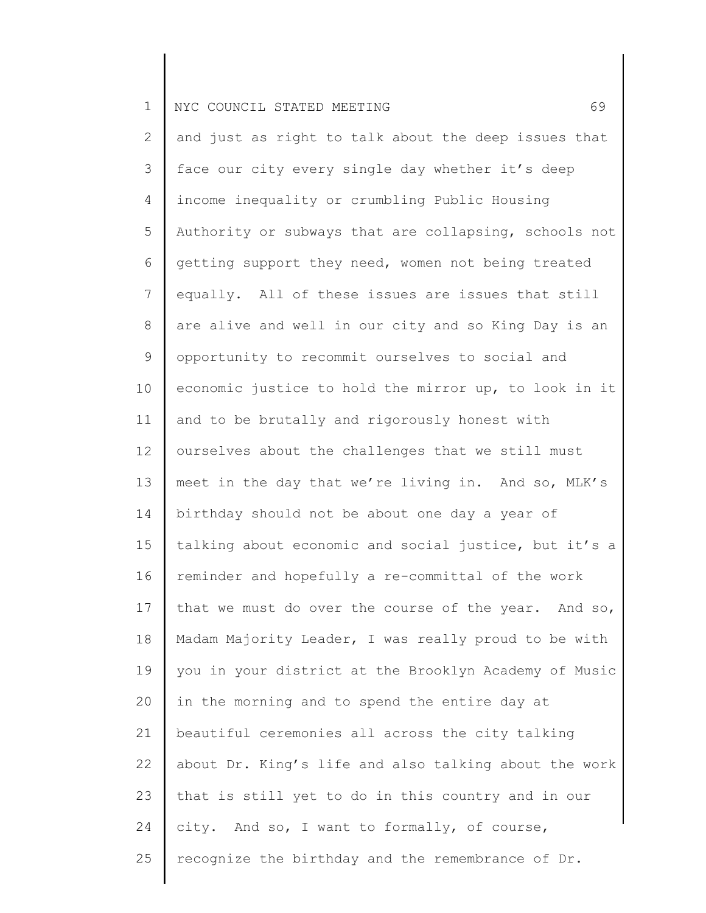|  |  | 1   NYC COUNCIL STATED MEETING |  |  |  |  |
|--|--|--------------------------------|--|--|--|--|
|--|--|--------------------------------|--|--|--|--|

2 3 4 5 6 7 8 9 10 11 12 13 14 15 16 17 18 19 20 21 22 23 24 25 and just as right to talk about the deep issues that face our city every single day whether it's deep income inequality or crumbling Public Housing Authority or subways that are collapsing, schools not getting support they need, women not being treated equally. All of these issues are issues that still are alive and well in our city and so King Day is an opportunity to recommit ourselves to social and economic justice to hold the mirror up, to look in it and to be brutally and rigorously honest with ourselves about the challenges that we still must meet in the day that we're living in. And so, MLK's birthday should not be about one day a year of talking about economic and social justice, but it's a reminder and hopefully a re-committal of the work that we must do over the course of the year. And so, Madam Majority Leader, I was really proud to be with you in your district at the Brooklyn Academy of Music in the morning and to spend the entire day at beautiful ceremonies all across the city talking about Dr. King's life and also talking about the work that is still yet to do in this country and in our city. And so, I want to formally, of course, recognize the birthday and the remembrance of Dr.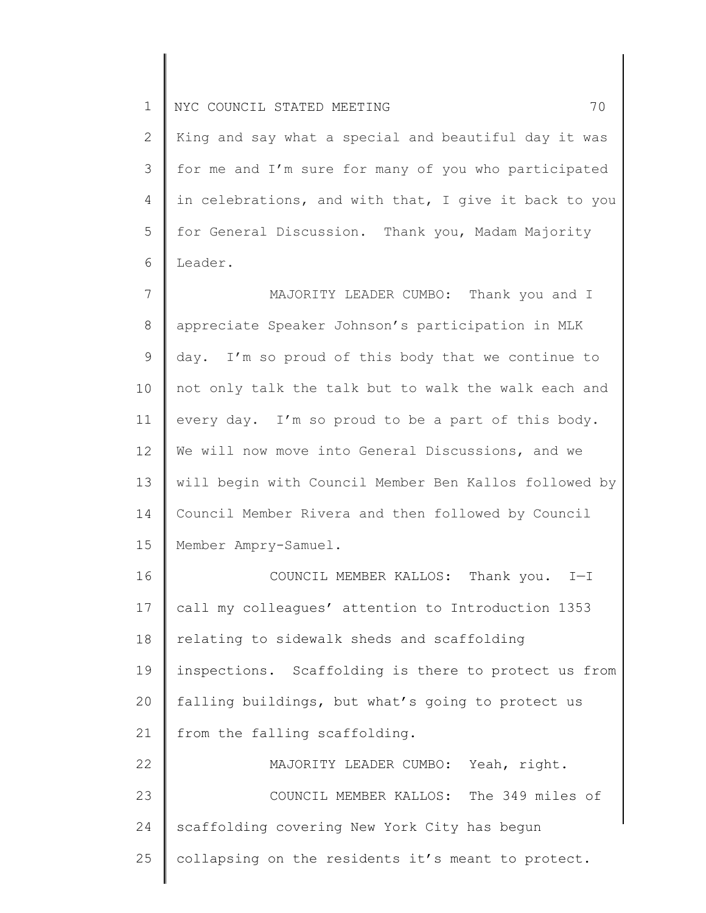2 3 4 5 6 King and say what a special and beautiful day it was for me and I'm sure for many of you who participated in celebrations, and with that, I give it back to you for General Discussion. Thank you, Madam Majority Leader.

7 8 9 10 11 12 13 14 15 MAJORITY LEADER CUMBO: Thank you and I appreciate Speaker Johnson's participation in MLK day. I'm so proud of this body that we continue to not only talk the talk but to walk the walk each and every day. I'm so proud to be a part of this body. We will now move into General Discussions, and we will begin with Council Member Ben Kallos followed by Council Member Rivera and then followed by Council Member Ampry-Samuel.

16 17 18 19 20 21 22 COUNCIL MEMBER KALLOS: Thank you. I—I call my colleagues' attention to Introduction 1353 relating to sidewalk sheds and scaffolding inspections. Scaffolding is there to protect us from falling buildings, but what's going to protect us from the falling scaffolding. MAJORITY LEADER CUMBO: Yeah, right.

23 24 25 COUNCIL MEMBER KALLOS: The 349 miles of scaffolding covering New York City has begun collapsing on the residents it's meant to protect.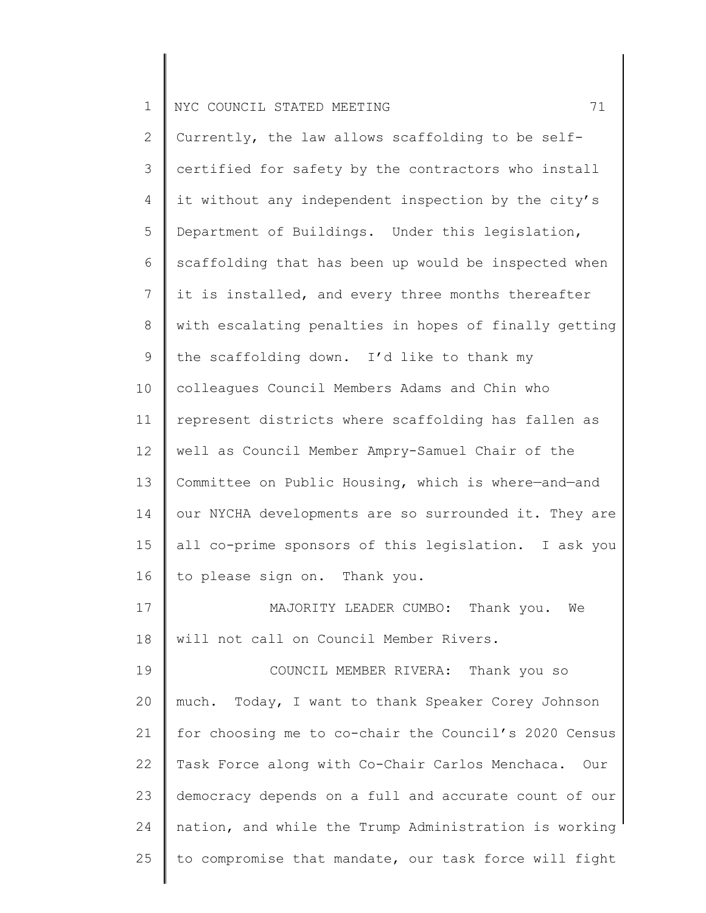25

2 3 4 5 6 7 8 9 10 11 12 13 14 15 16 17 18 19 20 21 22 23 24 Currently, the law allows scaffolding to be selfcertified for safety by the contractors who install it without any independent inspection by the city's Department of Buildings. Under this legislation, scaffolding that has been up would be inspected when it is installed, and every three months thereafter with escalating penalties in hopes of finally getting the scaffolding down. I'd like to thank my colleagues Council Members Adams and Chin who represent districts where scaffolding has fallen as well as Council Member Ampry-Samuel Chair of the Committee on Public Housing, which is where—and—and our NYCHA developments are so surrounded it. They are all co-prime sponsors of this legislation. I ask you to please sign on. Thank you. MAJORITY LEADER CUMBO: Thank you. We will not call on Council Member Rivers. COUNCIL MEMBER RIVERA: Thank you so much. Today, I want to thank Speaker Corey Johnson for choosing me to co-chair the Council's 2020 Census Task Force along with Co-Chair Carlos Menchaca. Our democracy depends on a full and accurate count of our nation, and while the Trump Administration is working

to compromise that mandate, our task force will fight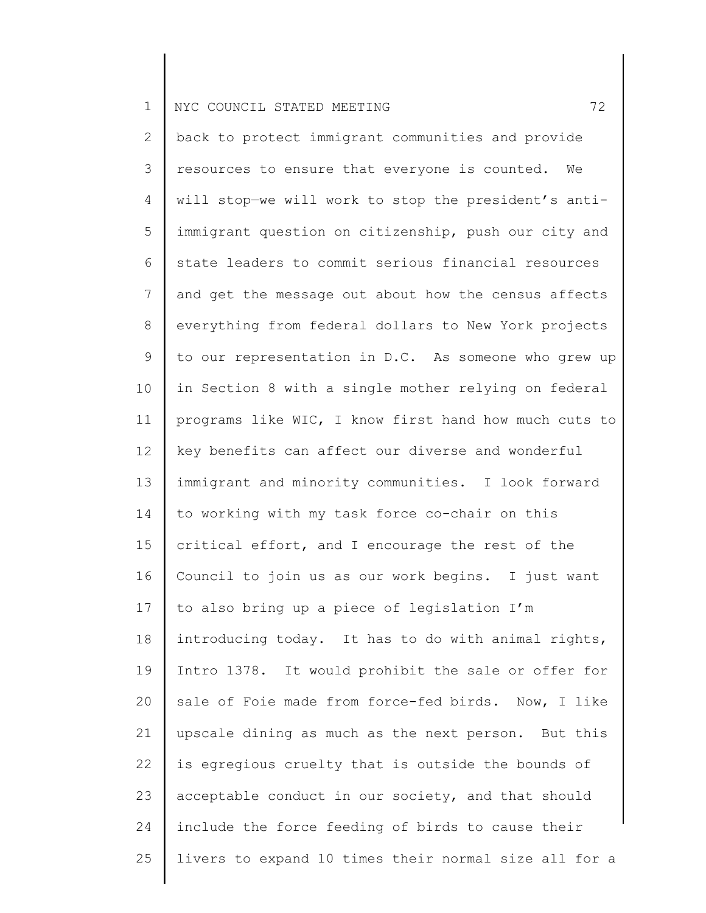2 3 4 5 6 7 8 9 10 11 12 13 14 15 16 17 18 19 20 21 22 23 24 25 back to protect immigrant communities and provide resources to ensure that everyone is counted. We will stop—we will work to stop the president's antiimmigrant question on citizenship, push our city and state leaders to commit serious financial resources and get the message out about how the census affects everything from federal dollars to New York projects to our representation in D.C. As someone who grew up in Section 8 with a single mother relying on federal programs like WIC, I know first hand how much cuts to key benefits can affect our diverse and wonderful immigrant and minority communities. I look forward to working with my task force co-chair on this critical effort, and I encourage the rest of the Council to join us as our work begins. I just want to also bring up a piece of legislation I'm introducing today. It has to do with animal rights, Intro 1378. It would prohibit the sale or offer for sale of Foie made from force-fed birds. Now, I like upscale dining as much as the next person. But this is egregious cruelty that is outside the bounds of acceptable conduct in our society, and that should include the force feeding of birds to cause their livers to expand 10 times their normal size all for a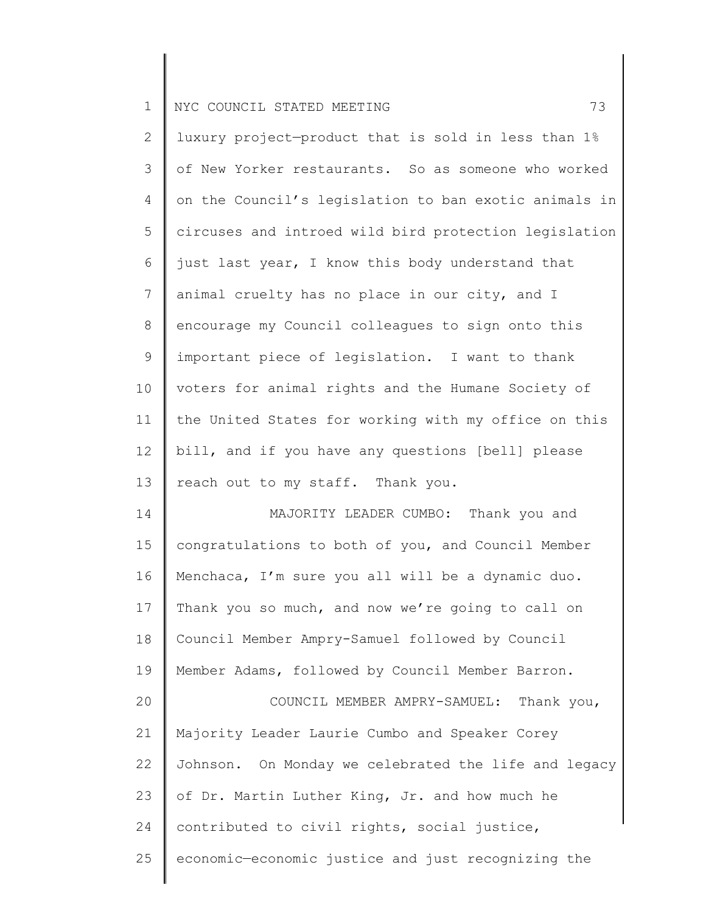|  |  | 1   NYC COUNCIL STATED MEETING |  |  |  |
|--|--|--------------------------------|--|--|--|
|--|--|--------------------------------|--|--|--|

2 3 4 5 6 7 8 9 10 11 12 13 luxury project—product that is sold in less than 1% of New Yorker restaurants. So as someone who worked on the Council's legislation to ban exotic animals in circuses and introed wild bird protection legislation just last year, I know this body understand that animal cruelty has no place in our city, and I encourage my Council colleagues to sign onto this important piece of legislation. I want to thank voters for animal rights and the Humane Society of the United States for working with my office on this bill, and if you have any questions [bell] please reach out to my staff. Thank you.

14 15 16 17 18 19 MAJORITY LEADER CUMBO: Thank you and congratulations to both of you, and Council Member Menchaca, I'm sure you all will be a dynamic duo. Thank you so much, and now we're going to call on Council Member Ampry-Samuel followed by Council Member Adams, followed by Council Member Barron.

20 21 22 23 24 25 COUNCIL MEMBER AMPRY-SAMUEL: Thank you, Majority Leader Laurie Cumbo and Speaker Corey Johnson. On Monday we celebrated the life and legacy of Dr. Martin Luther King, Jr. and how much he contributed to civil rights, social justice, economic—economic justice and just recognizing the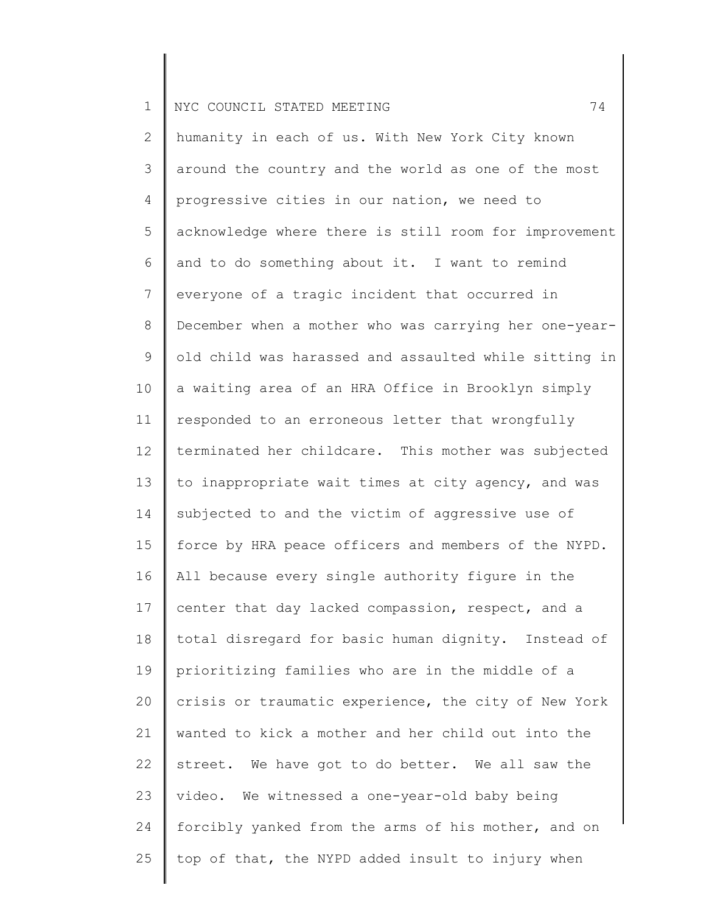2 3 4 5 6 7 8 9 10 11 12 13 14 15 16 17 18 19 20 21 22 23 24 25 humanity in each of us. With New York City known around the country and the world as one of the most progressive cities in our nation, we need to acknowledge where there is still room for improvement and to do something about it. I want to remind everyone of a tragic incident that occurred in December when a mother who was carrying her one-yearold child was harassed and assaulted while sitting in a waiting area of an HRA Office in Brooklyn simply responded to an erroneous letter that wrongfully terminated her childcare. This mother was subjected to inappropriate wait times at city agency, and was subjected to and the victim of aggressive use of force by HRA peace officers and members of the NYPD. All because every single authority figure in the center that day lacked compassion, respect, and a total disregard for basic human dignity. Instead of prioritizing families who are in the middle of a crisis or traumatic experience, the city of New York wanted to kick a mother and her child out into the street. We have got to do better. We all saw the video. We witnessed a one-year-old baby being forcibly yanked from the arms of his mother, and on top of that, the NYPD added insult to injury when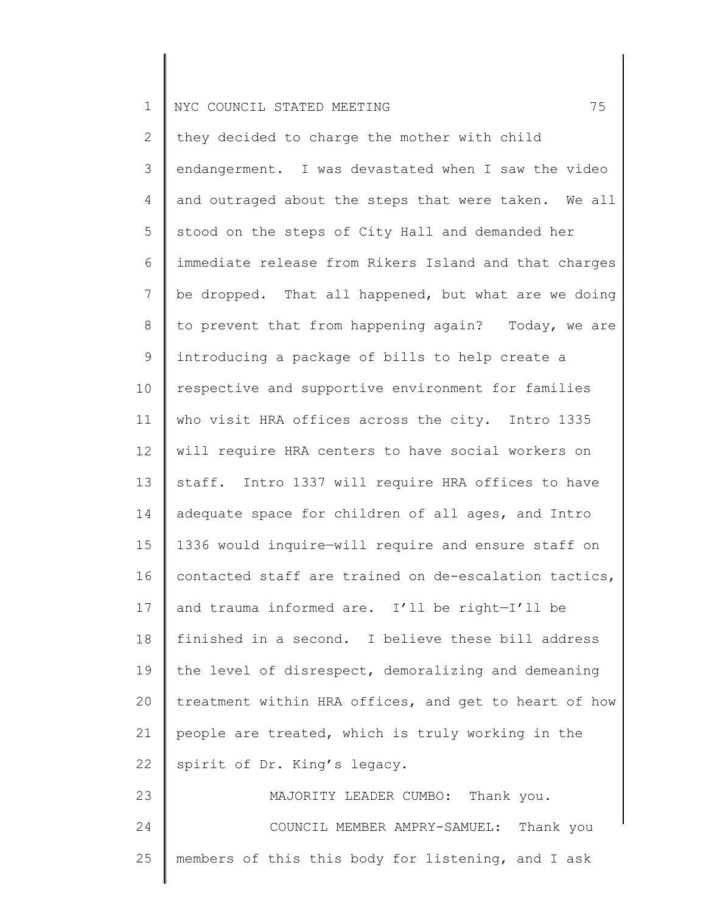2 3 4 5 6 7 8 9 10 11 12 13 14 15 16 17 18 19 20 21 22 23 24 they decided to charge the mother with child endangerment. I was devastated when I saw the video and outraged about the steps that were taken. We all stood on the steps of City Hall and demanded her immediate release from Rikers Island and that charges be dropped. That all happened, but what are we doing to prevent that from happening again? Today, we are introducing a package of bills to help create a respective and supportive environment for families who visit HRA offices across the city. Intro 1335 will require HRA centers to have social workers on staff. Intro 1337 will require HRA offices to have adequate space for children of all ages, and Intro 1336 would inquire—will require and ensure staff on contacted staff are trained on de-escalation tactics, and trauma informed are. I'll be right—I'll be finished in a second. I believe these bill address the level of disrespect, demoralizing and demeaning treatment within HRA offices, and get to heart of how people are treated, which is truly working in the spirit of Dr. King's legacy. MAJORITY LEADER CUMBO: Thank you. COUNCIL MEMBER AMPRY-SAMUEL: Thank you

25 members of this this body for listening, and I ask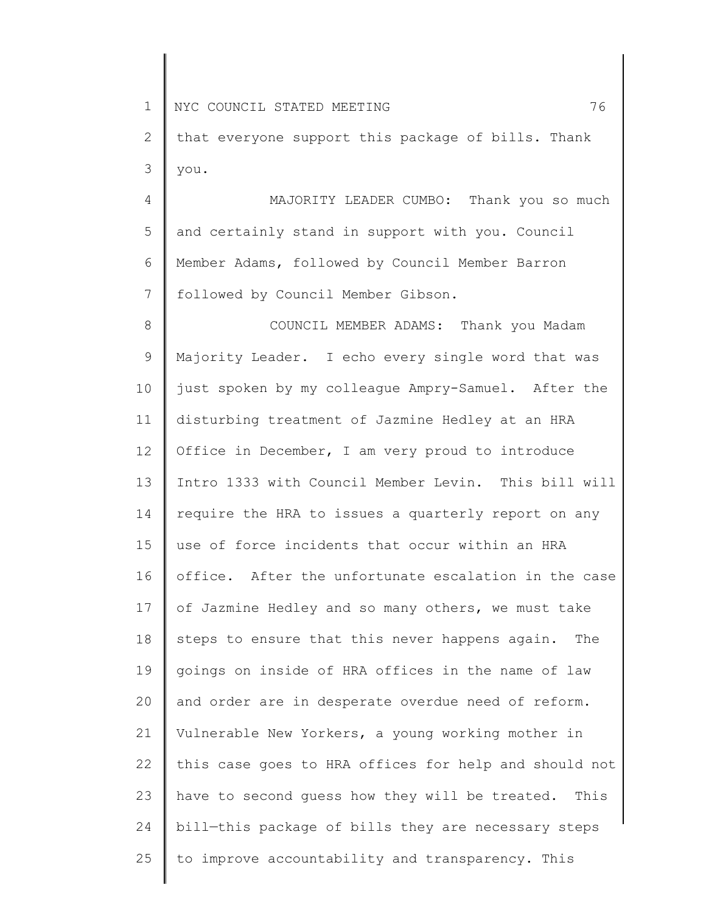2 3 that everyone support this package of bills. Thank you.

4 5 6 7 MAJORITY LEADER CUMBO: Thank you so much and certainly stand in support with you. Council Member Adams, followed by Council Member Barron followed by Council Member Gibson.

8 9 10 11 12 13 14 15 16 17 18 19 20 21 22 23 24 25 COUNCIL MEMBER ADAMS: Thank you Madam Majority Leader. I echo every single word that was just spoken by my colleague Ampry-Samuel. After the disturbing treatment of Jazmine Hedley at an HRA Office in December, I am very proud to introduce Intro 1333 with Council Member Levin. This bill will require the HRA to issues a quarterly report on any use of force incidents that occur within an HRA office. After the unfortunate escalation in the case of Jazmine Hedley and so many others, we must take steps to ensure that this never happens again. The goings on inside of HRA offices in the name of law and order are in desperate overdue need of reform. Vulnerable New Yorkers, a young working mother in this case goes to HRA offices for help and should not have to second guess how they will be treated. This bill—this package of bills they are necessary steps to improve accountability and transparency. This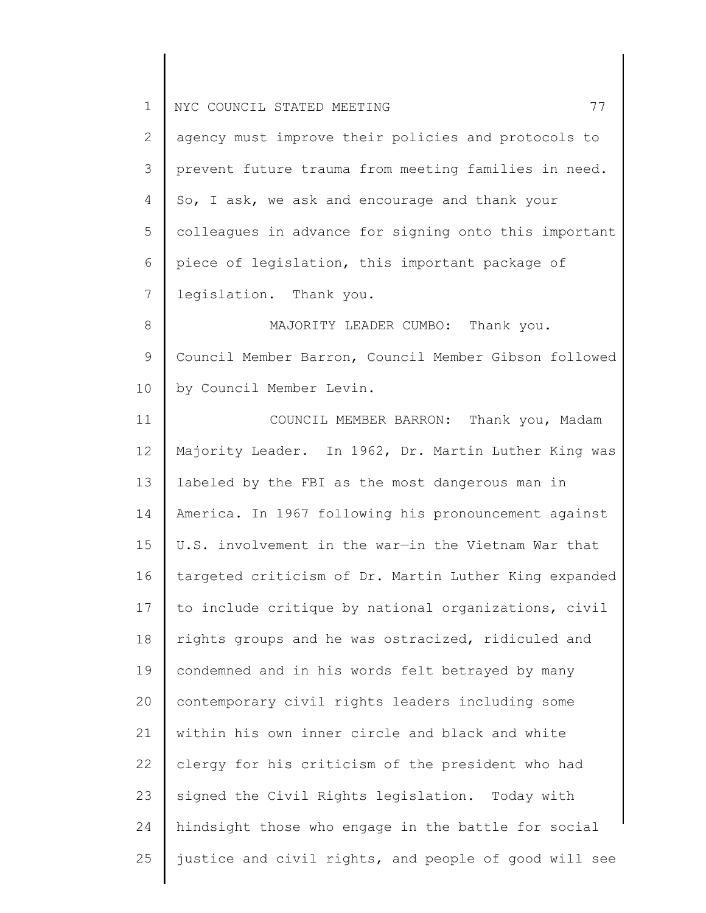| $\mathbf 1$  | 77<br>NYC COUNCIL STATED MEETING                      |
|--------------|-------------------------------------------------------|
| $\mathbf{2}$ | agency must improve their policies and protocols to   |
| 3            | prevent future trauma from meeting families in need.  |
| 4            | So, I ask, we ask and encourage and thank your        |
| 5            | colleagues in advance for signing onto this important |
| 6            | piece of legislation, this important package of       |
| 7            | legislation. Thank you.                               |
| 8            | MAJORITY LEADER CUMBO: Thank you.                     |
| $\mathsf 9$  | Council Member Barron, Council Member Gibson followed |
| 10           | by Council Member Levin.                              |
| 11           | COUNCIL MEMBER BARRON: Thank you, Madam               |
| 12           | Majority Leader. In 1962, Dr. Martin Luther King was  |
| 13           | labeled by the FBI as the most dangerous man in       |
| 14           | America. In 1967 following his pronouncement against  |
| 15           | U.S. involvement in the war-in the Vietnam War that   |
| 16           | targeted criticism of Dr. Martin Luther King expanded |
| 17           | to include critique by national organizations, civil  |
| 18           | rights groups and he was ostracized, ridiculed and    |
| 19           | condemned and in his words felt betrayed by many      |
| 20           | contemporary civil rights leaders including some      |
| 21           | within his own inner circle and black and white       |
| 22           | clergy for his criticism of the president who had     |
| 23           | signed the Civil Rights legislation. Today with       |
| 24           | hindsight those who engage in the battle for social   |
| 25           | justice and civil rights, and people of good will see |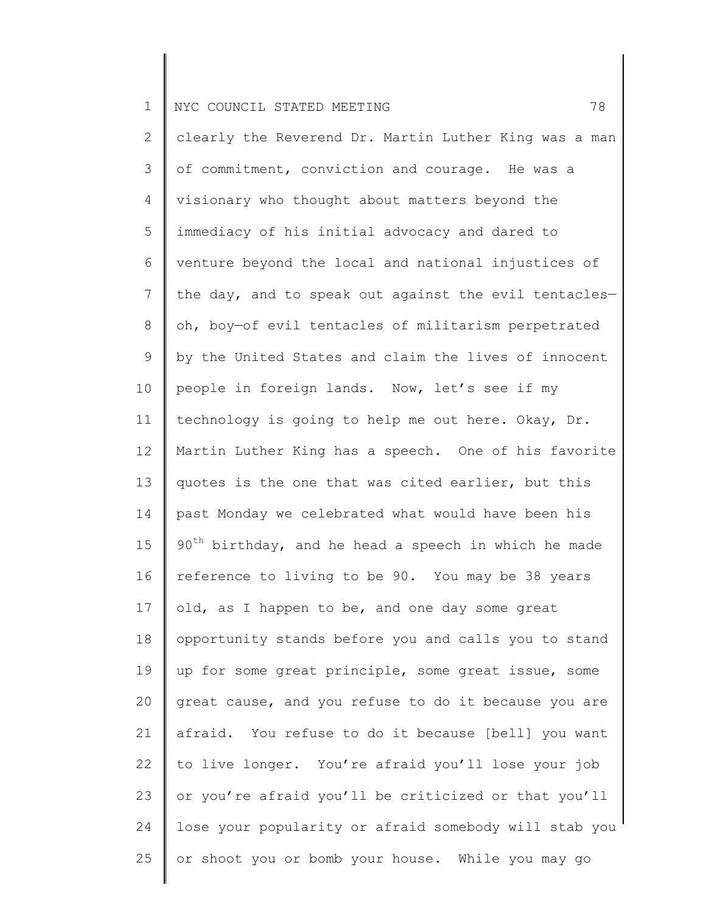2 3 4 5 6 7 8 9 10 11 12 13 14 15 16 17 18 19 20 21 22 23 24 25 clearly the Reverend Dr. Martin Luther King was a man of commitment, conviction and courage. He was a visionary who thought about matters beyond the immediacy of his initial advocacy and dared to venture beyond the local and national injustices of the day, and to speak out against the evil tentacles oh, boy—of evil tentacles of militarism perpetrated by the United States and claim the lives of innocent people in foreign lands. Now, let's see if my technology is going to help me out here. Okay, Dr. Martin Luther King has a speech. One of his favorite quotes is the one that was cited earlier, but this past Monday we celebrated what would have been his 90<sup>th</sup> birthday, and he head a speech in which he made reference to living to be 90. You may be 38 years old, as I happen to be, and one day some great opportunity stands before you and calls you to stand up for some great principle, some great issue, some great cause, and you refuse to do it because you are afraid. You refuse to do it because [bell] you want to live longer. You're afraid you'll lose your job or you're afraid you'll be criticized or that you'll lose your popularity or afraid somebody will stab you or shoot you or bomb your house. While you may go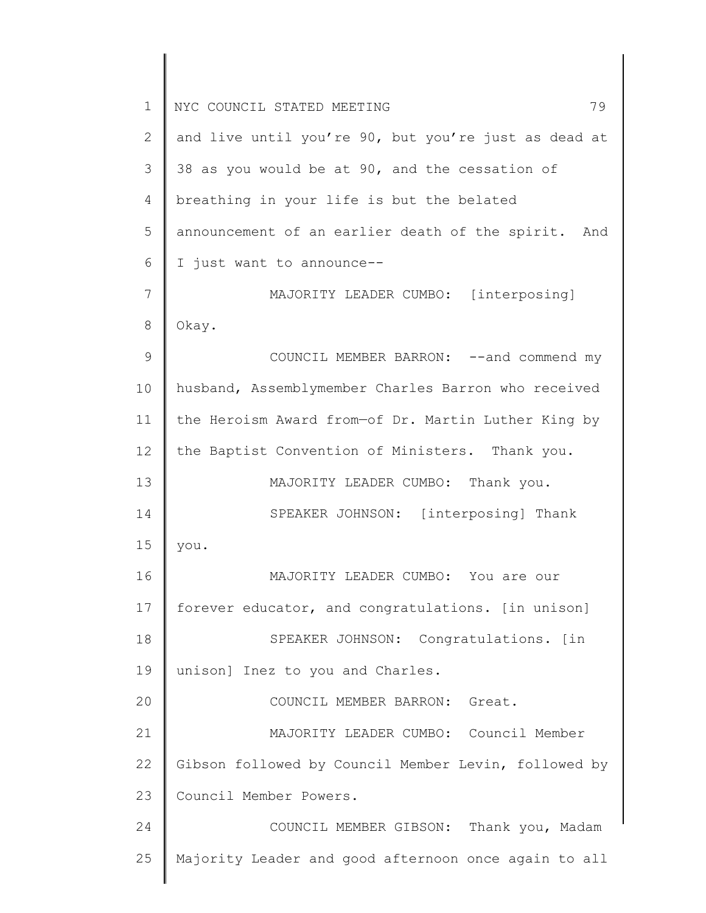| 1  | 79<br>NYC COUNCIL STATED MEETING                     |
|----|------------------------------------------------------|
| 2  | and live until you're 90, but you're just as dead at |
| 3  | 38 as you would be at 90, and the cessation of       |
| 4  | breathing in your life is but the belated            |
| 5  | announcement of an earlier death of the spirit. And  |
| 6  | I just want to announce--                            |
| 7  | MAJORITY LEADER CUMBO: [interposing]                 |
| 8  | Okay.                                                |
| 9  | COUNCIL MEMBER BARRON: -- and commend my             |
| 10 | husband, Assemblymember Charles Barron who received  |
| 11 | the Heroism Award from-of Dr. Martin Luther King by  |
| 12 | the Baptist Convention of Ministers. Thank you.      |
| 13 | MAJORITY LEADER CUMBO: Thank you.                    |
| 14 | SPEAKER JOHNSON: [interposing] Thank                 |
| 15 | you.                                                 |
| 16 | MAJORITY LEADER CUMBO: You are our                   |
| 17 | forever educator, and congratulations. [in unison]   |
| 18 | SPEAKER JOHNSON: Congratulations. [in                |
| 19 | unison] Inez to you and Charles.                     |
| 20 | COUNCIL MEMBER BARRON: Great.                        |
| 21 | MAJORITY LEADER CUMBO: Council Member                |
| 22 | Gibson followed by Council Member Levin, followed by |
| 23 | Council Member Powers.                               |
| 24 | COUNCIL MEMBER GIBSON: Thank you, Madam              |
| 25 | Majority Leader and good afternoon once again to all |
|    |                                                      |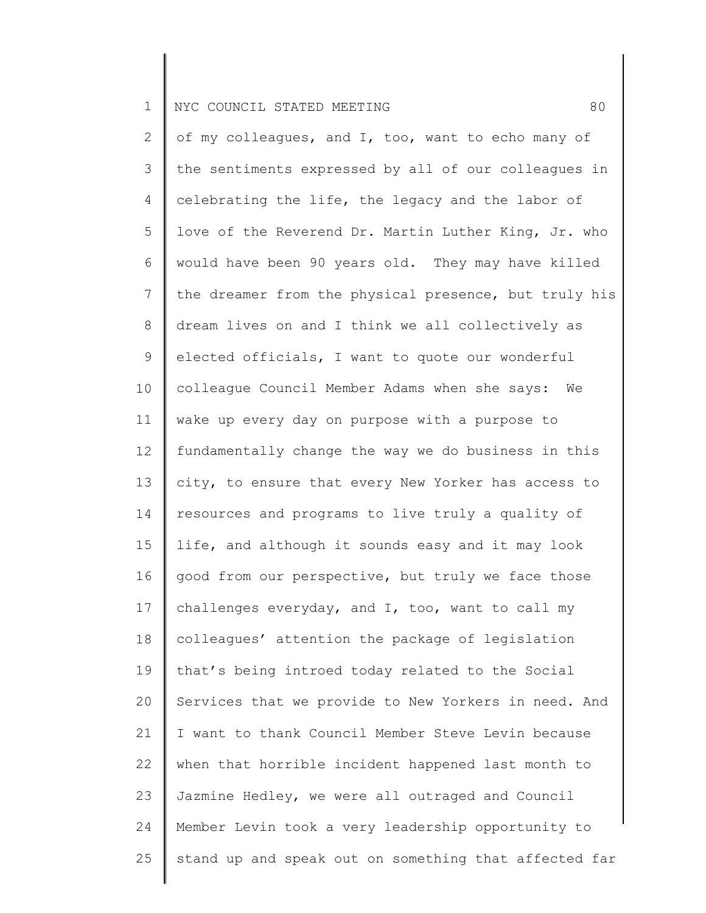2 3 4 5 6 7 8 9 10 11 12 13 14 15 16 17 18 19 20 21 22 23 24 25 of my colleagues, and I, too, want to echo many of the sentiments expressed by all of our colleagues in celebrating the life, the legacy and the labor of love of the Reverend Dr. Martin Luther King, Jr. who would have been 90 years old. They may have killed the dreamer from the physical presence, but truly his dream lives on and I think we all collectively as elected officials, I want to quote our wonderful colleague Council Member Adams when she says: We wake up every day on purpose with a purpose to fundamentally change the way we do business in this city, to ensure that every New Yorker has access to resources and programs to live truly a quality of life, and although it sounds easy and it may look good from our perspective, but truly we face those challenges everyday, and I, too, want to call my colleagues' attention the package of legislation that's being introed today related to the Social Services that we provide to New Yorkers in need. And I want to thank Council Member Steve Levin because when that horrible incident happened last month to Jazmine Hedley, we were all outraged and Council Member Levin took a very leadership opportunity to stand up and speak out on something that affected far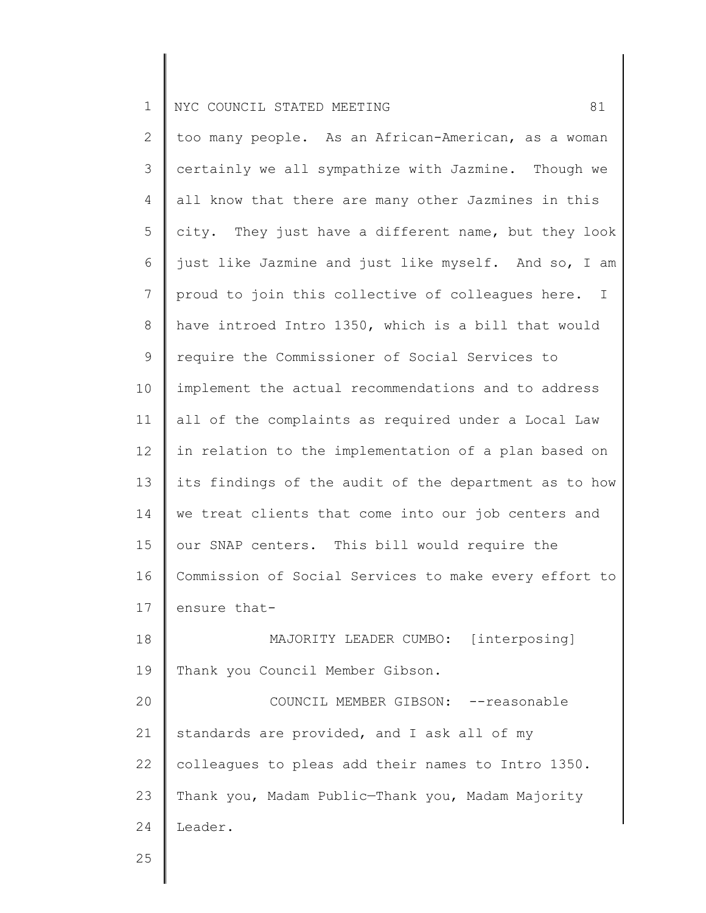| $\mathbf{2}^{\prime}$ | too many people. As an African-American, as a woman   |
|-----------------------|-------------------------------------------------------|
| 3                     | certainly we all sympathize with Jazmine. Though we   |
| 4                     | all know that there are many other Jazmines in this   |
| 5                     | city. They just have a different name, but they look  |
| 6                     | just like Jazmine and just like myself. And so, I am  |
| $7\phantom{.}$        | proud to join this collective of colleagues here. I   |
| 8                     | have introed Intro 1350, which is a bill that would   |
| 9                     | require the Commissioner of Social Services to        |
| 10                    | implement the actual recommendations and to address   |
| 11                    | all of the complaints as required under a Local Law   |
| 12                    | in relation to the implementation of a plan based on  |
| 13                    | its findings of the audit of the department as to how |
| 14                    | we treat clients that come into our job centers and   |
| 15                    | our SNAP centers. This bill would require the         |
| 16                    | Commission of Social Services to make every effort to |
| 17                    | ensure that-                                          |
| 18                    | MAJORITY LEADER CUMBO: [interposing]                  |
| 19                    | Thank you Council Member Gibson.                      |
| 20                    | COUNCIL MEMBER GIBSON: --reasonable                   |
| 21                    | standards are provided, and I ask all of my           |
| 22                    | colleagues to pleas add their names to Intro 1350.    |
| 23                    | Thank you, Madam Public-Thank you, Madam Majority     |
| 24                    | Leader.                                               |
|                       |                                                       |

25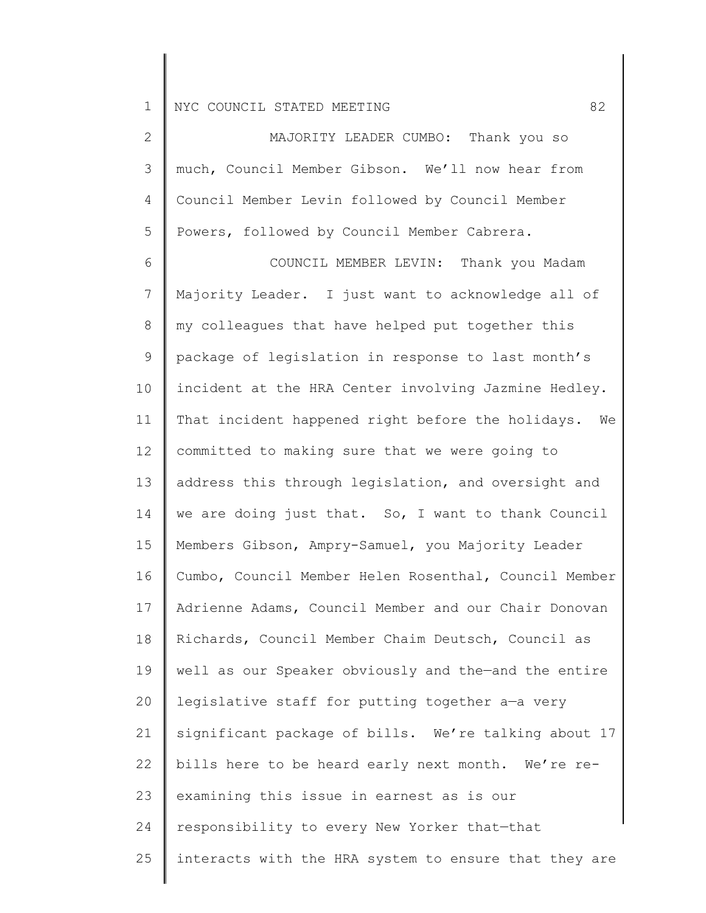2 3 4 5 MAJORITY LEADER CUMBO: Thank you so much, Council Member Gibson. We'll now hear from Council Member Levin followed by Council Member Powers, followed by Council Member Cabrera.

6 7 8 9 10 11 12 13 14 15 16 17 18 19 20 21 22 23 24 25 COUNCIL MEMBER LEVIN: Thank you Madam Majority Leader. I just want to acknowledge all of my colleagues that have helped put together this package of legislation in response to last month's incident at the HRA Center involving Jazmine Hedley. That incident happened right before the holidays. We committed to making sure that we were going to address this through legislation, and oversight and we are doing just that. So, I want to thank Council Members Gibson, Ampry-Samuel, you Majority Leader Cumbo, Council Member Helen Rosenthal, Council Member Adrienne Adams, Council Member and our Chair Donovan Richards, Council Member Chaim Deutsch, Council as well as our Speaker obviously and the—and the entire legislative staff for putting together a—a very significant package of bills. We're talking about 17 bills here to be heard early next month. We're reexamining this issue in earnest as is our responsibility to every New Yorker that—that interacts with the HRA system to ensure that they are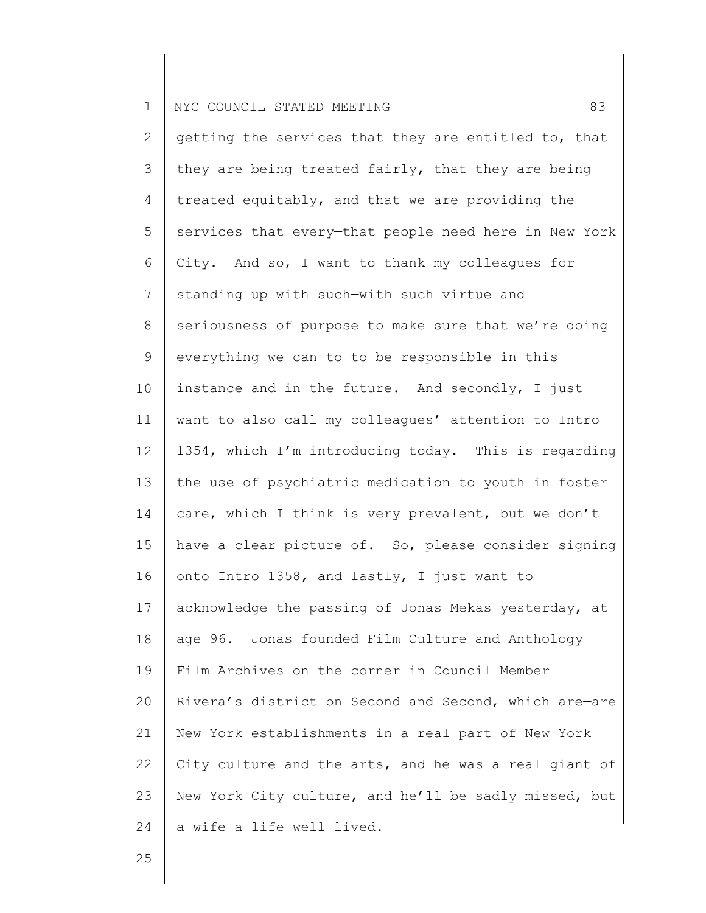2 3 4 5 6 7 8 9 10 11 12 13 14 15 16 17 18 19 20 21 22 23 24 getting the services that they are entitled to, that they are being treated fairly, that they are being treated equitably, and that we are providing the services that every—that people need here in New York City. And so, I want to thank my colleagues for standing up with such—with such virtue and seriousness of purpose to make sure that we're doing everything we can to—to be responsible in this instance and in the future. And secondly, I just want to also call my colleagues' attention to Intro 1354, which I'm introducing today. This is regarding the use of psychiatric medication to youth in foster care, which I think is very prevalent, but we don't have a clear picture of. So, please consider signing onto Intro 1358, and lastly, I just want to acknowledge the passing of Jonas Mekas yesterday, at age 96. Jonas founded Film Culture and Anthology Film Archives on the corner in Council Member Rivera's district on Second and Second, which are—are New York establishments in a real part of New York City culture and the arts, and he was a real giant of New York City culture, and he'll be sadly missed, but a wife—a life well lived.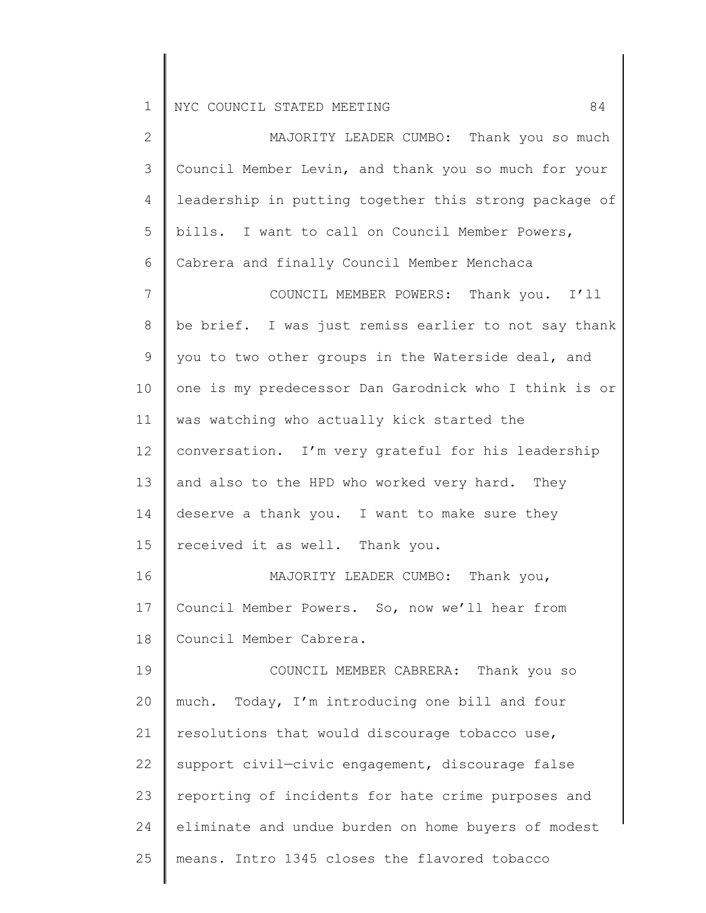| $\overline{2}$ | MAJORITY LEADER CUMBO: Thank you so much              |
|----------------|-------------------------------------------------------|
| 3              | Council Member Levin, and thank you so much for your  |
| 4              | leadership in putting together this strong package of |
| 5              | bills. I want to call on Council Member Powers,       |
| 6              | Cabrera and finally Council Member Menchaca           |
| $\overline{7}$ | COUNCIL MEMBER POWERS: Thank you. I'll                |
| 8              | be brief. I was just remiss earlier to not say thank  |
| $\mathsf 9$    | you to two other groups in the Waterside deal, and    |
| 10             | one is my predecessor Dan Garodnick who I think is or |
| 11             | was watching who actually kick started the            |
| 12             | conversation. I'm very grateful for his leadership    |
| 13             | and also to the HPD who worked very hard. They        |
| 14             | deserve a thank you. I want to make sure they         |
| 15             | received it as well. Thank you.                       |
| 16             | MAJORITY LEADER CUMBO: Thank you,                     |
| 17             | Council Member Powers. So, now we'll hear from        |
| 18             | Council Member Cabrera.                               |
| 19             | COUNCIL MEMBER CABRERA: Thank you so                  |
| 20             | much. Today, I'm introducing one bill and four        |
| 21             | resolutions that would discourage tobacco use,        |
| 22             | support civil-civic engagement, discourage false      |
| 23             | reporting of incidents for hate crime purposes and    |
| 24             | eliminate and undue burden on home buyers of modest   |
| 25             | means. Intro 1345 closes the flavored tobacco         |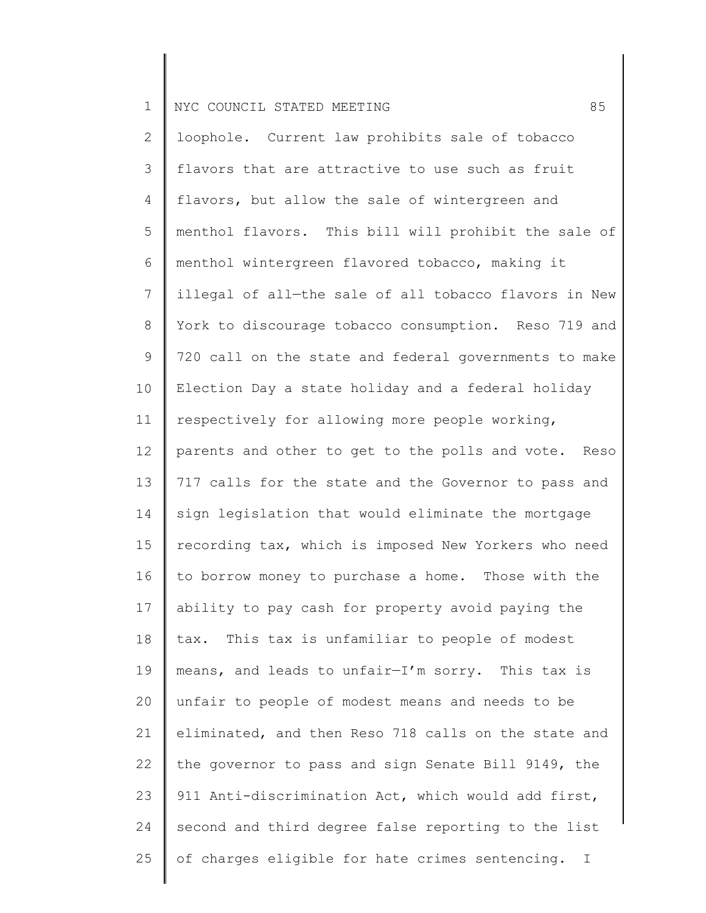2 3 4 5 6 7 8 9 10 11 12 13 14 15 16 17 18 19 20 21 22 23 24 25 loophole. Current law prohibits sale of tobacco flavors that are attractive to use such as fruit flavors, but allow the sale of wintergreen and menthol flavors. This bill will prohibit the sale of menthol wintergreen flavored tobacco, making it illegal of all—the sale of all tobacco flavors in New York to discourage tobacco consumption. Reso 719 and 720 call on the state and federal governments to make Election Day a state holiday and a federal holiday respectively for allowing more people working, parents and other to get to the polls and vote. Reso 717 calls for the state and the Governor to pass and sign legislation that would eliminate the mortgage recording tax, which is imposed New Yorkers who need to borrow money to purchase a home. Those with the ability to pay cash for property avoid paying the tax. This tax is unfamiliar to people of modest means, and leads to unfair—I'm sorry. This tax is unfair to people of modest means and needs to be eliminated, and then Reso 718 calls on the state and the governor to pass and sign Senate Bill 9149, the 911 Anti-discrimination Act, which would add first, second and third degree false reporting to the list of charges eligible for hate crimes sentencing. I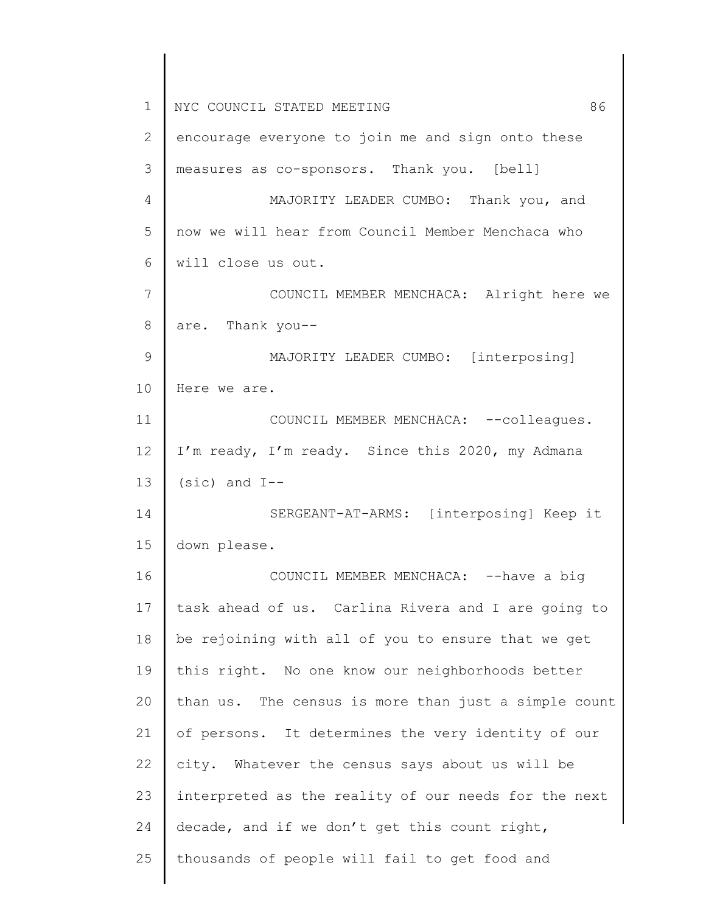1 2 3 4 5 6 7 8 9 10 11 12 13 14 15 16 17 18 19 20 21 22 23 24 25 NYC COUNCIL STATED MEETING 66 encourage everyone to join me and sign onto these measures as co-sponsors. Thank you. [bell] MAJORITY LEADER CUMBO: Thank you, and now we will hear from Council Member Menchaca who will close us out. COUNCIL MEMBER MENCHACA: Alright here we are. Thank you-- MAJORITY LEADER CUMBO: [interposing] Here we are. COUNCIL MEMBER MENCHACA: --colleagues. I'm ready, I'm ready. Since this 2020, my Admana (sic) and I-- SERGEANT-AT-ARMS: [interposing] Keep it down please. COUNCIL MEMBER MENCHACA: --have a big task ahead of us. Carlina Rivera and I are going to be rejoining with all of you to ensure that we get this right. No one know our neighborhoods better than us. The census is more than just a simple count of persons. It determines the very identity of our city. Whatever the census says about us will be interpreted as the reality of our needs for the next decade, and if we don't get this count right, thousands of people will fail to get food and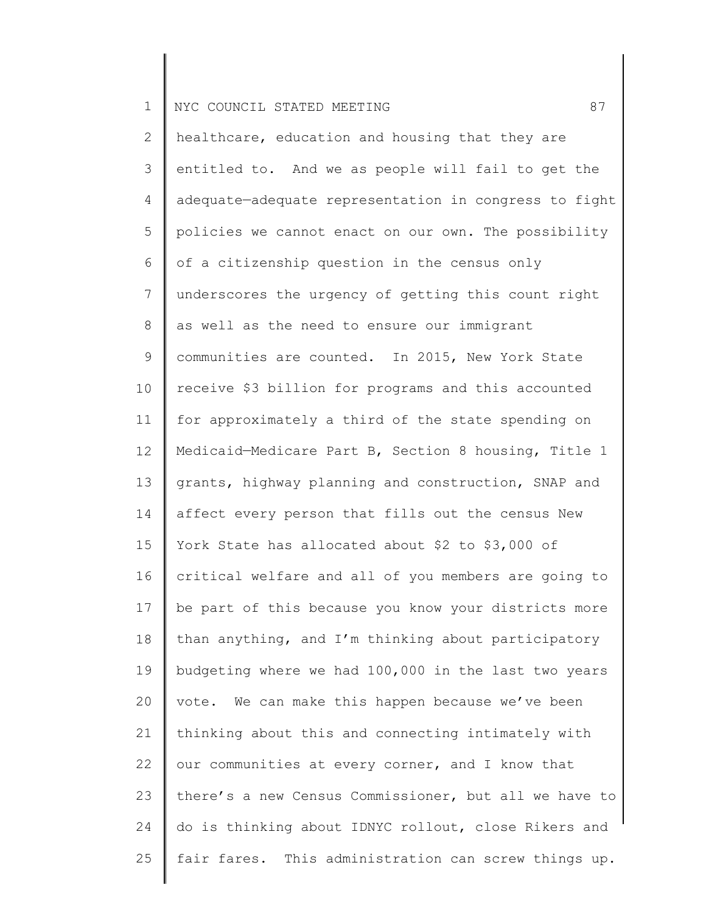2 3 4 5 6 7 8 9 10 11 12 13 14 15 16 17 18 19 20 21 22 23 24 25 healthcare, education and housing that they are entitled to. And we as people will fail to get the adequate—adequate representation in congress to fight policies we cannot enact on our own. The possibility of a citizenship question in the census only underscores the urgency of getting this count right as well as the need to ensure our immigrant communities are counted. In 2015, New York State receive \$3 billion for programs and this accounted for approximately a third of the state spending on Medicaid—Medicare Part B, Section 8 housing, Title 1 grants, highway planning and construction, SNAP and affect every person that fills out the census New York State has allocated about \$2 to \$3,000 of critical welfare and all of you members are going to be part of this because you know your districts more than anything, and I'm thinking about participatory budgeting where we had 100,000 in the last two years vote. We can make this happen because we've been thinking about this and connecting intimately with our communities at every corner, and I know that there's a new Census Commissioner, but all we have to do is thinking about IDNYC rollout, close Rikers and fair fares. This administration can screw things up.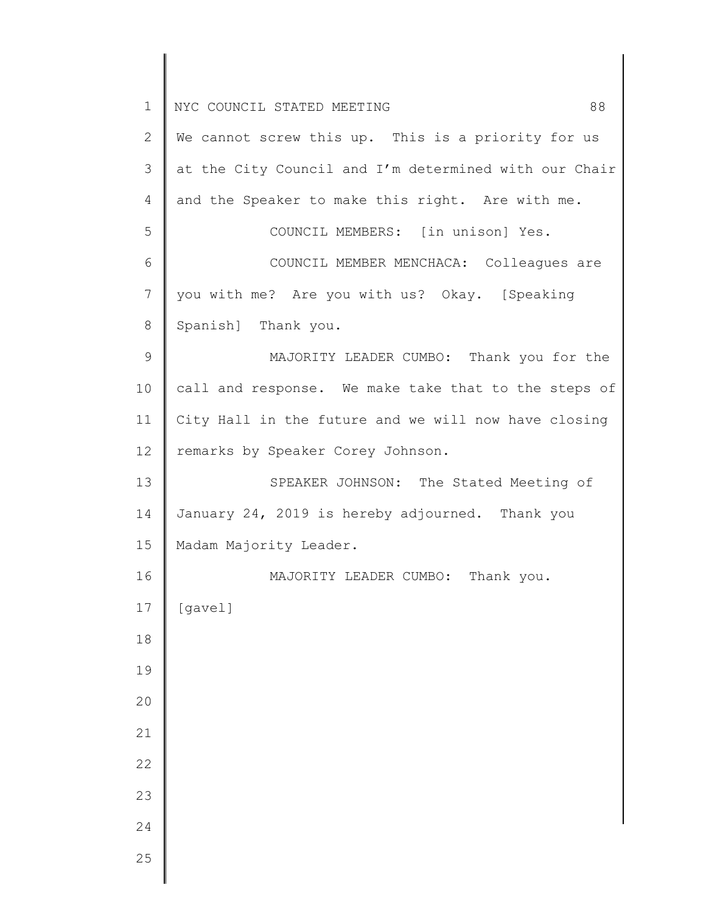| $\mathbf 1$ | 88<br>NYC COUNCIL STATED MEETING                      |
|-------------|-------------------------------------------------------|
| 2           | We cannot screw this up. This is a priority for us    |
| 3           | at the City Council and I'm determined with our Chair |
| 4           | and the Speaker to make this right. Are with me.      |
| 5           | COUNCIL MEMBERS: [in unison] Yes.                     |
| 6           | COUNCIL MEMBER MENCHACA: Colleagues are               |
| 7           | you with me? Are you with us? Okay. [Speaking         |
| 8           | Spanish] Thank you.                                   |
| 9           | MAJORITY LEADER CUMBO: Thank you for the              |
| 10          | call and response. We make take that to the steps of  |
| 11          | City Hall in the future and we will now have closing  |
| 12          | remarks by Speaker Corey Johnson.                     |
| 13          | SPEAKER JOHNSON: The Stated Meeting of                |
| 14          | January 24, 2019 is hereby adjourned. Thank you       |
| 15          | Madam Majority Leader.                                |
| 16          | Thank you.<br>MAJORITY LEADER CUMBO:                  |
| $17$        | [gavel]                                               |
| 18          |                                                       |
| 19          |                                                       |
| 20          |                                                       |
| 21          |                                                       |
| 22          |                                                       |
| 23          |                                                       |
| 24          |                                                       |
| 25          |                                                       |
|             |                                                       |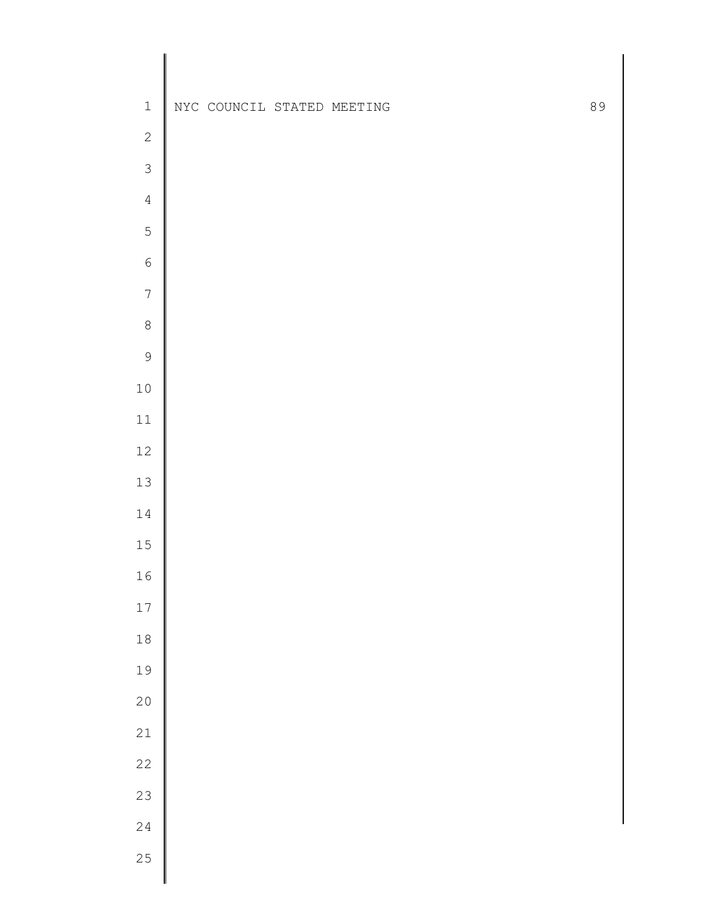| $\mathbf{1}$                    |  | NYC COUNCIL STATED MEETING | 89 |
|---------------------------------|--|----------------------------|----|
| $\sqrt{2}$                      |  |                            |    |
| $\mathfrak{Z}$                  |  |                            |    |
| $\overline{4}$                  |  |                            |    |
| $\mathbf 5$                     |  |                            |    |
| $\sqrt{6}$                      |  |                            |    |
| $\overline{7}$                  |  |                            |    |
| $\begin{matrix} 8 \end{matrix}$ |  |                            |    |
| $\mathcal{G}$                   |  |                            |    |
| $1\,0$                          |  |                            |    |
| $11\,$                          |  |                            |    |
| $12\,$                          |  |                            |    |
| $13\,$                          |  |                            |    |
| $1\,4$                          |  |                            |    |
| $15\,$                          |  |                            |    |
| 16                              |  |                            |    |
| $17$                            |  |                            |    |
| $1\,8$                          |  |                            |    |
| 19                              |  |                            |    |
| 20                              |  |                            |    |
| 21                              |  |                            |    |
| $2\sqrt{2}$                     |  |                            |    |
| 23                              |  |                            |    |
| 24                              |  |                            |    |
| 25<br>II                        |  |                            |    |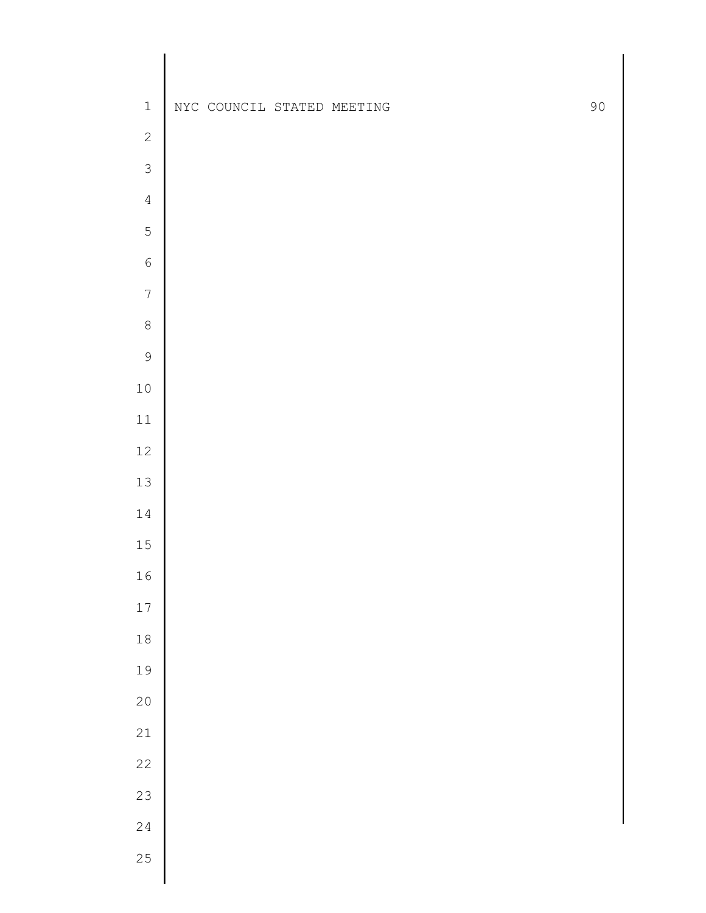| $\mathbf{1}$                     |  | NYC COUNCIL STATED MEETING | $90\,$ |
|----------------------------------|--|----------------------------|--------|
| $\mathbf{2}$                     |  |                            |        |
| $\mathfrak{Z}$                   |  |                            |        |
| $\overline{4}$                   |  |                            |        |
| 5                                |  |                            |        |
| $6\,$                            |  |                            |        |
| $\overline{7}$                   |  |                            |        |
| $\begin{array}{c} 8 \end{array}$ |  |                            |        |
| 9                                |  |                            |        |
| $10$                             |  |                            |        |
| $11\,$                           |  |                            |        |
| $12\,$                           |  |                            |        |
| 13                               |  |                            |        |
| $1\,4$                           |  |                            |        |
| 15                               |  |                            |        |
| 16                               |  |                            |        |
| $17$                             |  |                            |        |
| $18$                             |  |                            |        |
| 19                               |  |                            |        |
| 20                               |  |                            |        |
| 21                               |  |                            |        |
| $2\sqrt{2}$                      |  |                            |        |
| 23                               |  |                            |        |
| 24                               |  |                            |        |
| 25                               |  |                            |        |